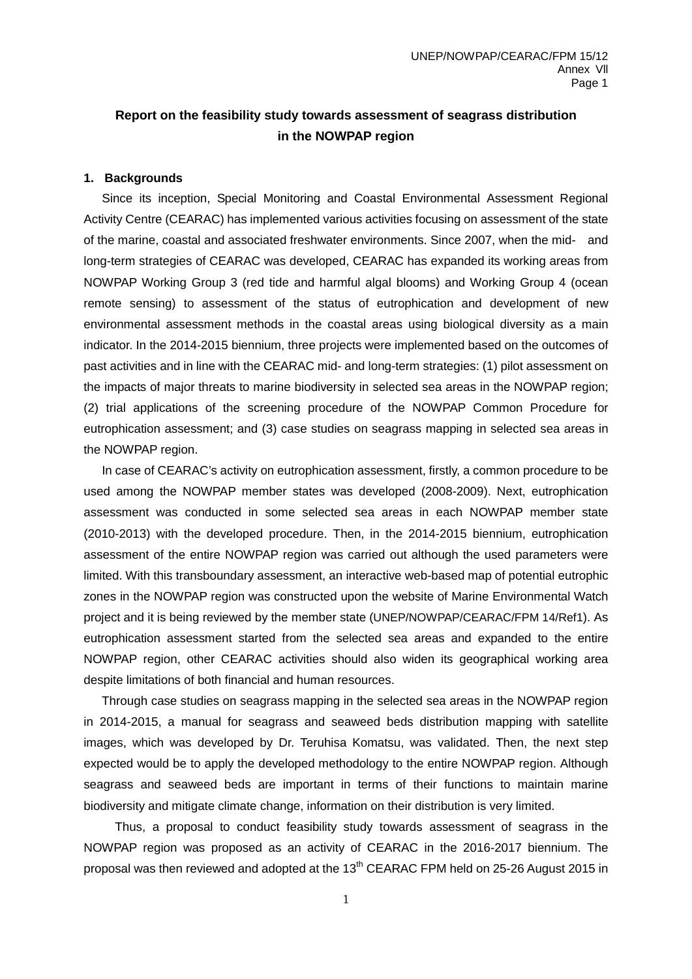# **Report on the feasibility study towards assessment of seagrass distribution in the NOWPAP region**

#### **1. Backgrounds**

Since its inception, Special Monitoring and Coastal Environmental Assessment Regional Activity Centre (CEARAC) has implemented various activities focusing on assessment of the state of the marine, coastal and associated freshwater environments. Since 2007, when the mid- and long-term strategies of CEARAC was developed, CEARAC has expanded its working areas from NOWPAP Working Group 3 (red tide and harmful algal blooms) and Working Group 4 (ocean remote sensing) to assessment of the status of eutrophication and development of new environmental assessment methods in the coastal areas using biological diversity as a main indicator. In the 2014-2015 biennium, three projects were implemented based on the outcomes of past activities and in line with the CEARAC mid- and long-term strategies: (1) pilot assessment on the impacts of major threats to marine biodiversity in selected sea areas in the NOWPAP region; (2) trial applications of the screening procedure of the NOWPAP Common Procedure for eutrophication assessment; and (3) case studies on seagrass mapping in selected sea areas in the NOWPAP region.

In case of CEARAC's activity on eutrophication assessment, firstly, a common procedure to be used among the NOWPAP member states was developed (2008-2009). Next, eutrophication assessment was conducted in some selected sea areas in each NOWPAP member state (2010-2013) with the developed procedure. Then, in the 2014-2015 biennium, eutrophication assessment of the entire NOWPAP region was carried out although the used parameters were limited. With this transboundary assessment, an interactive web-based map of potential eutrophic zones in the NOWPAP region was constructed upon the website of Marine Environmental Watch project and it is being reviewed by the member state (UNEP/NOWPAP/CEARAC/FPM 14/Ref1). As eutrophication assessment started from the selected sea areas and expanded to the entire NOWPAP region, other CEARAC activities should also widen its geographical working area despite limitations of both financial and human resources.

 Through case studies on seagrass mapping in the selected sea areas in the NOWPAP region in 2014-2015, a manual for seagrass and seaweed beds distribution mapping with satellite images, which was developed by Dr. Teruhisa Komatsu, was validated. Then, the next step expected would be to apply the developed methodology to the entire NOWPAP region. Although seagrass and seaweed beds are important in terms of their functions to maintain marine biodiversity and mitigate climate change, information on their distribution is very limited.

Thus, a proposal to conduct feasibility study towards assessment of seagrass in the NOWPAP region was proposed as an activity of CEARAC in the 2016-2017 biennium. The proposal was then reviewed and adopted at the 13<sup>th</sup> CEARAC FPM held on 25-26 August 2015 in

1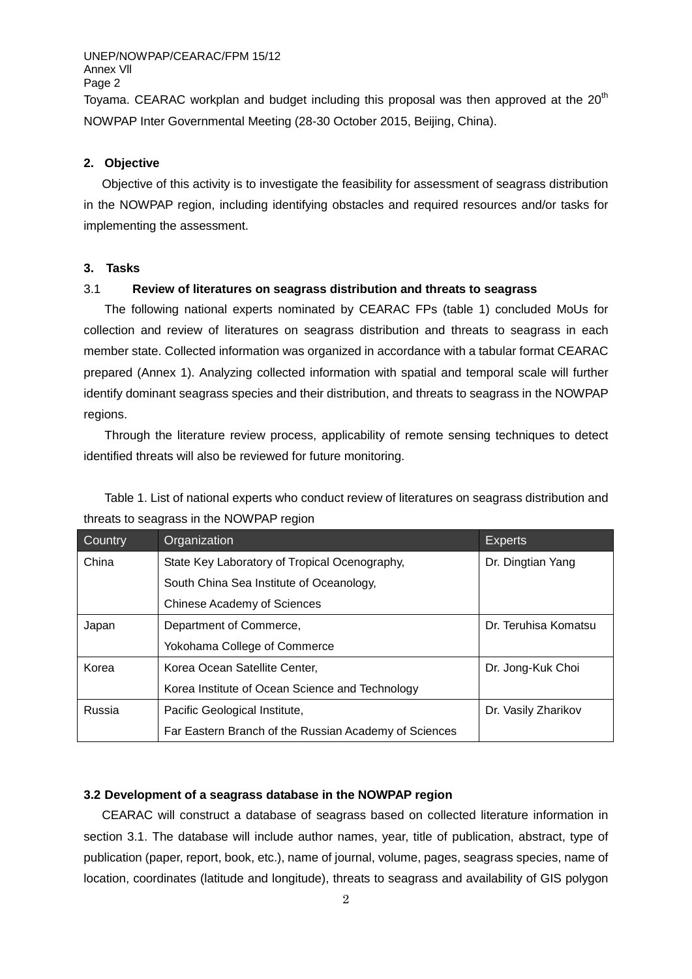Toyama. CEARAC workplan and budget including this proposal was then approved at the 20<sup>th</sup> NOWPAP Inter Governmental Meeting (28-30 October 2015, Beijing, China).

#### **2. Objective**

Objective of this activity is to investigate the feasibility for assessment of seagrass distribution in the NOWPAP region, including identifying obstacles and required resources and/or tasks for implementing the assessment.

## **3. Tasks**

#### 3.1 **Review of literatures on seagrass distribution and threats to seagrass**

The following national experts nominated by CEARAC FPs (table 1) concluded MoUs for collection and review of literatures on seagrass distribution and threats to seagrass in each member state. Collected information was organized in accordance with a tabular format CEARAC prepared (Annex 1). Analyzing collected information with spatial and temporal scale will further identify dominant seagrass species and their distribution, and threats to seagrass in the NOWPAP regions.

Through the literature review process, applicability of remote sensing techniques to detect identified threats will also be reviewed for future monitoring.

Table 1. List of national experts who conduct review of literatures on seagrass distribution and threats to seagrass in the NOWPAP region

| Country | Organization                                          | <b>Experts</b>       |
|---------|-------------------------------------------------------|----------------------|
| China   | State Key Laboratory of Tropical Ocenography,         | Dr. Dingtian Yang    |
|         | South China Sea Institute of Oceanology,              |                      |
|         | <b>Chinese Academy of Sciences</b>                    |                      |
| Japan   | Department of Commerce,                               | Dr. Teruhisa Komatsu |
|         | Yokohama College of Commerce                          |                      |
| Korea   | Korea Ocean Satellite Center,                         | Dr. Jong-Kuk Choi    |
|         | Korea Institute of Ocean Science and Technology       |                      |
| Russia  | Pacific Geological Institute,                         | Dr. Vasily Zharikov  |
|         | Far Eastern Branch of the Russian Academy of Sciences |                      |

#### **3.2 Development of a seagrass database in the NOWPAP region**

CEARAC will construct a database of seagrass based on collected literature information in section 3.1. The database will include author names, year, title of publication, abstract, type of publication (paper, report, book, etc.), name of journal, volume, pages, seagrass species, name of location, coordinates (latitude and longitude), threats to seagrass and availability of GIS polygon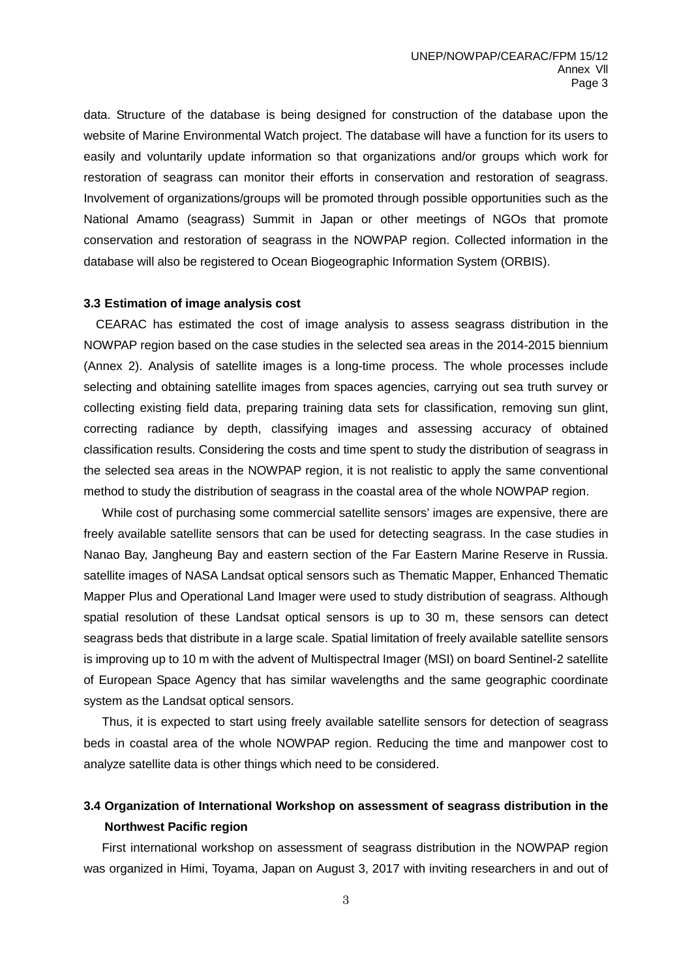data. Structure of the database is being designed for construction of the database upon the website of Marine Environmental Watch project. The database will have a function for its users to easily and voluntarily update information so that organizations and/or groups which work for restoration of seagrass can monitor their efforts in conservation and restoration of seagrass. Involvement of organizations/groups will be promoted through possible opportunities such as the National Amamo (seagrass) Summit in Japan or other meetings of NGOs that promote conservation and restoration of seagrass in the NOWPAP region. Collected information in the database will also be registered to Ocean Biogeographic Information System (ORBIS).

#### **3.3 Estimation of image analysis cost**

CEARAC has estimated the cost of image analysis to assess seagrass distribution in the NOWPAP region based on the case studies in the selected sea areas in the 2014-2015 biennium (Annex 2). Analysis of satellite images is a long-time process. The whole processes include selecting and obtaining satellite images from spaces agencies, carrying out sea truth survey or collecting existing field data, preparing training data sets for classification, removing sun glint, correcting radiance by depth, classifying images and assessing accuracy of obtained classification results. Considering the costs and time spent to study the distribution of seagrass in the selected sea areas in the NOWPAP region, it is not realistic to apply the same conventional method to study the distribution of seagrass in the coastal area of the whole NOWPAP region.

While cost of purchasing some commercial satellite sensors' images are expensive, there are freely available satellite sensors that can be used for detecting seagrass. In the case studies in Nanao Bay, Jangheung Bay and eastern section of the Far Eastern Marine Reserve in Russia. satellite images of NASA Landsat optical sensors such as Thematic Mapper, Enhanced Thematic Mapper Plus and Operational Land Imager were used to study distribution of seagrass. Although spatial resolution of these Landsat optical sensors is up to 30 m, these sensors can detect seagrass beds that distribute in a large scale. Spatial limitation of freely available satellite sensors is improving up to 10 m with the advent of Multispectral Imager (MSI) on board Sentinel-2 satellite of European Space Agency that has similar wavelengths and the same geographic coordinate system as the Landsat optical sensors.

Thus, it is expected to start using freely available satellite sensors for detection of seagrass beds in coastal area of the whole NOWPAP region. Reducing the time and manpower cost to analyze satellite data is other things which need to be considered.

# **3.4 Organization of International Workshop on assessment of seagrass distribution in the Northwest Pacific region**

First international workshop on assessment of seagrass distribution in the NOWPAP region was organized in Himi, Toyama, Japan on August 3, 2017 with inviting researchers in and out of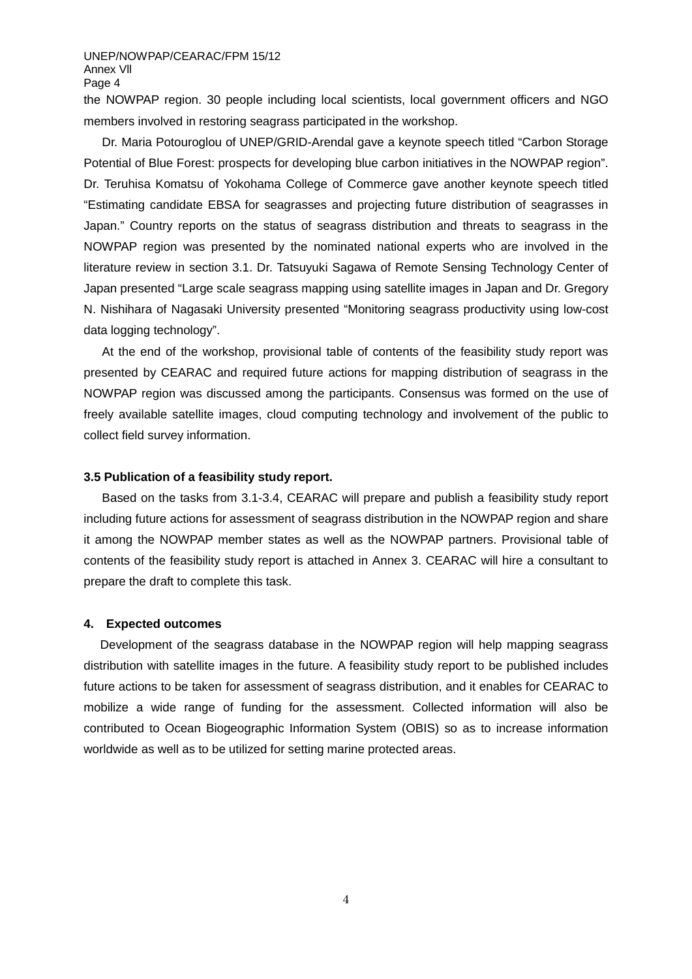the NOWPAP region. 30 people including local scientists, local government officers and NGO members involved in restoring seagrass participated in the workshop.

Dr. Maria Potouroglou of UNEP/GRID-Arendal gave a keynote speech titled "Carbon Storage Potential of Blue Forest: prospects for developing blue carbon initiatives in the NOWPAP region". Dr. Teruhisa Komatsu of Yokohama College of Commerce gave another keynote speech titled "Estimating candidate EBSA for seagrasses and projecting future distribution of seagrasses in Japan." Country reports on the status of seagrass distribution and threats to seagrass in the NOWPAP region was presented by the nominated national experts who are involved in the literature review in section 3.1. Dr. Tatsuyuki Sagawa of Remote Sensing Technology Center of Japan presented "Large scale seagrass mapping using satellite images in Japan and Dr. Gregory N. Nishihara of Nagasaki University presented "Monitoring seagrass productivity using low-cost data logging technology".

At the end of the workshop, provisional table of contents of the feasibility study report was presented by CEARAC and required future actions for mapping distribution of seagrass in the NOWPAP region was discussed among the participants. Consensus was formed on the use of freely available satellite images, cloud computing technology and involvement of the public to collect field survey information.

#### **3.5 Publication of a feasibility study report.**

Based on the tasks from 3.1-3.4, CEARAC will prepare and publish a feasibility study report including future actions for assessment of seagrass distribution in the NOWPAP region and share it among the NOWPAP member states as well as the NOWPAP partners. Provisional table of contents of the feasibility study report is attached in Annex 3. CEARAC will hire a consultant to prepare the draft to complete this task.

#### **4. Expected outcomes**

Development of the seagrass database in the NOWPAP region will help mapping seagrass distribution with satellite images in the future. A feasibility study report to be published includes future actions to be taken for assessment of seagrass distribution, and it enables for CEARAC to mobilize a wide range of funding for the assessment. Collected information will also be contributed to Ocean Biogeographic Information System (OBIS) so as to increase information worldwide as well as to be utilized for setting marine protected areas.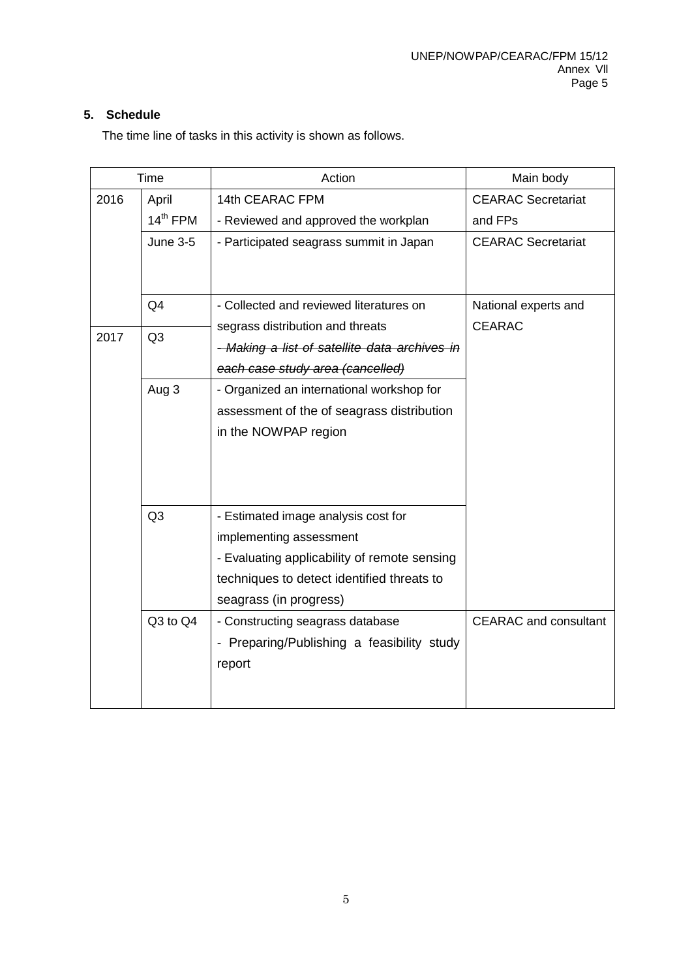## **5. Schedule**

The time line of tasks in this activity is shown as follows.

|      | <b>Time</b>          | Action                                        | Main body                    |
|------|----------------------|-----------------------------------------------|------------------------------|
| 2016 | April                | 14th CEARAC FPM                               | <b>CEARAC Secretariat</b>    |
|      | $14^{\text{th}}$ FPM | - Reviewed and approved the workplan          | and FPs                      |
|      | <b>June 3-5</b>      | - Participated seagrass summit in Japan       | <b>CEARAC Secretariat</b>    |
|      |                      |                                               |                              |
|      |                      |                                               |                              |
|      | Q <sub>4</sub>       | - Collected and reviewed literatures on       | National experts and         |
| 2017 | Q <sub>3</sub>       | segrass distribution and threats              | <b>CEARAC</b>                |
|      |                      | - Making a list of satellite data archives in |                              |
|      |                      | each case study area (cancelled)              |                              |
|      | Aug 3                | - Organized an international workshop for     |                              |
|      |                      | assessment of the of seagrass distribution    |                              |
|      |                      | in the NOWPAP region                          |                              |
|      |                      |                                               |                              |
|      |                      |                                               |                              |
|      |                      |                                               |                              |
|      | Q3                   | - Estimated image analysis cost for           |                              |
|      |                      | implementing assessment                       |                              |
|      |                      | - Evaluating applicability of remote sensing  |                              |
|      |                      | techniques to detect identified threats to    |                              |
|      |                      | seagrass (in progress)                        |                              |
|      | Q3 to Q4             | - Constructing seagrass database              | <b>CEARAC</b> and consultant |
|      |                      | - Preparing/Publishing a feasibility study    |                              |
|      |                      | report                                        |                              |
|      |                      |                                               |                              |
|      |                      |                                               |                              |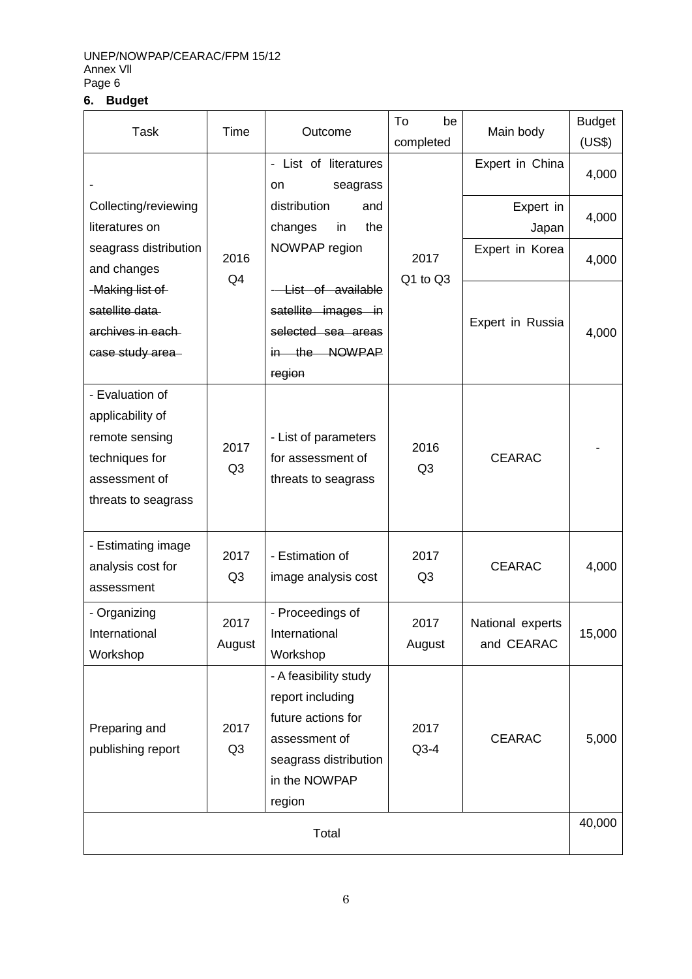# **6. Budget**

| <b>Task</b>                                                                                                     | <b>Time</b>            | Outcome                                                                                                                              | To<br>be<br>completed  | Main body                      | <b>Budget</b><br>(US\$) |
|-----------------------------------------------------------------------------------------------------------------|------------------------|--------------------------------------------------------------------------------------------------------------------------------------|------------------------|--------------------------------|-------------------------|
|                                                                                                                 |                        | - List of literatures<br>seagrass<br>on                                                                                              |                        | Expert in China                | 4,000                   |
| Collecting/reviewing<br>literatures on                                                                          |                        | distribution<br>and<br>changes<br>the<br>in                                                                                          |                        | Expert in<br>Japan             | 4,000                   |
| seagrass distribution<br>and changes                                                                            | 2016<br>Q4             | NOWPAP region                                                                                                                        | 2017<br>Q1 to Q3       | Expert in Korea                | 4,000                   |
| -Making list of<br>satellite data<br>archives in each-<br>case study area-                                      |                        | - List of available<br>satellite images in<br>selected sea areas<br>in the NOWPAP<br>region                                          |                        | Expert in Russia               | 4,000                   |
| - Evaluation of<br>applicability of<br>remote sensing<br>techniques for<br>assessment of<br>threats to seagrass | 2017<br>Q <sub>3</sub> | - List of parameters<br>for assessment of<br>threats to seagrass                                                                     | 2016<br>Q <sub>3</sub> | <b>CEARAC</b>                  |                         |
| - Estimating image<br>analysis cost for<br>assessment                                                           | 2017<br>Q <sub>3</sub> | - Estimation of<br>image analysis cost                                                                                               | 2017<br>Q <sub>3</sub> | <b>CEARAC</b>                  | 4,000                   |
| - Organizing<br>International<br>Workshop                                                                       | 2017<br>August         | - Proceedings of<br>International<br>Workshop                                                                                        | 2017<br>August         | National experts<br>and CEARAC | 15,000                  |
| Preparing and<br>publishing report                                                                              | 2017<br>Q <sub>3</sub> | - A feasibility study<br>report including<br>future actions for<br>assessment of<br>seagrass distribution<br>in the NOWPAP<br>region | 2017<br>$Q3-4$         | <b>CEARAC</b>                  | 5,000                   |
|                                                                                                                 |                        | Total                                                                                                                                |                        |                                | 40,000                  |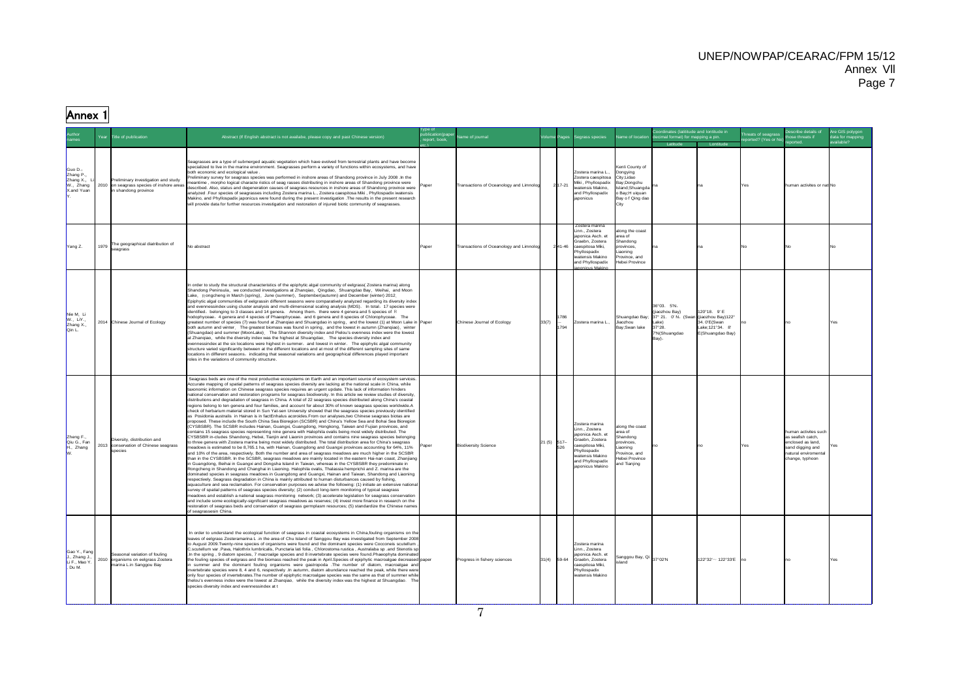# Annex 1

| imes                                                                |      | itle of publication                                                                                     | Abstract (If English abstract is not availabe, please copy and past Chinese version)                                                                                                                                                                                                                                                                                                                                                                                                                                                                                                                                                                                                                                                                                                                                                                                                                                                                                                                                                                                                                                                                                                                                                                                                                                                                                                                                                                                                                                                                                                                                                                                                                                                                                                                                                                                                                                                                                                                                                                                                                                                                                                                                                                                                                                                                                                                                                                                                                                                                                                                                                                                                                                                                                                                                                                                                                                                                                                       | ublication(pap<br>report, book | ame of journal                          |       |                | Segrass species                                                                                                                                                        | me of location                                                                                                           | Coordinates (latititude and lontitude in<br>lecimal format) for mapping a pin.<br>Latitude      |                                                                                          | hreats of seagrass<br>eported? (Yes or No | Describe details of<br>ose threats if<br>norted                                                                               | Are GIS polygon<br>ata for mapping<br>ailahla? |
|---------------------------------------------------------------------|------|---------------------------------------------------------------------------------------------------------|--------------------------------------------------------------------------------------------------------------------------------------------------------------------------------------------------------------------------------------------------------------------------------------------------------------------------------------------------------------------------------------------------------------------------------------------------------------------------------------------------------------------------------------------------------------------------------------------------------------------------------------------------------------------------------------------------------------------------------------------------------------------------------------------------------------------------------------------------------------------------------------------------------------------------------------------------------------------------------------------------------------------------------------------------------------------------------------------------------------------------------------------------------------------------------------------------------------------------------------------------------------------------------------------------------------------------------------------------------------------------------------------------------------------------------------------------------------------------------------------------------------------------------------------------------------------------------------------------------------------------------------------------------------------------------------------------------------------------------------------------------------------------------------------------------------------------------------------------------------------------------------------------------------------------------------------------------------------------------------------------------------------------------------------------------------------------------------------------------------------------------------------------------------------------------------------------------------------------------------------------------------------------------------------------------------------------------------------------------------------------------------------------------------------------------------------------------------------------------------------------------------------------------------------------------------------------------------------------------------------------------------------------------------------------------------------------------------------------------------------------------------------------------------------------------------------------------------------------------------------------------------------------------------------------------------------------------------------------------------------|--------------------------------|-----------------------------------------|-------|----------------|------------------------------------------------------------------------------------------------------------------------------------------------------------------------|--------------------------------------------------------------------------------------------------------------------------|-------------------------------------------------------------------------------------------------|------------------------------------------------------------------------------------------|-------------------------------------------|-------------------------------------------------------------------------------------------------------------------------------|------------------------------------------------|
| Guo D.<br>Zhang P.<br>Zhang X <sub>1</sub><br>W. Zhang<br>Xand Yuar |      | Preliminary investigation and study<br>2010 on seagrass species of inshore areas<br>n shandong province | Seagrasses are a type of submerged aquatic vegetation which have evolved from terrestrial plants and have become<br>specialized to live in the marine environment. Seagrasses perform a variety of functions within ecosystems, and have<br>ath economic and ecological value<br>reliminary survey for seagrass species was performed in inshore areas of Shandong province in July 2008. In the<br>eantime, morpho logical characte ristics of seag rasses distributing in inshore areas of Shandong province were<br>escribed. Also, status and degeneration causes of seagrass resources in inshore areas of Shandong province were<br>analyzed .Four species of seagrasses including Zostera marina L., Zostera caespitosa Miki, Phyllospadix iwatensis<br>Makino, and Phyllospadix japonicus were found during the present investigation .The results in the present research<br>vill provide data for further resources investigation and restoration of injured biotic community of seagrasses.                                                                                                                                                                                                                                                                                                                                                                                                                                                                                                                                                                                                                                                                                                                                                                                                                                                                                                                                                                                                                                                                                                                                                                                                                                                                                                                                                                                                                                                                                                                                                                                                                                                                                                                                                                                                                                                                                                                                                                                     | aper                           | Transactions of Oceanology and Limnolog |       | $217 - 21$     | Zostera marina L.,<br>Zostera caespitosa<br>Miki, Phyllospadix<br>iwatensis Makino,<br>and Phyllospadix<br>iaponicus                                                   | Cenli County of<br>Donavina<br>City;Lidao<br>Bay;Dongchu<br>sland;Shuangda<br>o Bay;H uiquan<br>Bay o f Qing dao<br>City |                                                                                                 |                                                                                          | Yes                                       | human activites or natiNo                                                                                                     |                                                |
| Yang Z.                                                             | 1979 | The geographical diatribution of<br>seagrass                                                            | <b>Vo abstract</b>                                                                                                                                                                                                                                                                                                                                                                                                                                                                                                                                                                                                                                                                                                                                                                                                                                                                                                                                                                                                                                                                                                                                                                                                                                                                                                                                                                                                                                                                                                                                                                                                                                                                                                                                                                                                                                                                                                                                                                                                                                                                                                                                                                                                                                                                                                                                                                                                                                                                                                                                                                                                                                                                                                                                                                                                                                                                                                                                                                         | Paper                          | Fransactions of Oceanology and Limnolog |       | $241 - 46$     | Zostera marina<br>Linn., Zostera<br>aponica Asch. et<br>Graebn, Zostera<br>caespitosa Miki,<br>Phyllospadix<br>watensis Makino<br>and Phyllospadix<br>onicus Makin     | along the coast<br>area of<br>Shandong<br>rovinces,<br>aning<br>Province and<br>Hebei Province                           |                                                                                                 |                                                                                          |                                           |                                                                                                                               |                                                |
| Nie M. Li<br>W., LiY.,<br>Zhang X.<br>Qin L.                        |      | 2014 Chinese Journal of Ecology                                                                         | In order to study the structural characteristics of the epiphytic algal community of eelgrass( Zostera marina) along<br>Shandong Peninsula, we conducted investigations at Zhanqiao, Qingdao, Shuangdao Bay, Weihai, and Moon<br>ake, Rongcheng in March (spring), June (summer), September(autumn) and December (winter) 2012.<br>Epiphytic algal communities of eelgrassin different seasons were comparatively analyzed regarding its diversity index<br>and evennessindex using cluster analysis and multi-dimensional scaling analysis (MDS). In total, 17 species were<br>lentified, belonging to 3 classes and 14 genera, Among them, there were 4 genera and 5 species of R<br>hodophyceae, 4 genera and 4 species of Phaeophyceae, and 6 genera and 8 species of Chlorophyceae, The<br>preatest number of species (7) was found at Zhanqiao and Shuangdao in spring, and the lowest (1) at Moon Lake in Paper<br>oth autumn and winter. The greatest biomass was found in spring, and the lowest in autumn (Zhanqiao), winter<br>(Shuangdao) and summer (MoonLake). The Shannon diversity index and Pielou's evenness index were the lowest<br>at Zhanqiao, while the diversity index was the highest at Shuangdao. The species diversity index and<br>vennessindex at the six locations were highest in summer, and lowest in winter. The epiphytic algal community<br>structure varied significantly between at the different locations and at most of the different sampling sites of same<br>cations in different seasons, indicating that seasonal variations and geographical differences played important<br>les in the variations of community structure,                                                                                                                                                                                                                                                                                                                                                                                                                                                                                                                                                                                                                                                                                                                                                                                                                                                                                                                                                                                                                                                                                                                                                                                                                                                                                                                 |                                | Chinese Journal of Ecology              | 33(7) | 1786<br>1794   | Zostera marina L                                                                                                                                                       | Shuangdao Bay;<br>Jiaozhou<br>Bay; Swan lake                                                                             | 36°03. 5'N.<br>jiaozhou Bay)<br>37° 21. 0' N. (Swan<br>ake)<br>37°28.<br>/'N(Shuangdao<br>Bay), | 120°18. 9' E<br>(jiaozhou Bay)122°<br>34. 0'E(Swan<br>ake:121°34. 8'<br>E(Shuangdao Bay) |                                           |                                                                                                                               | Yes                                            |
| Zheng F.,<br>Qiu G., Fan<br>H., Zhang<br>w                          |      | Diversity, distribution and<br>2013 conservation of Chinese seagrass<br>aning                           | Seagrass beds are one of the most productive ecosystems on Earth and an important source of ecosystem services.<br>Accurate mapping of spatial patterns of seagrass species diversity are lacking at the national scale in China, while<br>axonomic information on Chinese seagrass species requires an urgent update. This lack of information hinders<br>ational conservation and restoration programs for seagrass biodiversity. In this article we review studies of diversity.<br>distributions and degradation of seagrass in China. A total of 22 seagrass species distributed along China's coastal<br>egions belong to ten genera and four families, and account for about 30% of known seagrass species worldwide.A<br>check of herbarium material stored in Sun Yat-sen University showed that the seagrass species previously identified<br>s Posidonia australis in Hainan is in factEnhalus acoroides.From our analyses,two Chinese seagrass biotas are<br>proposed. These include the South China Sea Bioregion (SCSBR) and China's Yellow Sea and Bohai Sea Bioregion<br>CYSBSBR). The SCSBR includes Hainan, Guangxi, Guangdong, Hongkong, Taiwan and Fujian provinces, and<br>ontains 15 seagrass species representing nine genera with Halophila ovalis being most widely distributed. The<br>CYSBSBR in-cludes Shandong, Hebei, Tianjin and Liaonin provinces and contains nine seagrass species belonging<br>o three genera with Zostera marina being most widely distributed. The total distribution area for China's seagrass<br>headows is estimated to be 8.765.1 ha, with Hainan, Guangdong and Guangxi provinces accounting for 64%, 11%<br>and 10% of the area, respectively. Both the number and area of seagrass meadows are much higher in the SCSBR<br>han in the CYSBSBR. In the SCSBR, seagrass meadows are mainly located in the eastern Hai-nan coast, Zhanjiang<br>n Guangdong, Beihai in Guangxi and Dongsha Island in Taiwan, whereas in the CYSBSBR they predominate in<br>Rongcheng in Shandong and Changhai in Liaoning. Halophila ovalis, Thalassia hemprichii and Z. marina are the<br>dominated species in seagrass meadows in Guangdong and Guangxi, Hainan and Taiwan, Shandong and Liaoning<br>espectively. Seagrass degradation in China is mainly attributed to human disturbances caused by fishing,<br>aquaculture and sea reclamation. For conservation purposes we advise the following: (1) initiate an extensive national<br>survey of spatial patterns of seagrass species diversity: (2) conduct long-term monitoring of typical seagrass<br>eadows and establish a national seagrass monitoring network; (3) accelerate legislation for seagrass conservation<br>and include some ecologically-significant seagrass meadows as reserves; (4) invest more finance in research on the<br>estoration of seagrass beds and conservation of seagrass germplasm resources; (5) standardize the Chinese names<br>f seagrassesin China. | aper                           | <b>Biodiversity Science</b>             | 21(5) | $517 -$<br>526 | Zostera marina<br>inn., Zostera<br>iaponica Asch, et<br>Graebn, Zostera<br>caespitosa Miki,<br>Phyllospadix<br>watensis Makino<br>and Phyllospadix<br>ianonicus Makino | along the coast<br>area of<br>Shandong<br>rovinces.<br>iaoning<br>rovince, and<br><b>Jehei Province</b><br>and Tianjing  |                                                                                                 |                                                                                          | Yes                                       | human activites such<br>as seafish catch,<br>enclosed as land.<br>sand digging and<br>natural enviromental<br>change, typhoon |                                                |
| Gao Y., Fang<br>J., Zhang J.,<br>Li F., Mao Y.<br>. Du M.           |      | Seasonal variation of fouling<br>2010 organisms on eelgrass Zostera<br>marina L.in Sanggou Bay          | In order to understand the ecological function of seagrass in coastal ecosystems in China fouling organisms on the<br>eaves of eelgrass Zosteramarina L .in the area of Chu Island of Sanggou Bay was investigated from September 2008<br>o August 2009. Twenty-nine species of organisms were found and the dominant species were Cocconeis scutellum<br>C.scutellum var .Pava, Halothrix lumbricalis, Punctaria lati folia, Chlorostoma rustica, Australaba sp .and Stenotis sp<br>In the spring, 9 diatom species, 7 macroalge species and 8 invertebrate species were found.Phaeophyta dominated<br>e fouling species of eelgrass and the biomass reached the peak in April.Species of epiphytic macroalgae decreased paper<br>summer and the dominant fouling organisms were gastropoda .The number of diatom, macroalgae and<br>ivertebrate species were 8, 4 and 6, respectively .In autumn, diatom abundance reached the peak, while there were<br>only four species of invertebrates. The number of epiphytic macroalgae species was the same as that of summer while<br>nelou's evenness index were the lowest at Zhangiao, while the diversity index was the highest at Shuangdao. The<br>pecies diversity index and evennessindex at t                                                                                                                                                                                                                                                                                                                                                                                                                                                                                                                                                                                                                                                                                                                                                                                                                                                                                                                                                                                                                                                                                                                                                                                                                                                                                                                                                                                                                                                                                                                                                                                                                                                                                                                                         |                                | Progress in fishery sciences            | 31(4) | 59-64          | Zostera marina<br>Linn., Zostera<br>aponica Asch. et<br>Graebn, Zostera<br>caespitosa Miki<br>Phyllospadix<br>watensis Makino                                          | Sanggou Bay, Qi 37°02'N<br>island                                                                                        |                                                                                                 | 122°32'~ 122°33'E                                                                        |                                           |                                                                                                                               | Yes                                            |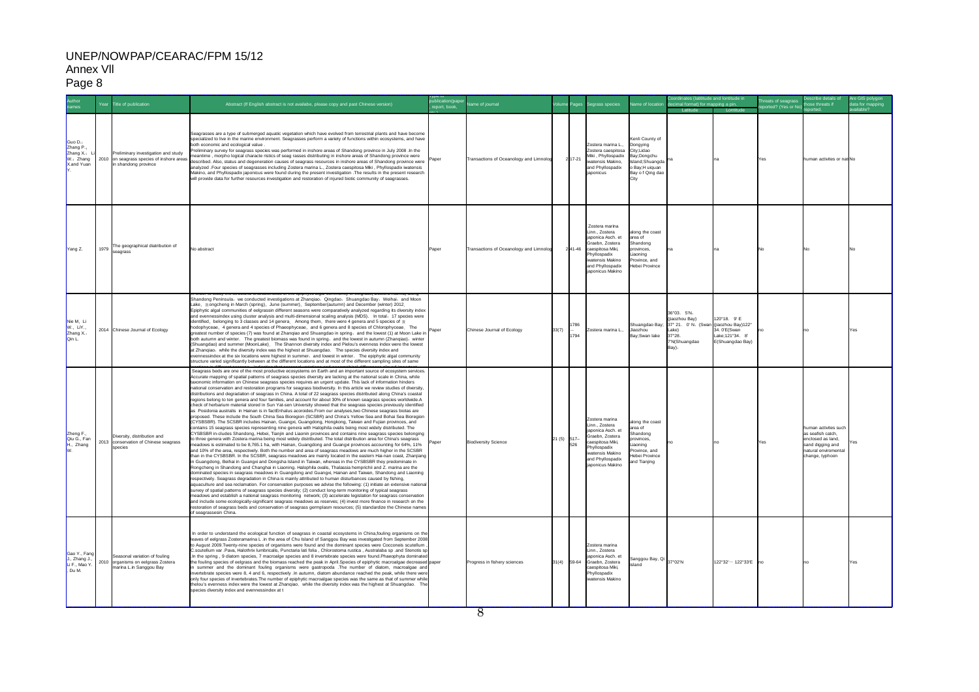| ames                                                      | Yea  | itle of publication                                                                                      | Abstract (If English abstract is not availabe, please copy and past Chinese version)                                                                                                                                                                                                                                                                                                                                                                                                                                                                                                                                                                                                                                                                                                                                                                                                                                                                                                                                                                                                                                                                                                                                                                                                                                                                                                                                                                                                                                                                                                                                                                                                                                                                                                                                                                                                                                                                                                                                                                                                                                                                                                                                                                                                                                                                                                                                                                                                                                                                                                                                                                                                                                                                                                                                                                                                                                                                                                                   | ublication(pape<br>report, book | ame of journal                          |             | Pages        | egrass species                                                                                                                                                        | ame of location                                                                                                       | coordinates (latititude and lontitude in<br>ecimal format) for mapping a pin.                   |                                                                                            | hreats of seagrass<br>eported? (Yes or No | <b>Describe details of</b><br>those threats if                                                                               | Are GIS polygon<br>data for mapping |
|-----------------------------------------------------------|------|----------------------------------------------------------------------------------------------------------|--------------------------------------------------------------------------------------------------------------------------------------------------------------------------------------------------------------------------------------------------------------------------------------------------------------------------------------------------------------------------------------------------------------------------------------------------------------------------------------------------------------------------------------------------------------------------------------------------------------------------------------------------------------------------------------------------------------------------------------------------------------------------------------------------------------------------------------------------------------------------------------------------------------------------------------------------------------------------------------------------------------------------------------------------------------------------------------------------------------------------------------------------------------------------------------------------------------------------------------------------------------------------------------------------------------------------------------------------------------------------------------------------------------------------------------------------------------------------------------------------------------------------------------------------------------------------------------------------------------------------------------------------------------------------------------------------------------------------------------------------------------------------------------------------------------------------------------------------------------------------------------------------------------------------------------------------------------------------------------------------------------------------------------------------------------------------------------------------------------------------------------------------------------------------------------------------------------------------------------------------------------------------------------------------------------------------------------------------------------------------------------------------------------------------------------------------------------------------------------------------------------------------------------------------------------------------------------------------------------------------------------------------------------------------------------------------------------------------------------------------------------------------------------------------------------------------------------------------------------------------------------------------------------------------------------------------------------------------------------------------------|---------------------------------|-----------------------------------------|-------------|--------------|-----------------------------------------------------------------------------------------------------------------------------------------------------------------------|-----------------------------------------------------------------------------------------------------------------------|-------------------------------------------------------------------------------------------------|--------------------------------------------------------------------------------------------|-------------------------------------------|------------------------------------------------------------------------------------------------------------------------------|-------------------------------------|
| Guo D.<br>Zhang P.<br>Zhang X.:<br>W., Zhang<br>Xand Yuar |      | Preliminary investigation and study<br>2010 on seagrass species of inshore areas<br>in shandong province | Seagrasses are a type of submerged aguatic vegetation which have evolved from terrestrial plants and have become<br>specialized to live in the marine environment. Seagrasses perform a variety of functions within ecosystems, and have<br>ooth economic and ecological value<br>Preliminary survey for seagrass species was performed in inshore areas of Shandong province in July 2008 .In the<br>meantime, morpho logical characte ristics of seag rasses distributing in inshore areas of Shandong province were<br>lescribed. Also, status and degeneration causes of seagrass resources in inshore areas of Shandong province were<br>analyzed .Four species of seagrasses including Zostera marina L., Zostera caespitosa Miki, Phyllospadix iwatensis<br>Makino, and Phyllospadix japonicus were found during the present investigation . The results in the present research<br>will provide data for further resources investigation and restoration of injured biotic community of seagrasses.                                                                                                                                                                                                                                                                                                                                                                                                                                                                                                                                                                                                                                                                                                                                                                                                                                                                                                                                                                                                                                                                                                                                                                                                                                                                                                                                                                                                                                                                                                                                                                                                                                                                                                                                                                                                                                                                                                                                                                                            | aper                            | Transactions of Oceanology and Limnolog |             | 217-21       | ostera marina L.,<br>Zostera caespitosa<br>Miki, Phyllospadix<br>watensis Makino.<br>and Phyllospadix<br><b>aponicus</b>                                              | Cenli County of<br>Dongying<br>City:Lidao<br>Bay; Dongchu<br>land:Shuangda<br>Bav:H ujquan<br>Bay of Qing dad<br>City | <b>Latitude</b>                                                                                 |                                                                                            | Yes                                       | human activites or nat No                                                                                                    |                                     |
| Yang Z.                                                   | 1979 | The geographical diatribution of<br>seagrass                                                             | No abstract                                                                                                                                                                                                                                                                                                                                                                                                                                                                                                                                                                                                                                                                                                                                                                                                                                                                                                                                                                                                                                                                                                                                                                                                                                                                                                                                                                                                                                                                                                                                                                                                                                                                                                                                                                                                                                                                                                                                                                                                                                                                                                                                                                                                                                                                                                                                                                                                                                                                                                                                                                                                                                                                                                                                                                                                                                                                                                                                                                                            | Paper                           | Transactions of Oceanology and Limnolog |             | $2 41 - 46$  | Zostera marina<br>Linn., Zostera<br>aponica Asch. et<br>Graebn, Zostera<br>caespitosa Miki,<br>hyllospadix<br>vatensis Makino<br>and Phyllospadix<br>aponicus Makino  | long the coast<br>area of<br>Shandong<br>rovinces,<br>iaoning<br>Province, and<br>Hebei Province                      |                                                                                                 |                                                                                            |                                           |                                                                                                                              |                                     |
| Nie M. Ii<br>W., LiY.,<br>Zhang X.,<br>Qin L.             |      | 2014 Chinese Journal of Ecology                                                                          | Shandong Peninsula, we conducted investigations at Zhangiao, Qingdao, Shuangdao Bay, Weihai, and Moon<br>Lake, Rongcheng in March (spring), June (summer), September(autumn) and December (winter) 2012.<br>Epiphytic algal communities of eelgrassin different seasons were comparatively analyzed regarding its diversity index<br>and evennessindex using cluster analysis and multi-dimensional scaling analysis (MDS). In total, 17 species were<br>identified, belonging to 3 classes and 14 genera. Among them, there were 4 genera and 5 species of R<br>hodophyceae, 4 genera and 4 species of Phaeophyceae, and 6 genera and 8 species of Chlorophyceae. The<br>greatest number of species (7) was found at Zhanqiao and Shuangdao in spring, and the lowest (1) at Moon Lake in<br>both autumn and winter. The greatest biomass was found in spring and the lowest in autumn (Zhangiao), winter<br>(Shuangdao) and summer (MoonLake). The Shannon diversity index and Pielou's evenness index were the lowest<br>at Zhangiao, while the diversity index was the highest at Shuangdao.  The species diversity index and<br>evennessindex at the six locations were highest in summer, and lowest in winter. The epiphytic algal community<br>structure varied significantly between at the different locations and at most of the different sampling sites of same                                                                                                                                                                                                                                                                                                                                                                                                                                                                                                                                                                                                                                                                                                                                                                                                                                                                                                                                                                                                                                                                                                                                                                                                                                                                                                                                                                                                                                                                                                                                                                                                                           | aper                            | Chinese Journal of Ecology              | 33(7)       | 1786<br>1794 | Zostera marina L.,                                                                                                                                                    | Shuangdao Bay;<br>Jiaozhou<br>Bay; Swan lake                                                                          | 36°03. 5'N.<br>iiaozhou Bav)<br>37° 21. 0' N. (Swan<br>ake)<br>37°28.<br>7'N(Shuangdao<br>Bay). | 120°18. 9' F<br>(jiaozhou Bay)122°<br>34. 0'E(Swan<br>Lake: 121°34. 8'<br>E(Shuangdao Bay) |                                           |                                                                                                                              |                                     |
| Zheng F<br>Qiu G., Fan<br>H., Zhang                       |      | Diversity, distribution and<br>2013 conservation of Chinese seagrass<br>species                          | Seagrass beds are one of the most productive ecosystems on Earth and an important source of ecosystem services.<br>Accurate mapping of spatial patterns of seagrass species diversity are lacking at the national scale in China, while<br>taxonomic information on Chinese seagrass species requires an urgent update. This lack of information hinders<br>national conservation and restoration programs for seagrass biodiversity. In this article we review studies of diversity,<br>distributions and degradation of seagrass in China. A total of 22 seagrass species distributed along China's coastal<br>regions belong to ten genera and four families, and account for about 30% of known seagrass species worldwide.A<br>check of herbarium material stored in Sun Yat-sen University showed that the seagrass species previously identified<br>as Posidonia australis in Hainan is in factEnhalus acoroides. From our analyses, two Chinese seagrass biotas are<br>proposed. These include the South China Sea Bioregion (SCSBR) and China's Yellow Sea and Bohai Sea Bioregion<br>(CYSBSBR). The SCSBR includes Hainan, Guangxi, Guangdong, Hongkong, Taiwan and Fujian provinces, and<br>contains 15 seagrass species representing nine genera with Halophila ovalis being most widely distributed. The<br>CYSBSBR in-cludes Shandong, Hebei, Tianiin and Liaonin provinces and contains nine seagrass species belonging<br>o three genera with Zostera marina being most widely distributed. The total distribution area for China's seagrass<br>eadows is estimated to be 8,765.1 ha, with Hainan, Guangdong and Guangxi provinces accounting for 64%, 11%<br>and 10% of the area, respectively. Both the number and area of seagrass meadows are much higher in the SCSBR<br>than in the CYSBSBR. In the SCSBR, seagrass meadows are mainly located in the eastern Hai-nan coast, Zhanjiang<br>in Guangdong, Beihai in Guangxi and Dongsha Island in Taiwan, whereas in the CYSBSBR they predominate in<br>Rongcheng in Shandong and Changhai in Liaoning. Halophila ovalis, Thalassia hemprichii and Z. marina are the<br>dominated species in seagrass meadows in Guangdong and Guangxi, Hainan and Taiwan, Shandong and Liaoning<br>respectively. Seagrass degradation in China is mainly attributed to human disturbances caused by fishing,<br>aquaculture and sea reclamation. For conservation purposes we advise the following: (1) initiate an extensive nationa<br>survey of spatial patterns of seagrass species diversity; (2) conduct long-term monitoring of typical seagrass<br>meadows and establish a national seagrass monitoring network; (3) accelerate legislation for seagrass conservation<br>and include some ecologically-significant seagrass meadows as reserves; (4) invest more finance in research on the<br>restoration of seagrass beds and conservation of seagrass germplasm resources; (5) standardize the Chinese names<br>of seagrassesin China. | aper                            | <b>Biodiversity Science</b>             | 21 (5) 517- | 526          | Zostera marina<br>Linn., Zostera<br>aponica Asch. et<br>Graebn, Zostera<br>caespitosa Miki,<br>Phyllospadix<br>atensis Makino<br>and Phyllospadix<br>ianonicus Makino | long the coast<br>area of<br>Shandong<br>rovinces.<br>iaoning<br>rovince, and<br>lebei Province<br>nd Tianjing        |                                                                                                 |                                                                                            | Yes                                       | human activites such<br>as seafish catch.<br>enclosed as land.<br>sand digging and<br>natural enviromenta<br>change, typhoon |                                     |
| Gao Y., Fang<br>J., Zhang J.,<br>Li F., Mao Y<br>Du M.    |      | Seasonal variation of fouling<br>2010 organisms on eelgrass Zostera<br>marina L.in Sanggou Bay           | In order to understand the ecological function of seagrass in coastal ecosystems in China, fouling organisms on the<br>leaves of eelgrass Zosteramarina L .in the area of Chu Island of Sanggou Bay was investigated from September 2008<br>to August 2009. Twenty-nine species of organisms were found and the dominant species were Cocconeis scutellum<br>C.scutellum var .Pava, Halothrix lumbricalis, Punctaria lati folia, Chlorostoma rustica, Australaba sp .and Stenotis sp<br>In the spring, 9 diatom species, 7 macroalge species and 8 invertebrate species were found.Phaeophyta dominated<br>the fouling species of eelgrass and the biomass reached the peak in April. Species of epiphytic macroalgae decreased paper<br>summer and the dominant fouling organisms were gastropoda . The number of diatom, macroalgae and<br>vertebrate species were 8, 4 and 6, respectively .In autumn, diatom abundance reached the peak, while there were<br>only four species of invertebrates. The number of epiphytic macroalgae species was the same as that of summer while<br>thelou's evenness index were the lowest at Zhangiao. while the diversity index was the highest at Shuangdao. The<br>species diversity index and evennessindex at t                                                                                                                                                                                                                                                                                                                                                                                                                                                                                                                                                                                                                                                                                                                                                                                                                                                                                                                                                                                                                                                                                                                                                                                                                                                                                                                                                                                                                                                                                                                                                                                                                                                                                                                                             |                                 | Progress in fishery sciences            | 31(4)       | 59-64        | Zostera marina<br>Linn., Zostera<br>aponica Asch. et<br>Graebn, Zostera<br>caespitosa Miki.<br>hyllospadix<br>vatensis Makino                                         | Sanggou Bay, Qi 37°02'N<br>sland                                                                                      |                                                                                                 | 122°32'~ 122°33'E no                                                                       |                                           |                                                                                                                              | Yes                                 |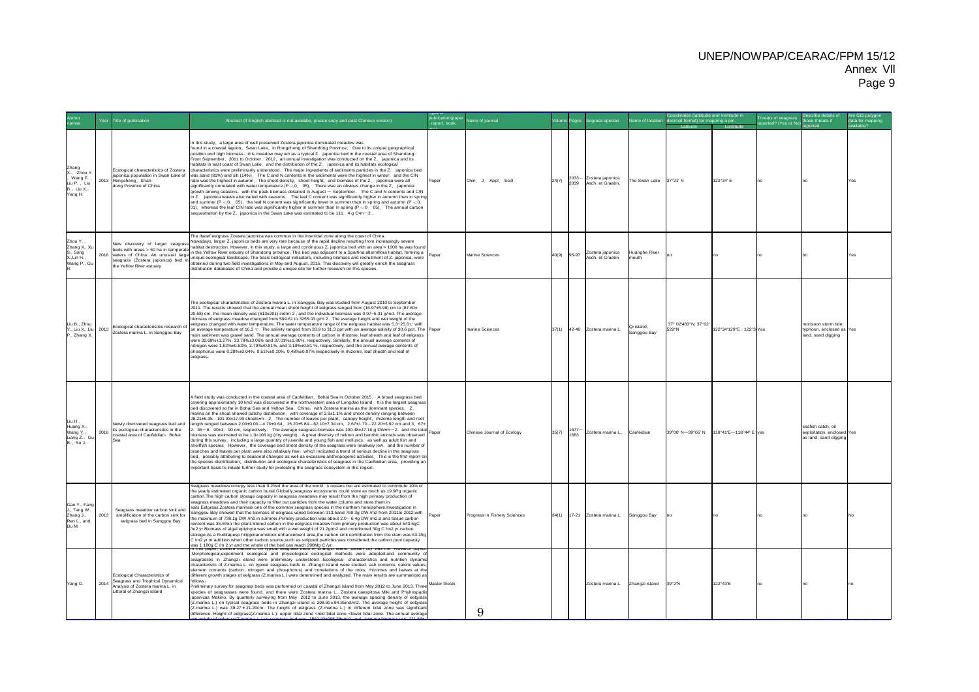|                                                                                  | Year | Title of publication                                                                                                                | Abstract (If English abstract is not availabe, please copy and past Chinese version)                                                                                                                                                                                                                                                                                                                                                                                                                                                                                                                                                                                                                                                                                                                                                                                                                                                                                                                                                                                                                                                                                                                                                                                                                                                                                                                                                                                                                                                                                                                                                                  | report, book  | ame of journal               |       |                  | egrass species                       | ame of location           | ordinates (latititude and lontitude i<br>decimal format) for mapping a pin |                          | hreats of seagrass<br>reported? (Yes or No | escribe details o<br>ose threats if                                       | ve GIS polygon<br>data for mapping |
|----------------------------------------------------------------------------------|------|-------------------------------------------------------------------------------------------------------------------------------------|-------------------------------------------------------------------------------------------------------------------------------------------------------------------------------------------------------------------------------------------------------------------------------------------------------------------------------------------------------------------------------------------------------------------------------------------------------------------------------------------------------------------------------------------------------------------------------------------------------------------------------------------------------------------------------------------------------------------------------------------------------------------------------------------------------------------------------------------------------------------------------------------------------------------------------------------------------------------------------------------------------------------------------------------------------------------------------------------------------------------------------------------------------------------------------------------------------------------------------------------------------------------------------------------------------------------------------------------------------------------------------------------------------------------------------------------------------------------------------------------------------------------------------------------------------------------------------------------------------------------------------------------------------|---------------|------------------------------|-------|------------------|--------------------------------------|---------------------------|----------------------------------------------------------------------------|--------------------------|--------------------------------------------|---------------------------------------------------------------------------|------------------------------------|
| Zhang<br>X., .Zhou Y<br>Wang F.<br>Liu P., Liu<br><b>B.</b> , Liu X.,<br>Yang H. |      | Ecological characteristics of Zostera<br>japonica population in Swan Lake of<br>2013 Rongcheng, Shan-<br>dong Province of China     | In this study, a large area of well preserved Zostera japonica dominated meadow was<br>found in a coastal lagoon, Swan Lake, in Rongcheng of Shandong Province. Due to its unique geographical<br>position and high biomass, this meadow may act as a typical Z, iaponica bed in the coastal area of Shandong.<br>.<br>From September, 2011 to October, 2012, an annual investigation was conducted on the Z. japonica and its<br>abitats in east coast of Swan Lake, and the distribution of the Z. japonica and its habitats ecological<br>characteristics were preliminarily understood. The major ingredients of sediments particles in the Z. japonica bed<br>was sand (81%) and silt (14%). The C and N contents in the sediments were the highest in winter, and the C/N<br>ratio was the highest in autumn. The shoot density, shoot height, and biomass of the Z. japonica were all<br>significantly correlated with water temperature ( $P < 0$ , 05). There was an obvious change in the Z, japonica<br>growth among seasons, with the peak biomass obtained in August - September, The C and N contents and C/N<br>in Z. japonica leaves also varied with seasons. The leaf C content was significantly higher in autumn than in spring<br>and summer ( $P < 0$ , 05), the leaf N content was significantly lower in summer than in spring and autumn ( $P < 0$ ,<br>01), whereas the leaf C/N ratio was significantly higher in summer than in spring (P < 0, 05). The annual carbon<br>sequestration by the Z. japonica in the Swan Lake was estimated to be 111. 4 g Com-2.                                                            | Paper         | Chin. J. Appl. Ecol.         | 24(7) | $2033 -$<br>2039 | Zostera japonica<br>Asch. et Graebn, | The Swan Lake 37°21' N    | <b>Latitude</b>                                                            | $I$ onti<br>122°34' F    |                                            |                                                                           | Yes                                |
| Zhou Y.<br>Zhang X., Xu<br>S., Song<br>X.Lin H.<br>Wang P., Gu                   |      | the Yellow River estuary                                                                                                            | The dwarf eelgrass Zostera japonica was common in the intertidal zone along the coast of China.<br>Nowadays, larger Z. japonica beds are very rare because of the rapid decline resulting from increasingly severe<br>New discovery of larger seagrass <sup> </sup> habitat destruction. iPower, in this study, a large and continuous Z. japonica bed with an area > 1000 ha was found<br>beds with areas > 50 ha in temperate p the Yellow River estuary of<br>waters of China: An unusual large<br>seagrass (Zostera japonica) bed in unique ecological landscape. The basic biological indicators, including biomass and recruitment of Z. japonica, were<br>seagrass (Zostera japonica) bed in o<br>distribution databases of China and provide a unique site for further research on this species.                                                                                                                                                                                                                                                                                                                                                                                                                                                                                                                                                                                                                                                                                                                                                                                                                                              | 'aper         | Marine Sciences              | 40(9) | 95-97            | Zostera japonica<br>Asch. et Graebn  | Huanghe River<br>nouth    |                                                                            |                          |                                            |                                                                           | res                                |
| P., Zhang X.                                                                     |      | Zostera marina L. in Sanggou Bay                                                                                                    | The ecological characteristics of Zostera marina L. in Sanggou Bay was studied from August 2010 to September<br>2011. The results showed that the annual mean shoot height of eelgrass ranged from (16.97±5.99) cm to (87.60±<br>20.68) cm, the mean density was (613±201) ind/m 2, and the individual biomass was 0.97-5.31 g/ind. The average<br>biomass of eelgrass meadow changed from 594.61 to 3255.03 g/m 2 . The average height and wet weight of the<br>Liu B., Zhou   Ecological characteristics research of eelgrass changed with water temperature. The water temperature range of the eelgrass habitat was 5.3-25.6°C with<br>Y., Liu X, Liu   2013   Ecological characteristics rese<br>main sediment was gravel sand. The annual average contents of carbon in rhizome, leaf sheath and leaf of eelgrass<br>were 32.68%±1.27%, 33.78%±3.06% and 37.01%±1.86%, respectively. Similarly, the annual average contents of<br>nitrogen were 1.62%±0.63%, 2.79%±0.81%, and 3.10%±0.81 %, respectively, and the annual average contents of<br>phosphorus were 0.28%±0.04%, 0.51%±0.10%, 0.48%±0.07% respectively in rhizome, leaf sheath and leaf of<br>eelgrass.                                                                                                                                                                                                                                                                                                                                                                                                                                                                             |               | marine Sciences              | 37(1) | 42-48            | Zostera marina L.                    | Qi island;<br>Sanggou Bay | 37° 02'483"N; 37°02'<br>529"N                                              | 122°34'129"E ; 122°3 Yes |                                            | monsoon storm tide:<br>typhoon, enclosed as Yes<br>land, sand digging     |                                    |
| Liu H<br>Huang X.,<br>Wang Y<br>Liang Z., Gu<br><b>B., Su J.</b>                 | 2016 | hne hed aanneed search viwely<br>its ecological characteristics in the<br>coastal area of Caofeidian, Bohai                         | A field study was conducted in the coastal area of Caofeidian, Bohai Sea in October 2015. A broad seagrass bed<br>covering approximately 10 km2 was discovered in the northwestern area of Longdao Island, It is the largest seagras<br>bed discovered so far in Bohai Sea and Yellow Sea, China, with Zostera marina as the dominant species. Z.<br>narina on the shoal showed patchy distribution, with coverage of 2.8±1.1% and shoot density ranging between<br>28.21±6.35-101.33±17.99 shoots m-2. The number of leaves per plant, canopy height, rhizome length and root<br>length ranged between 2.00±0.00-4.70±0.64, 15.20±5.84-62.10±7.34 cm, 2.67±1.70-22.20±3.92 cm and 3, 67±<br>2. 36-8. 00±1. 90 cm, respectively. The average seagrass biomass was 100.48±47.16 g DW=m-2, and the total<br>biomass was estimated to be 1.0x106 kg (dry weight). A great diversity of nekton and benthic animals was observed<br>during this survey, including a large quantity of juvenile and young fish and molluscs, as well as adult fish and<br>shellfish species. However, the coverage and shoot density of the seagrass were relatively low, and the number of<br>pranches and leaves per plant were also relatively few, which indicated a trend of serious decline in the seagrass<br>bed, possibly attributing to seasonal changes as well as excessive anthropogenic activities. This is the first report on<br>the species identification, distribution and ecological characteristics of seagrass in the Caofeidian area, providing an<br>important basis to initiate further study for protecting the seagrass ecosystem in this region | Paper         | Chinese Journal of Ecology   | 35(7) | $1677 -$<br>1683 | Zostera marina L                     | Caofeidian                | 39°00' N-39°05' N                                                          | 118°41'E-118°44' E yes   |                                            | seafish catch, oil<br>exploitation, enclosed Yes<br>as land, sand digging |                                    |
| Gao Y., Fang<br>J., Tang W.,<br>Zhang J.,<br>Ren L., and<br>Du M.                | 2013 | Seagrass meadow carbon sink and<br>amplification of the carbon sink for<br>eelgrass bed in Sanggou Bay                              | Seagrass meadows occupy less than 0.2% of the area of the world 's oceans but are estimated to contribute 10% of<br>the yearly estimated organic carbon burial. Globally, seagrass ecosystems could store as much as 19.9Pg organic<br>carbon. The high carbon storage capacity in seagrass meadows may result from the high primary production of<br>eagrass meadows and their capacity to filter out particles from the water column and store them in<br>soils.Eelgrass,Zostera marinais one of the common seagrass species in the northern hemisphere.Investigation in<br>Sanggou Bay showed that the biomass of eelgrass varied between 313.5and 769.3g DW /m2 from 2011to 2012, with<br>the maximum of 738.1g DW /m2 in summer Primary production was about 2.0~6.4g DW /m2.d and tissue carbon<br>content was 35.5%in the plant.Stored carbon in the eelgrass meadow from primary production was about 543.5gC<br>/m2.yr.Biomass of algal epiphyte was small, with a wet weight of 21.2g/m2 and contributed 30g C /m2.yr carbon<br>storage.As a Ruditapesp hilippinarumstock enhancement area,the carbon sink contribution from the clam was 63.15g<br>C /m2.yr.In addition, when other carbon source, such as stripped particles was considered, the carbon pool capacity<br>was 1 180g C /m 2 yr and the whole of the bed can reach 290Mg C /yr.<br>In this paper, zostera marina L. on typical seagrass beds in Zhangzi island , ballan city was the research object                                                                                                                                                                        | aper          | Progress in Fishery Sciences | 34(1) | 17-21            | Zostera marina L.                    | Sanggou Bay               |                                                                            |                          |                                            |                                                                           |                                    |
| Yang G.                                                                          | 2014 | Ecological Characteristics of<br>Seagrass and Trophical Dynamical<br>Analysis of Zostera marina L. in<br>Littoral of Zhangzi Island | Morphological experiment ecological and physiological ecological methods were adopted and community of<br>seagrasses in Zhangzi island were preliminary understood .Ecological characteristics and nutrition dynamic<br>characteristic of Z.marina L. on typical seagrass beds in Zhangzi island were studied. ash contents, caloric values,<br>ement contents (carbon, nitrogen and phosphorus) and correlations of the roots, rhizomes and leaves at the<br>different growth stages of eelgrass (Z.marina L.) were determined and analyzed. The main results are summarized as<br>cllows .<br>Preliminary survey for seagrass beds was performed on coastal of Zhangzi island from May 2012 to June 2013. Three<br>species of seagrasses were found, and there were Zostera marina L., Zostera caespitosa Miki and Phyllospadix<br>japonicas Makino. By quarterly surveying from May 2012 to June 2013, the average spacing density of eelgrass<br>(Z.marina L.) on typical seagrass beds in Zhangzi island is 298.60±94.35ind/m2. The average height of eelgrass<br>(Z.marina L.) was 39.27 ± 21.20cm. The height of eelgrass (Z.marina L.) in different tidal zone was significant<br>difference. Height of eelgrass(Z.marina L.): upper tidal zone <mid <lower="" annual="" average<br="" the="" tidal="" zone="" zone.="">cc.bod.upc.1562.40.005.28g/m2.and.oversee.bior</mid>                                                                                                                                                                                                                                                                  | Master thesis | 9                            |       |                  | Zostera marina L.                    | Zhangzi island            | 39°2'N                                                                     | 122°43'F                 |                                            |                                                                           |                                    |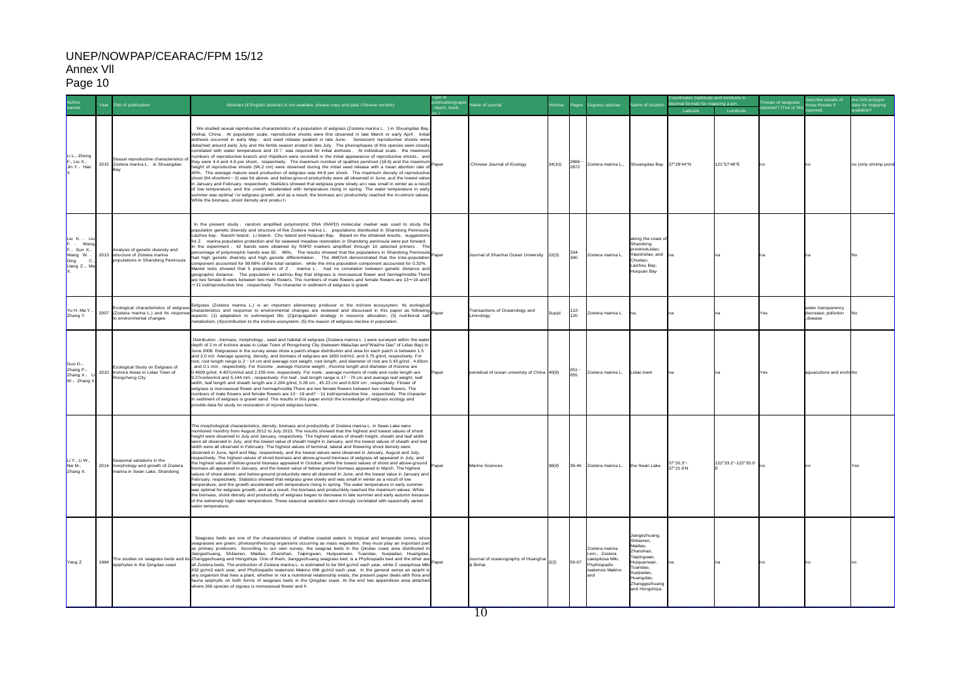|                                                                                 |      | itle of publication                                                                                       |                                                                                                                                                                                                                                                                                                                                                                                                                                                                                                                                                                                                                                                                                                                                                                                                                                                                                                                                                                                                                                                                                                                                                                                                                                                                                                                                                                                                                                                                                                                                                                                                                                                                                                                                                                                                                   | ame of journal<br>report, book | egrass species                                 | me of locatio | pordinates (latititude and lontitude in<br>decimal format) for mapping a pin                        |                                                                                                                                                            | hreats of seagrass     | Describe details of<br>those threats if | Are GIS polygon<br>data for mapping |                                                      |                      |
|---------------------------------------------------------------------------------|------|-----------------------------------------------------------------------------------------------------------|-------------------------------------------------------------------------------------------------------------------------------------------------------------------------------------------------------------------------------------------------------------------------------------------------------------------------------------------------------------------------------------------------------------------------------------------------------------------------------------------------------------------------------------------------------------------------------------------------------------------------------------------------------------------------------------------------------------------------------------------------------------------------------------------------------------------------------------------------------------------------------------------------------------------------------------------------------------------------------------------------------------------------------------------------------------------------------------------------------------------------------------------------------------------------------------------------------------------------------------------------------------------------------------------------------------------------------------------------------------------------------------------------------------------------------------------------------------------------------------------------------------------------------------------------------------------------------------------------------------------------------------------------------------------------------------------------------------------------------------------------------------------------------------------------------------------|--------------------------------|------------------------------------------------|---------------|-----------------------------------------------------------------------------------------------------|------------------------------------------------------------------------------------------------------------------------------------------------------------|------------------------|-----------------------------------------|-------------------------------------|------------------------------------------------------|----------------------|
|                                                                                 |      |                                                                                                           | Abstract (If English abstract is not availabe, please copy and past Chinese version)                                                                                                                                                                                                                                                                                                                                                                                                                                                                                                                                                                                                                                                                                                                                                                                                                                                                                                                                                                                                                                                                                                                                                                                                                                                                                                                                                                                                                                                                                                                                                                                                                                                                                                                              |                                |                                                |               |                                                                                                     |                                                                                                                                                            | Latitude               | Lontitude                               | eported? (Yes or No)                |                                                      |                      |
| Li L., Zheng<br>F., Liu X.,<br>Jin Y., Han                                      |      | exual reproductive characteristics of<br>2015 Zostera marina L. in Shuangdao                              | We studied sexual reproductive characteristics of a population of eelgrass (Zostera marina L. ) in Shuangdao Bay<br>Weihai, China, At population scale, reproductive shoots were first observed in late March or early April, Initial<br>inthesis occurred in early May, and seed release peaked in late June. Senescent reproductive shoots were<br>etached around early July and the fertile season ended in late July. The phenophases of this species were closely<br>orrelated with water temperature and 15°C was required for initial anthesis. At individual scale, the maximu<br>umbers of reproductive branch and rhipidium were recorded in the initial appearance of reproductive shoots, and<br>ney were 4.4 and 4.9 per shoot, respectively. The maximum number of spathes pershoot (18.6) and the maximum<br>eight of reproductive shoots (96.2 cm) were observed during the initial seed release with a mean abortion rate of<br>40%. The average mature seed production of eelgrass was 44.8 per shoot. The maximum density of reproductive<br>shoot (64 shoots m-2) was fot above- and below-ground productivity were all observed in June, and the lowest value<br>I January and February, respectively. Statistics showed that eelgrass grew slowly and was small in winter as a result<br>of low temperature, and the growth accelerated with temperature rising in spring. The water temperature in early<br>ummer was optimal for eelgrass growth, and as a result, the biomass and productivity reached the maximum values<br>While the biomass, shoot density and producti                                                                                                                                                                                                               | aper                           | Chinese Journal of Ecology                     | 34(10)        | 2866-<br>Zostera marina L.,<br>2872                                                                 | Shuangdao Bay                                                                                                                                              | 37°28'44"N             | 121°57'48"E                             |                                     |                                                      | no (only shrimp pono |
| Liu K., Li<br>F., Wang<br>F., Sun X.,<br>Wang W.,<br>Ding<br>- C<br>Liang Z, Ma | 2013 | Analysis of genetic diversity and<br>structure of Zostera marina<br>opulations in Shandong Peninsula      | In the present study, random amplified polymorphic DNA (RAPD) molecular marker was used to study the<br>opulation genetic diversity and structure of five Zostera marina L. populations distributed in Shandong Peninsula:<br>aizhou bay, Xiaoshi Island, Li Island, Chu Island and Huiquan Bay. Based on the obtained results, suggestions<br>or Z. marina population protection and for seaweed meadow restoration in Shandong peninsula were put forward,<br>n the experiment, 42 bands were obtained by RAPD markers amplified through 10 selected primers. The<br>ercentage of polymorphic bands was 92. 86%. The results showed that the populations in Shandong Peninsula<br>ad high genetic diversity and high genetic differentiation. The AMOVA demonstrated that the inter-population<br>omponent accounted for 99.68% of the total variation, while the intra population component accounted for 0.32%.<br>lantel tests showed that 5 populations of Z. marina L. had no correlation between genetic distance and<br>eographic distance. The population in Laizhou Bay that shlgrass is monosexual flower and hermaphrodite. There<br>are two female flowers between two male flowers. The numbers of male flowers and female flowers are 13~19 and7<br>11 ind/reproductive line, respectively . The character in sediment of eelgrass is gravel                                                                                                                                                                                                                                                                                                                                                                                                                                                      | aper                           | Journal of Shanhai Ocean University 22(3)      |               | 334-<br>Zostera marina L.<br>340                                                                    | long the coast<br>Shandong<br>rovinceLidao.<br>aoshidao, and<br>Chudao:<br>aizhou Bay<br>Huiquan Bay                                                       |                        |                                         |                                     |                                                      |                      |
| Yu H. Ma Y.<br>Zhang Y.                                                         | 2007 | cological characteristics of eelgrass<br>(Zostera marina L.) and Its response<br>to environmental changes | elgrass (Zostera marina L.) is an important elementary producer in the inshore ecosysytem. Its ecological<br>ergrass (Zoorera manna L.) is an important changes are reviewed and discussed in this paper as following<br>aspects: (1) adaptation to submerged life, (2)propagation strategy in resource allocation, (3) nutritional sal<br>etabolism, (4)contribution to the inshore ecosystem, (5) the reason of eelgrass decline in population.                                                                                                                                                                                                                                                                                                                                                                                                                                                                                                                                                                                                                                                                                                                                                                                                                                                                                                                                                                                                                                                                                                                                                                                                                                                                                                                                                                 |                                | Transactions of Oceanology and<br>Limnology    | Suppl.        | $112 -$<br>Zostera marina L.<br>120                                                                 |                                                                                                                                                            |                        |                                         | Yes                                 | water transparency<br>decrease: pollution<br>disease |                      |
| Guo D.:<br>Zhang P.<br>Zhang X.:<br>W.: Zhang >                                 |      | cological Study on Eelgrass of<br>2010 Inshore Areas in Lidao Town of<br>Ronachena City                   | Distribution, biomass, morphology, seed and habitat of eelgrass (Zostera marina L.) were surveyed within the water<br>epth of 2 m of inshore areas in Lidao Town of Rongcheng City (between MataJiao and"Waizhe Dao" of Lidao Bay) in<br>une 2008. Eelgrasses in the survey areas show a patch-shape distribution and area for each patch is between 1.5<br>nd 2.0 m2. Average spacing, density, and biomass of eelgrass are 1650 ind/m2, and 3.75 g/ind, respectively. For<br>oot, root length range is 2~14 cm and average root weight, root length, and diameter of root are 0.43 g/ind, 4.83cm<br>and 0.1 mm, respectively. For rhizome, average rhizome weight, rhizome length and diameter of rhizome are<br>4609 g/ind, 4.407cm/ind and 2.159 mm, respectively. For node, average numbers of node and node length are<br>.27nodes/ind and 5.144 mm, respectively .For leaf, leaf length range is 17~70 cm and average leaf weight, leaf<br>width, leaf length and sheath length are 2,294 g/ind, 5,28 cm, 45,23 cm and 6,824 cm, respectively. Flower of<br>elgrass is monosexual flower and hermaphrodite. There are two female flowers between two male flowers. The<br>umbers of male flowers and female flowers are 13~19 and7~11 ind/reproductive line, respectively .The character<br>sediment of eelgrass is gravel sand. The results in this paper enrich the knowledge of eelgrass ecology and<br>ovide data for study on restoration of injured eelgrass biome                                                                                                                                                                                                                                                                                                                                   | aper                           | perodical of ocean univeristy of China 40(9)   |               | $051 -$<br>Zostera marina L.<br>055                                                                 | Lidao town                                                                                                                                                 |                        |                                         | Yes                                 | aguaculture and encig No                             |                      |
| liY liW<br>Nie M<br>Zhang X.                                                    |      | easonal variations in the<br>2014 morphology and growth of Zostera<br>arina in Swan Lake, Shandong        | The morphological characteristics, density, biomass and productivity of Zostera marina L. in Swan Lake were<br>nonitored monthly from August 2012 to July 2013. The results showed that the highest and lowest values of shoot<br>eight were observed in July and January, respectively. The highest values of sheath height, sheath and leaf width<br>were all observed in July, and the lowest value of sheath height in January, and the lowest values of sheath and leaf<br>ridth were all observed in February. The highest values of terminal, lateral and flowering shoot density were<br>observed in June, April and May, respectively, and the lowest values were observed in January, August and July,<br>spectively. The highest values of shoot biomass and above-ground biomass of eelgrass all appeared in July, and<br>e highest value of below-ground biomass appeared in October, while the lowest values of shoot and above-ground<br>iomass all appeared in January, and the lowest value of below-ground biomass appeared in March. The highest<br>alues of shoot above- and below-ground productivity were all observed in June, and the lowest value in January and<br>ebruary, respectively. Statistics showed that eelgrass grew slowly and was small in winter as a result of low<br>emperature, and the growth accelerated with temperature rising in spring. The water temperature in early summer<br>vas optimal for eelgrass growth, and as a result, the biomass and productivity reached the maximum values. While<br>the biomass, shoot density and productivity of eelgrass began to decrease in late summer and early autumn because<br>of the extremely high water temperature. These seasonal variations were strongly correlated with seasonally varied<br>vater temperature | aner                           | Marine Sciences                                | 38(9)         | 39-46<br>Zostera marina I                                                                           | the Swan Lake                                                                                                                                              | 37°20.3'-<br>37°21.6'N | 122°33.2'~122°35.0'                     |                                     |                                                      |                      |
| Yang Z                                                                          | 1984 | epiphytes in the Qingdao coast                                                                            | Seagrass beds are one of the characteristics of shallow coastal waters in tropical and temperate zones, since<br>eagrasses are green, photosynthesizing organisms occurring as mass vegetation, they must play an important part<br>is primary producers. According to our own survey, the seagraa beds in the Qindao coast area distributed in<br>iangezhuang, Shilaoren, Maidao, Zhanshan, Taipingwan, Huiquanwan, Tuandao, Xuejiadao, Huangdao,<br>The studies on seagrass beds and its Zhanggezhuang and Hongshiya. One of them, Jianggezhuang seagrass bed, is a Phyllospadix bed and the other are<br>all Zostera beds. The production of Zostera marina L. is estimated to be 564 gc/m2 each year, while Z ceaspitosa Miki<br>432 gc/m2 each year, and Phyllospadix iwatensisi Makino 696 gc/m2 each year. In the general sense an epipht is<br>any organism that lives a plant, whether or not a nutritional relationship exists, the present paper deals with flora and<br>auna epiphytic on both forms of seagrass beds in the Qingdao coast. At the end two appendices area attached<br>where 266 species of sIgrass is monosexual flower and h                                                                                                                                                                                                                                                                                                                                                                                                                                                                                                                                                                                                                                                        | Paper                          | Journal of oceanography of Huanghai<br>& Bohai | 2(2)          | Zostera marina<br>Linn Zostera<br>aespitosa Miki,<br>56-67<br>Phyllospadix<br>atensis Makino<br>and | Jiangezhuang,<br>Shilaoren,<br>Maidao.<br>Zhanshan.<br>Taipingwan,<br>Huiguanwan.<br>Tuandao.<br>Kueijadao.<br>Huangdao,<br>Zhanggezhuang<br>and Hongshiya |                        |                                         |                                     |                                                      |                      |
|                                                                                 |      |                                                                                                           |                                                                                                                                                                                                                                                                                                                                                                                                                                                                                                                                                                                                                                                                                                                                                                                                                                                                                                                                                                                                                                                                                                                                                                                                                                                                                                                                                                                                                                                                                                                                                                                                                                                                                                                                                                                                                   |                                | 10                                             |               |                                                                                                     |                                                                                                                                                            |                        |                                         |                                     |                                                      |                      |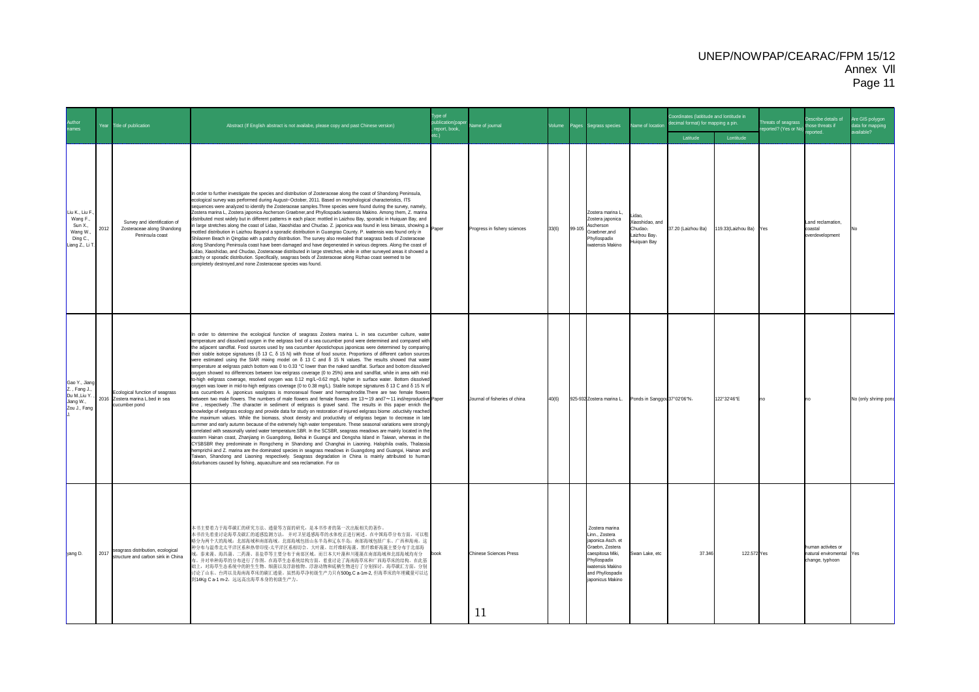| uthor<br>ames                                                                |      | Year Title of publication                                                            | Abstract (If English abstract is not availabe, please copy and past Chinese version)                                                                                                                                                                                                                                                                                                                                                                                                                                                                                                                                                                                                                                                                                                                                                                                                                                                                                                                                                                                                                                                                                                                                                                                                                                                                                                                                                                                                                                                                                                                                                                                                                                                                                                                                                                                                                                                                                                                                                                                                                                                                                                                                                                                                                                                                                                                                                        | Type of<br>oublication (pape<br>report, book, | lame of journal                     | olume | Pages<br>Segrass species                                                                                                                                                 | lame of location                                              | oordinates (latititude and lontitude in<br>ecimal format) for mapping a pin. |                    | Threats of seagrass<br>eported? (Yes or No | Jescribe details of<br>those threats if                           | <b>Are GIS polygon</b><br>data for mapping |
|------------------------------------------------------------------------------|------|--------------------------------------------------------------------------------------|---------------------------------------------------------------------------------------------------------------------------------------------------------------------------------------------------------------------------------------------------------------------------------------------------------------------------------------------------------------------------------------------------------------------------------------------------------------------------------------------------------------------------------------------------------------------------------------------------------------------------------------------------------------------------------------------------------------------------------------------------------------------------------------------------------------------------------------------------------------------------------------------------------------------------------------------------------------------------------------------------------------------------------------------------------------------------------------------------------------------------------------------------------------------------------------------------------------------------------------------------------------------------------------------------------------------------------------------------------------------------------------------------------------------------------------------------------------------------------------------------------------------------------------------------------------------------------------------------------------------------------------------------------------------------------------------------------------------------------------------------------------------------------------------------------------------------------------------------------------------------------------------------------------------------------------------------------------------------------------------------------------------------------------------------------------------------------------------------------------------------------------------------------------------------------------------------------------------------------------------------------------------------------------------------------------------------------------------------------------------------------------------------------------------------------------------|-----------------------------------------------|-------------------------------------|-------|--------------------------------------------------------------------------------------------------------------------------------------------------------------------------|---------------------------------------------------------------|------------------------------------------------------------------------------|--------------------|--------------------------------------------|-------------------------------------------------------------------|--------------------------------------------|
|                                                                              |      |                                                                                      |                                                                                                                                                                                                                                                                                                                                                                                                                                                                                                                                                                                                                                                                                                                                                                                                                                                                                                                                                                                                                                                                                                                                                                                                                                                                                                                                                                                                                                                                                                                                                                                                                                                                                                                                                                                                                                                                                                                                                                                                                                                                                                                                                                                                                                                                                                                                                                                                                                             | etc.).                                        |                                     |       |                                                                                                                                                                          |                                                               | Latitude                                                                     | Lontitude          |                                            | <b>renorted</b>                                                   | wailable?                                  |
| Liu K., Liu F.<br>Wang F.,<br>Sun X<br>Wang W.<br>Ding C.,<br>Liang Z., Li T | 2012 | Survey and identification of<br>Zosteraceae along Shandong<br>Peninsula coast        | In order to further investigate the species and distribution of Zosteraceae along the coast of Shandong Peninsula,<br>ecological survey was performed during August~October, 2011. Based on morphological characteristics, ITS<br>sequences were analyzed to identify the Zosteraceae samples. Three species were found during the survey, namely,<br>Zostera marina L, Zostera japonica Ascherson Graebner, and Phyllospadix iwatensis Makino. Among them, Z. marina<br>.<br>Iistributed most widely but in different patterns in each place: mottled in Laizhou Bay, sporadic in Huiquan Bay, and<br>I large stretches along the coast of Lidao, Xiaoshidao and Chudao. Z. japonica was found in less bimass, showing a<br>nottled distribution in Laizhou Bayand a sporadic distribution in Guangrao County. P. iwatensis was found only in<br>Shilaoren Beach in Qingdao with a patchy distribution. The survey also revealed that seagrass beds of Zosteraceae<br>along Shandong Peninsula coast have been damaged and have degenerated in various degrees. Along the coast of<br>Lidao, Xiaoshidao, and Chudao, Zosteraceae distributed in large stretches, while in other surveyed areas it showed a<br>patchy or sporadic distribution. Specifically, seagrass beds of Zosteraceae along Rizhao coast seemed to be<br>completely destroyed, and none Zosteraceae species was found.                                                                                                                                                                                                                                                                                                                                                                                                                                                                                                                                                                                                                                                                                                                                                                                                                                                                                                                                                                                                                                                 | Paper                                         | Progress in fishery sciences        | 33(6) | Zostera marina L,<br>Zostera japonica<br>Ascherson<br>99-105<br>Graebner.and<br>Phyllospadix<br>watensis Makino                                                          | idan<br>aoshidao, and<br>hudao:<br>aizhou Bay,<br>luiquan Bay | 37.20 (Laizhou Ba)                                                           | 119.33(Laizhou Ba) | Yes                                        | and reclamation.<br>coastal<br>overdevelopment                    |                                            |
| Gao Y., Jiang<br>Z., Fang J.,<br>Du M., Liu Y.<br>Jiang W.,<br>Zou J., Fang  |      | Ecological function of seagrass<br>2016 Zostera marina L.bed in sea<br>cucumber pond | In order to determine the ecological function of seagrass Zostera marina L. in sea cucumber culture, water<br>temperature and dissolved oxygen in the eelgrass bed of a sea cucumber pond were determined and compared with<br>the adjacent sandflat. Food sources used by sea cucumber Apostichopus japonicas were determined by comparing<br>their stable isotope signatures (ö 13 C, ö 15 N) with those of food source. Proportions of different carbon sources<br>were estimated using the SIAR mixing model on $\delta$ 13 C and $\delta$ 15 N values. The results showed that water<br>temperature at eelgrass patch bottom was 0 to 0.33 °C lower than the naked sandflat. Surface and bottom dissolved<br>oxygen showed no differences between low eelgrass coverage (0 to 25%) area and sandflat, while in area with mid-<br>to-high eelgrass coverage, resolved oxygen was 0.12 mg/L~0.62 mg/L higher in surface water. Bottom dissolved<br>oxygen was lower in mid-to-high eelgrass coverage (0 to 0.38 mg/L). Stable isotope signatures õ 13 C and õ 15 N of<br>sea cucumbers A japonicus waslgrass is monosexual flower and hermaphrodite. There are two female flowers<br>between two male flowers. The numbers of male flowers and female flowers are 13~19 and7~11 ind/reproductive Paper<br>line, respectively .The character in sediment of eelgrass is gravel sand. The results in this paper enrich the<br>knowledge of eelgrass ecology and provide data for study on restoration of injured eelgrass biome .oductivity reached<br>the maximum values. While the biomass, shoot density and productivity of eelorass began to decrease in late<br>summer and early autumn because of the extremely high water temperature. These seasonal variations were strongly<br>correlated with seasonally varied water temperature.SBR. In the SCSBR, seagrass meadows are mainly located in the<br>eastern Hainan coast, Zhanjiang in Guangdong, Beihai in Guangxi and Dongsha Island in Taiwan, whereas in the<br>CYSBSBR they predominate in Rongcheng in Shandong and Changhai in Liaoning. Halophila ovalis, Thalassia<br>emprichii and Z. marina are the dominated species in seagrass meadows in Guangdong and Guangxi, Hainan and<br>Taiwan, Shandong and Liaoning respectively. Seagrass degradation in China is mainly attributed to human<br>disturbances caused by fishing, aquaculture and sea reclamation. For co |                                               | Journal of fisheries of china       | 40(6) | 925-932 Zostera marina L.                                                                                                                                                | Ponds in Sanggou 37°02'06"N.                                  |                                                                              | 122°32'46"E        |                                            |                                                                   | No (only shrimp pond                       |
| yang D.                                                                      | 2017 | seagrass distribution, ecological<br>structure and carbon sink in China              | 本书主要着力于海草碳汇的研究方法、通量等方面的研究, 是本书作者的第一次出版相关的著作。<br>本书首先着重讨论海草及碳汇的遥感监测方法, 并对卫星遥感海草的水体校正进行阐述。在中国海草分布方面, 可以粗<br>略分为两个大的海域: 北部海域和南部海域。北部海域包括山东半岛和辽东半岛; 南部海域包括广东、广西和海南。这<br>种分布与温带北太平洋区系和热带印度-太平洋区系相切合。大叶藻、红纤维虾海藻、黑纤维虾海藻主要分布于北部海<br>域,泰来藻、海昌蒲、二药藻、喜盐草等主要分布于南部区域。而日本大叶藻和川蔓藻在南部海域和北部海域均有分<br>5。并对单种海草的分布进行了作图。在海草生态系统结构方面,着重讨论了海南海草床和广西海草床的结构。在此基<br>础上, 对海草生态系统中的附生生物、细菌以及浮游植物、浮游动物和底栖生物进行了分别探讨。海草碳汇方面, 分别<br>讨论了山东、台湾以及海南海草床的碳汇通量。虽然海草净初级生产力只有500g.C a-1m-2, 但海草床的年埋藏量可以达<br>到14Kg C a-1 m-2, 远远高出海草本身的初级生产力。                                                                                                                                                                                                                                                                                                                                                                                                                                                                                                                                                                                                                                                                                                                                                                                                                                                                                                                                                                                                                                                                                                                                                                                                                                                                                                                                                                                                                                                                                                                                                                                                                                                                                                                                                                                                                                                                                                                                       | book                                          | <b>Chinese Sciences Press</b><br>11 |       | Zostera marina<br>Linn., Zostera<br>japonica Asch. et<br>Graebn, Zostera<br>caespitosa Miki.<br>Phyllospadix<br>iwatensis Makino<br>and Phyllospadix<br>japonicus Makino | Swan Lake, etc                                                | 37.346                                                                       | 122.572 Yes        |                                            | human activites or<br>natural enviromental Yes<br>change, typhoon |                                            |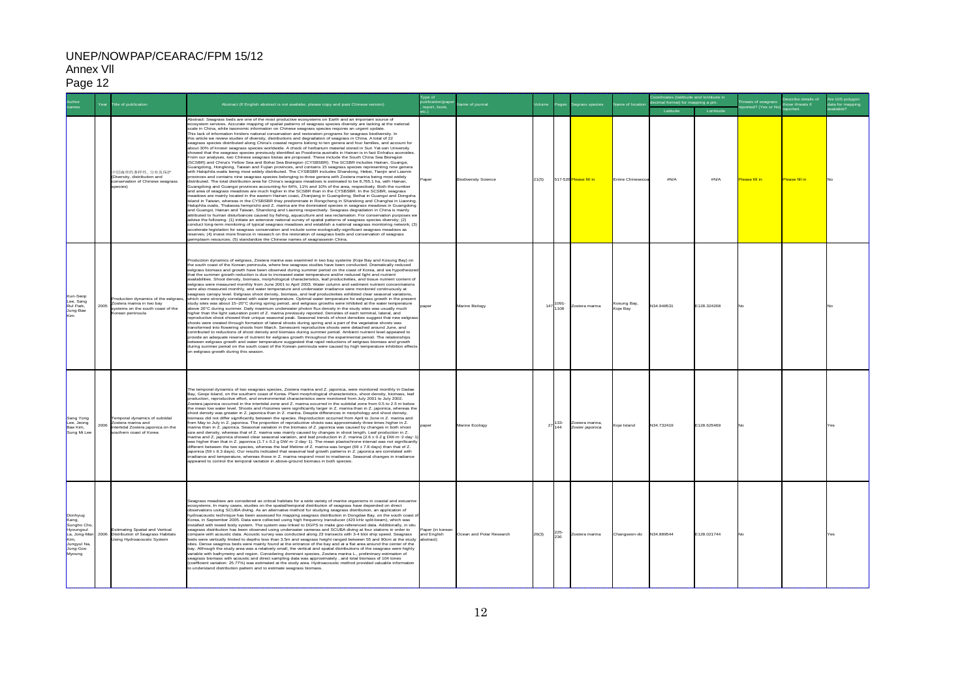| Ю<br>ıρ<br>-<br>┍ |  |
|-------------------|--|
|-------------------|--|

|                                                                                                         | Year | Title of publication                                                                                                    | Abstract (If English abstract is not availabe, please copy and past Chinese version)                                                                                                                                                                                                                                                                                                                                                                                                                                                                                                                                                                                                                                                                                                                                                                                                                                                                                                                                                                                                                                                                                                                                                                                                                                                                                                                                                                                                                                                                                                                                                                                                                                                                                                                                                                                                                                                                                                                                                                                                                                                                                                                                                                                                                                                                                                                                                                                                                                                                                                                                                                                                                                                                                                                                                                                                                                                                                                                           | vpe of<br>report, book                    | me of iourna                |       |                    | orass species                     | me of locati                  | oordinates (latititude and lontitude in<br>cimal format) for mapping a pin<br>Latitude | Lontitude   | escribe details of<br>reats of seagrass<br>hose threats if<br>ported? (Yes or No)<br>behore | re GIS polygor<br>lata for mapping<br>vailable? |
|---------------------------------------------------------------------------------------------------------|------|-------------------------------------------------------------------------------------------------------------------------|----------------------------------------------------------------------------------------------------------------------------------------------------------------------------------------------------------------------------------------------------------------------------------------------------------------------------------------------------------------------------------------------------------------------------------------------------------------------------------------------------------------------------------------------------------------------------------------------------------------------------------------------------------------------------------------------------------------------------------------------------------------------------------------------------------------------------------------------------------------------------------------------------------------------------------------------------------------------------------------------------------------------------------------------------------------------------------------------------------------------------------------------------------------------------------------------------------------------------------------------------------------------------------------------------------------------------------------------------------------------------------------------------------------------------------------------------------------------------------------------------------------------------------------------------------------------------------------------------------------------------------------------------------------------------------------------------------------------------------------------------------------------------------------------------------------------------------------------------------------------------------------------------------------------------------------------------------------------------------------------------------------------------------------------------------------------------------------------------------------------------------------------------------------------------------------------------------------------------------------------------------------------------------------------------------------------------------------------------------------------------------------------------------------------------------------------------------------------------------------------------------------------------------------------------------------------------------------------------------------------------------------------------------------------------------------------------------------------------------------------------------------------------------------------------------------------------------------------------------------------------------------------------------------------------------------------------------------------------------------------------------------|-------------------------------------------|-----------------------------|-------|--------------------|-----------------------------------|-------------------------------|----------------------------------------------------------------------------------------|-------------|---------------------------------------------------------------------------------------------|-------------------------------------------------|
|                                                                                                         |      | 中国海草的多样性 分布及保护<br>(Diversity, distribution and<br>conservation of Chinese seagrass<br>species)                          | Abstract: Seagrass beds are one of the most productive ecosystems on Earth and an important source of<br>ecosystem services. Accurate mapping of spatial patterns of seagrass species diversity are lacking at the national<br>scale in China, while taxonomic information on Chinese seagrass species requires an urgent update.<br>This lack of information hinders national conservation and restoration programs for seagrass biodiversity. In<br>this article we review studies of diversity, distributions and degradation of seagrass in China. A total of 22<br>seagrass species distributed along China's coastal regions belong to ten genera and four families, and account for<br>about 30% of known seagrass species worldwide. A check of herbarium material stored in Sun Yat-sen University<br>showed that the seagrass species previously identified as Posidonia australis in Hainan is in fact Enhalus acoroides<br>From our analyses, two Chinese seagrass biotas are proposed. These include the South China Sea Bioregion<br>(SCSBR) and China's Yellow Sea and Bohai Sea Bioregion (CYSBSBR). The SCSBR includes Hainan, Guangxi,<br>Suangdong, Hongkong, Taiwan and Fulian provinces, and contains 15 seagrass species representing nine general<br>ith Halophila ovalis being most widely distributed. The CYSBSBR includes Shandong, Hebei, Tianjin and Liaonin<br>rovinces and contains nine seagrass species belonging to three genera with Zostera marina being most widely<br>istributed. The total distribution area for China's seagrass meadows is estimated to be 8,765.1 ha, with Hainan,<br>Guangdong and Guangxi provinces accounting for 64%, 11% and 10% of the area, respectively. Both the number<br>and area of seagrass meadows are much higher in the SCSBR than in the CYSBSBR. In the SCSBR, seagrass<br>meadows are mainly located in the eastern Hainan coast, Zhanjiang in Guangdong, Beihai in Guangxi and Dongsha<br>Island in Taiwan, whereas in the CYSBSBR they predominate in Rongcheng in Shandong and Changhai in Liaoning<br>Halophila ovalis. Thalassia hemorichii and Z. marina are the dominated species in seagrass meadows in Guangdong<br>and Guangxi, Hainan and Taiwan, Shandong and Liaoning respectively. Seagrass degradation in China is mainly<br>attributed to human disturbances caused by fishing, aguaculture and sea reclamation. For conservation purposes we<br>advise the following: (1) initiate an extensive national survey of spatial patterns of seagrass species diversity; (2)<br>conduct long-term monitoring of typical seagrass meadows and establish a national seagrass monitoring network; (3)<br>accelerate legislation for seagrass conservation and include some ecologically-significant seagrass meadows as<br>reserves; (4) invest more finance in research on the restoration of seagrass beds and conservation of seagrass<br>ermplasm resources: (5) standardize the Chinese names of seagrassesin China. | aper                                      | <b>Biodiversity Science</b> | 21(5) |                    | 517-526 Please fill in            | Entire Chineseco              | #N/A                                                                                   | #N/A        | lease fill in<br>Please fill in                                                             | <b>No</b>                                       |
| Kun-Seco<br>Lee, Sang<br>Rul Park,<br>Jung-Bae                                                          | 2005 | roduction dynamics of the eelgras<br>Zostera marina in two bay<br>systems on the south coast of the<br>Korean peninsula | Production dynamics of eelgrass, Zostera marina was examined in two bay systems (Koje Bay and Kosung Bay) on<br>the south coast of the Korean peninsula, where few seagrass studies have been conducted. Dramatically reduced<br>eelgrass biomass and growth have been observed during summer period on the coast of Korea, and we hypothesize<br>that the summer growth reduction is due to increased water temperature and/or reduced light and nutrient<br>availabilities. Shoot density, biomass, morphological characteristics, leaf productivities, and tissue nutrient content of<br>eelgrass were measured monthly from June 2001 to April 2003. Water column and sediment nutrient concentrations<br>vere also measured monthly, and water temperature and underwater irradiance were monitored continuously at<br>agrass canopy level. Eelgrass shoot density, biomass, and leaf productivities exhibited clear seasonal variations,<br>which were strongly correlated with water temperature. Optimal water temperature for eelgrass growth in the present<br>study sites was about 15-20°C during spring period, and eelgrass growths were inhibited at the water temperature<br>above 20°C during summer. Daily maximum underwater photon flux density in the study sites was usually much<br>higher than the light saturation point of Z. marina previously reported. Densities of each terminal, lateral, and<br>reproductive shoot showed their unique seasonal peak. Seasonal trends of shoot densities suggest that new eelgray<br>shoots were created through formation of lateral shoots during spring and a part of the vegetative shoots was<br>transformed into flowering shoots from March. Senescent reproductive shoots were detached around June, and<br>contributed to reductions of shoot density and biomass during summer period. Ambient nutrient level appeared to<br>rovide an adequate reserve of nutrient for eelgrass growth throughout the experimental period. The relationships<br>etween eelgrass growth and water temperature suggested that rapid reductions of eelgrass biomass and growth<br>during summer period on the south coast of the Korean peninsula were caused by high temperature inhibition effects<br>on eelgrass growth during this season.                                                                                                                                                                                                                                                                                                                                                                                                                                                                                                                                                                                                                                                                                                         | aper                                      | Marine Biology              |       | 1091-<br>1108      | Zostera marina                    | Kosung Bay<br><b>Koie Bav</b> | N34.948531                                                                             | E128.324208 |                                                                                             |                                                 |
| Sang Yong<br>Lee, Jeong<br>Rae Kim<br>Sung Mi Lee                                                       | 2006 | Femporal dynamics of subtidal<br>Zostera marina and<br>intertidal Zostera iaponica on the<br>southern coast of Korea    | The temporal dynamics of two seagrass species, Zostera marina and Z. japonica, were monitored monthly in Dadae<br>Bay, Geoje Island, on the southern coast of Korea. Plant morphological characteristics, shoot density, biomass, leaf<br>production, reproductive effort, and environmental characteristics were monitored from July 2001 to July 2002.<br>Zostera japonica occurred in the intertidal zone and Z. marina occurred in the subtidal zone from 0.5 to 2.5 m below<br>the mean low water level. Shoots and rhizomes were significantly larger in Z. marina than in Z. japonica, whereas the<br>shoot density was greater in Z. japonica than in Z. marina. Despite differences in morphology and shoot density,<br>omass did not differ significantly between the species. Reproduction occurred from April to June in Z. marina and<br>rom May to July in Z. japonica. The proportion of reproductive shoots was approximately three times higher in Z.<br>marina than in Z. japonica. Seasonal variation in the biomass of Z. japonica was caused by changes in both shoot<br>size and density, whereas that of Z. marina was mainly caused by changes in shoot length. Leaf production in Z.<br>marina and Z, iaponica showed clear seasonal variation, and leaf production in Z, marina (2.6 ± 0.2 g DW-m-2-day-1<br>was higher than that in Z. japonica (1.7 ± 0.2 g DW-m-2-day-1). The mean plastochrone interval was not significantly<br>different between the two species, whereas the leaf lifetime of Z. marina was longer (69 ± 7.8 days) than that of Z.<br>japonica (59 ± 8.3 days). Our results indicated that seasonal leaf growth patterns in Z. japonica are correlated with<br>radiance and temperature, whereas those in Z. marina respond most to irradiance. Seasonal changes in irradiance<br>appeared to control the temporal variation in above-ground biomass in both species.                                                                                                                                                                                                                                                                                                                                                                                                                                                                                                                                                                                                                                                                                                                                                                                                                                                                                                                                                                                                                                                                                         | aner                                      | Marine Ecology              |       | 133-<br>$27_{144}$ | Zostera marina<br>Zoster japonica | Koie Island                   | N34.732419                                                                             | E128.625469 |                                                                                             | (AR                                             |
| Donhyug<br>Kang.<br>Sungho Cho<br>Hyoungsul<br>La, Jong-Man<br>Kim,<br>Jungyul Na<br>Jung-Goo<br>Myoung |      | Estimating Spatial and Vertical<br>2006 Distribution of Seagrass Habitats<br>Using Hydroacoustic System                 | Seagrass meadows are considered as critical habitats for a wide variety of marine organisms in coastal and estuarine<br>ecosystems. In many cases, studies on the spatial/temporal distribution of seagrass have depended on direct<br>observations using SCUBA diving. As an alternative method fur studying seagrass distribution, an application of<br>hydroacoustic technique has been assessed for mapping seagrass distribution in Dongdae Bay, on the south coast o<br>Korea, in September 2005, Data were collected using high frequency transducer (420 kHz split-beam), which was<br>installed with towed body system. The system was linked to DGPS to make goo-referenced data. Additionally, in situ<br>agrass distribution has been observed using underwater cameras and SCUBA diving at four stations in order to<br>compare with acoustic data. Acoustic survey was conducted along 23 transects with 3-4 blot ship speed. Seagrass<br>ds were vertically limited to depths less than 3.5m and seagrass height ranged between 55 and 90cm at the study<br>sites. Dense seagmss beds were mainly found at the entrance of the bay and at a flat area around the center of the<br>bay. Although the study area was a relatively small, the vertical and spatial distributions of the seagrass were highly<br>variable with bathymetry and region. Considering dominant species, Zostera marina L., preliminary estimation of<br>seagrass biomass with acoustic and direct sampling data was approximately, and total biomass of 104 tones<br>coefficient variation: 25.77%) was estimated at the study area. Hydroacoustic method provided valuable information<br>to understand distribution pattern and to estimate seagrass biomass.                                                                                                                                                                                                                                                                                                                                                                                                                                                                                                                                                                                                                                                                                                                                                                                                                                                                                                                                                                                                                                                                                                                                                                                                                                                         | aper (in korear<br>and English<br>stract) | Ocean and Polar Research    | 28(3) | 225<br>236         | Zostera marina                    | Changseon-do                  | N34.889544                                                                             | E128.021744 |                                                                                             | res                                             |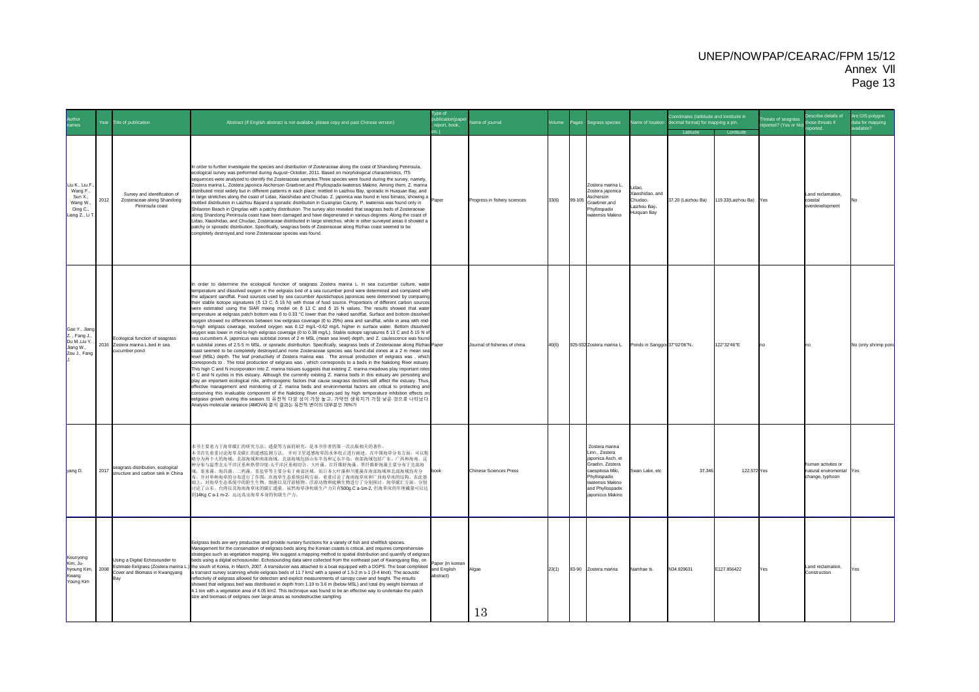| names.                                                                        | Year | Title of publication                                                                                            | Abstract (If English abstract is not availabe, please copy and past Chinese version)                                                                                                                                                                                                                                                                                                                                                                                                                                                                                                                                                                                                                                                                                                                                                                                                                                                                                                                                                                                                                                                                                                                                                                                                                                                                                                                                                                                                                                                                                                                                                                                                                                                                                                                                                                                                                                                                                                                                                                                                                                                                                                                                                                                                                                                                                                                              | Type of<br>report, book                      | lame of iournal               | olume | Pages  | egrass species                                                                                                                                                           | lame of location                                                  | ordinates (latititude and lontitude in<br>fecimal format) for mapping a pin.<br><b>Latitude</b> | <b>Lontitude</b>       | hreats of seagrass<br>eported? (Yes or No | escribe details of<br>those threats if<br><b>ported</b>       | Are GIS polygon<br>data for mapping<br>available? |
|-------------------------------------------------------------------------------|------|-----------------------------------------------------------------------------------------------------------------|-------------------------------------------------------------------------------------------------------------------------------------------------------------------------------------------------------------------------------------------------------------------------------------------------------------------------------------------------------------------------------------------------------------------------------------------------------------------------------------------------------------------------------------------------------------------------------------------------------------------------------------------------------------------------------------------------------------------------------------------------------------------------------------------------------------------------------------------------------------------------------------------------------------------------------------------------------------------------------------------------------------------------------------------------------------------------------------------------------------------------------------------------------------------------------------------------------------------------------------------------------------------------------------------------------------------------------------------------------------------------------------------------------------------------------------------------------------------------------------------------------------------------------------------------------------------------------------------------------------------------------------------------------------------------------------------------------------------------------------------------------------------------------------------------------------------------------------------------------------------------------------------------------------------------------------------------------------------------------------------------------------------------------------------------------------------------------------------------------------------------------------------------------------------------------------------------------------------------------------------------------------------------------------------------------------------------------------------------------------------------------------------------------------------|----------------------------------------------|-------------------------------|-------|--------|--------------------------------------------------------------------------------------------------------------------------------------------------------------------------|-------------------------------------------------------------------|-------------------------------------------------------------------------------------------------|------------------------|-------------------------------------------|---------------------------------------------------------------|---------------------------------------------------|
| Liu K., Liu F<br>Wang F.,<br>Sun X.,<br>Wang W.<br>Ding C.,<br>Liang Z., Li T | 2012 | Survey and identification of<br>Zosteraceae along Shandong<br>Peninsula coast                                   | In order to further investigate the species and distribution of Zosteraceae along the coast of Shandong Peninsula,<br>ecological survey was performed during August~October, 2011. Based on morphological characteristics, ITS<br>equences were analyzed to identify the Zosteraceae samples. Three species were found during the survey, namely,<br>ostera marina L, Zostera japonica Ascherson Graebner, and Phyllospadix iwatensis Makino. Among them, Z. marina<br>istributed most widely but in different patterns in each place: mottled in Laizhou Bay, sporadic in Huiquan Bay, and<br>istributed must widely but in unleast it particle in contractions and Chudao. Z. japonica was found in less bimass, showing a paper<br>nottled distribution in Laizhou Bayand a sporadic distribution in Guangrao County. P. iwatensis was found only in<br>hilaoren Beach in Qingdao with a patchy distribution. The survey also revealed that seagrass beds of Zosteraceae<br>along Shandong Peninsula coast have been damaged and have degenerated in various degrees. Along the coast of<br>idao, Xiaoshidao, and Chudao, Zosteraceae distributed in large stretches, while in other surveyed areas it showed a<br>atchy or sporadic distribution. Specifically, seagrass beds of Zosteraceae along Rizhao coast seemed to be<br>completely destroyed, and none Zosteraceae species was found.                                                                                                                                                                                                                                                                                                                                                                                                                                                                                                                                                                                                                                                                                                                                                                                                                                                                                                                                                                                                                 |                                              | Progress in fishery sciences  | 33(6) | 99-105 | Zostera marina L.<br>Zostera japonica<br>Ascherson<br>Graebner and<br>Phyllospadix<br>watensis Makino                                                                    | idao<br>Xiaoshidao, and<br>Chudao:<br>Laizhou Bav-<br>Huiquan Bay | 37.20 (Laizhou Ba)                                                                              | 119.33(Laizhou Ba) Yes |                                           | Land reclamation.<br>haetal<br>verdevelopment                 |                                                   |
| Gao Y., Jiano<br>Z., Fang J.,<br>Du M., Liu Y.<br>Jiang W.,<br>Zou J., Fang   |      | Ecological function of seagrass<br>2016 Zostera marina L.bed in sea<br>ucumber pond                             | n order to determine the ecological function of seagrass Zostera marina L. in sea cucumber culture, water<br>temperature and dissolved oxygen in the eelgrass bed of a sea cucumber pond were determined and compared with<br>he adjacent sandflat. Food sources used by sea cucumber Apostichopus japonicas were determined by comparing<br>heir stable isotope signatures (δ 13 C, δ 15 N) with those of food source. Proportions of different carbon sources<br>were estimated using the SIAR mixing model on δ 13 C and δ 15 N values. The results showed that water<br>emperature at eelgrass patch bottom was 0 to 0.33 °C lower than the naked sandflat. Surface and bottom dissolved<br>xygen showed no differences between low eelgrass coverage (0 to 25%) area and sandflat, while in area with mid-<br>o-high eelgrass coverage, resolved oxygen was 0.12 mg/L~0.62 mg/L higher in surface water. Bottom dissolved<br>xygen was lower in mid-to-high eelgrass coverage (0 to 0.38 mg/L). Stable isotope signatures ō 13 C and ō 15 N of<br>sea cucumbers A. japonicus was subtidal zones of 2 m MSL (mean sea level) depth, and Z. caulescence was found<br>subtidal zones of 2.5-5 m MSL. or sporadic distribution. Specifically, seagrass beds of Zosteraceae along Rizhao Paper<br>oast seemed to be completely destroyed, and none Zosteraceae species was found.idal zones at a 2 m mean sea<br>evel (MSL) depth. The leaf productivity of Zostera marina was . The annual production of eelgrass was , which<br>corresponds to . The total production of eelgrass was , which corresponds to a beds in the Nakdong River estuary.<br>This high C and N incorporation into Z. marina tissues suggests that existing Z. marina meadows play important roles<br>n C and N cycles in this estuary. Although the currently existing Z. marina beds in this estuary are persisting and<br>play an important ecological role, anthropogenic factors that cause seagrass declines still affect the estuary. Thus,<br>effective management and monitoring of Z. marina beds and environmental factors are critical to protecting and<br>conserving this invaluable component of the Nakdong River estuary.sed by high temperature inhibition effects on<br>elgrass growth during this season.의 유전적 다양 성이 가장 높고, 가막만 생육지가 가장 낮은 것으로 나타났다.<br>Analysis molecular variance (AMOVA) 분석 결과는 유전적 변이의 대부분인 76%가 |                                              | Journal of fisheries of china | 40(6) |        | 925-932 Zostera marina L.                                                                                                                                                | Ponds in Sanggou 37°02'06"N.                                      |                                                                                                 | 122°32'46"E            |                                           |                                                               | No (only shrimp pone                              |
| yang D.                                                                       |      | 2017 seagrass distribution, ecological<br>structure and carbon sink in China                                    | 本书主要着力于海草碳汇的研究方法、通量等方面的研究, 是本书作者的第一次出版相关的著作。<br>本书首先着重讨论海草及碳汇的遥感监测方法, 并对卫星遥感海草的水体校正进行阐述。在中国海草分布方面, 可以粗<br>咯分为两个大的海域: 北部海域和南部海域。北部海域包括山东半岛和辽东半岛; 南部海域包括广东、广西和海南。这<br>+分布与温带北太平洋区系和热带印度-太平洋区系相切合。大叶藻、红纤维虾海藻、黑纤维虾海藻主要分布于北部海<br>或,泰来藻、海昌蒲、二药藻、喜盐草等主要分布于南部区域。而日本大叶藻和川蔓藻在南部海域和北部海域均有分<br>布。并对单种海草的分布进行了作图。在海草生态系统结构方面,着重讨论了海南海草床和广西海草床的结构。在此基<br><b>出上,对海草生态系统中的附生生物、细菌以及浮游植物、浮游动物和底栖生物进行了分别探讨。海草碳汇方面,分别</b><br>寸论了山东、台湾以及海南海草床的碳汇通量。虽然海草净初级生产力只有500g.C a-1m-2, 但海草床的年埋藏量可以达<br>到14Kg C a-1 m-2, 远远高出海草本身的初级生产力。                                                                                                                                                                                                                                                                                                                                                                                                                                                                                                                                                                                                                                                                                                                                                                                                                                                                                                                                                                                                                                                                                                                                                                                                                                                                                                                                                                                                                                                                                                                                                                                                                                                                                                                                                                                                                                                                                                        | lbook                                        | <b>Chinese Sciences Press</b> |       |        | Zostera marina<br>Linn., Zostera<br>ianonica Asch. et<br>Graebn, Zostera<br>caespitosa Miki.<br>Phyllospadix<br>iwatensis Makino<br>and Phyllospadix<br>japonicus Makino | Swan Lake, etc                                                    | 37.346                                                                                          | 122.572 Yes            |                                           | human activites or<br>natural enviromental<br>change, typhoon | Yes                                               |
| Keunyong<br>Kim, Ju-<br>hyoung Kim,<br>Kwang<br>Young Kim                     | 2008 | Jsing a Digital Echosounder to<br>Estimate Eelgrass (Zostera marina L.<br>Cover and Biomass in Kwangyang<br>Bay | Eelgrass beds are very productive and provide nursery functions for a variety of fish and shellfish species.<br>Management for the conservation of eelgrass beds along the Korean coasts is critical, and requires comprehensive<br>trategies such as vegetation mapping. We suggest a mapping method to spatial distribution and quantify of eelgrass<br>eds using a digital echosounder. Echosounding data were collected from the northeast part of Kwangyang Bay, on<br>the south of Korea, in March, 2007. A transducer was attached to a boat equipped with a DGPS. The boat completed<br>a transect survey scanning whole eelgrass beds of 11.7 km2 with a speed of 1.5-2 m s-1 (3-4 knot). The acoustic<br>eflectivity of eelgrass allowed for detection and explicit measurements of canopy cover and height. The results<br>showed that eelgrass bed was distributed in depth from 1.19 to 3.6 m (below MSL) and total dry weight biomass of<br>4.1 ton with a vegetation area of 4.05 km2. This technique was found to be an effective way to undertake the patch<br>size and biomass of eelgrass over large areas as nondestructive sampling.                                                                                                                                                                                                                                                                                                                                                                                                                                                                                                                                                                                                                                                                                                                                                                                                                                                                                                                                                                                                                                                                                                                                                                                                                                                         | Paper (in korean<br>and English<br>abstract) | Algae<br>13                   | 23(1) | 83-90  | Zostera marina                                                                                                                                                           | Namhae Is.                                                        | N34.929631                                                                                      | E127.856422            | Yes                                       | Land reclamation,<br>Construction                             | Yes                                               |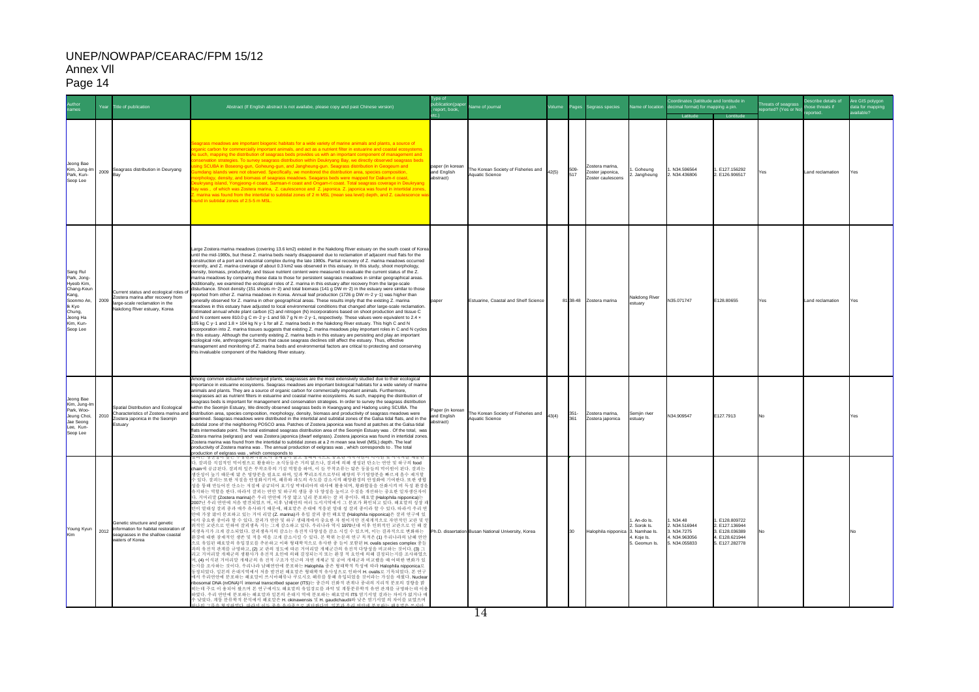|                                                                                                                                    |      | <b>Title of publication</b>                                                                                                                   | Abstract (If English abstract is not availabe, please copy and past Chinese version)                                                                                                                                                                                                                                                                                                                                                                                                                                                                                                                                                                                                                                                                                                                                                                                                                                                                                                                                                                                                                                                                                                                                                                                                                                                                                                                                                                                                                                                                                                                                                                                                                                                                                                                                                                                                                                                                                                                                                                                                                                                                                                                                    | Type of<br>renort book                       | ame of journal                                                |       |                | egrass species                                          | ame of locatio                                                   | Coordinates (latititude and lontitude in<br>ecimal format) for mapping a pin. |                                                                                     | hreats of seagrass<br>ported? (Yes or No) | escribe details of<br>hose threats if | Are GIS polygon<br>data for mapping<br>wailable? |
|------------------------------------------------------------------------------------------------------------------------------------|------|-----------------------------------------------------------------------------------------------------------------------------------------------|-------------------------------------------------------------------------------------------------------------------------------------------------------------------------------------------------------------------------------------------------------------------------------------------------------------------------------------------------------------------------------------------------------------------------------------------------------------------------------------------------------------------------------------------------------------------------------------------------------------------------------------------------------------------------------------------------------------------------------------------------------------------------------------------------------------------------------------------------------------------------------------------------------------------------------------------------------------------------------------------------------------------------------------------------------------------------------------------------------------------------------------------------------------------------------------------------------------------------------------------------------------------------------------------------------------------------------------------------------------------------------------------------------------------------------------------------------------------------------------------------------------------------------------------------------------------------------------------------------------------------------------------------------------------------------------------------------------------------------------------------------------------------------------------------------------------------------------------------------------------------------------------------------------------------------------------------------------------------------------------------------------------------------------------------------------------------------------------------------------------------------------------------------------------------------------------------------------------------|----------------------------------------------|---------------------------------------------------------------|-------|----------------|---------------------------------------------------------|------------------------------------------------------------------|-------------------------------------------------------------------------------|-------------------------------------------------------------------------------------|-------------------------------------------|---------------------------------------|--------------------------------------------------|
| Jeong Bae<br>Kim, Jung-Im<br>Park, Kun-<br>Seop Lee                                                                                | 2009 | Seagrass distribution in Deuryang                                                                                                             | ass meadows are important biogenic habitats for a wide variety of marine animals and plants, a source of<br>anic carbon for commercially important animals, and act as a nutrient filter in estuarine and coastal ecosystem<br>such, mapping the distribution of seagrass beds provides us with an important component of management and<br>vation strategies. To survey seagrass distribution within Deukryang Bay, we directly observed seagrass beds<br>ng SCUBA in Boseong-gun, Goheung-gun, and Jangheung-gun. Seagrass distribution in Geogeum and<br>g islands were not observed. Specifically, we monitored the distribution area, species composition,<br>blogy, density, and biomass of seagrass meadows. Seagarss beds were mapped for Daikum-ri coast,<br>ukrvang island. Yongieong-ri coast. Samsan-ri coast and Ongam-ri coast. Total seagrass coverage in Deukrvand<br>ay was, of which was Zostera marina, Z. caulescence and Z. japonica. Z. japonica was found in intertidal zones<br>marina was found from the intertidal to subtidal zones of 2 m MSL (mean sea level) depth, and Z. caulescence v<br>und in subtidal zones of 2.5-5 m MSL.                                                                                                                                                                                                                                                                                                                                                                                                                                                                                                                                                                                                                                                                                                                                                                                                                                                                                                                                                                                                                                                         | paper (in korean<br>and English<br>abstract) | The Korean Society of Fisheries and<br>Aquatic Science        | 42(5) | 509-<br>517    | ostera marina.<br>Zoster japonica,<br>Zoster caulescens | Goheung<br>Jangheung                                             | N34.596564<br>N34.436806                                                      | 1. E127.156292<br>2. E126,906517                                                    | Yes                                       | Land reclamation                      | Yes                                              |
| Sang Rul<br>Park, Jong-<br>Hyeob Kim.<br>Chang-Keun<br>Kang,<br>Soonmo An<br>Ik Kyo<br>Chung,<br>Jeong Ha<br>Kim, Kun-<br>Seop Lee | 2009 | Current status and ecological roles of<br>Zostera marina after recovery from<br>arge-scale reclamation in the<br>Nakdong River estuary, Korea | Large Zostera marina meadows (covering 13.6 km2) existed in the Nakdong River estuary on the south coast of Korea<br>until the mid-1980s, but these Z. marina beds nearly disappeared due to reclamation of adjacent mud flats for the<br>construction of a port and industrial complex during the late 1980s. Partial recovery of Z. marina meadows occurred<br>recently, and Z. marina coverage of about 0.3 km2 was observed in this estuary. In this study, shoot morphology,<br>density, biomass, productivity, and tissue nutrient content were measured to evaluate the current status of the Z.<br>marina meadows by comparing these data to those for persistent seagrass meadows in similar geographical areas.<br>Additionally, we examined the ecological roles of Z, marina in this estuary after recovery from the large-scale<br>listurbance. Shoot density (151 shoots m-2) and total biomass (141 g DW m-2) in the estuary were similar to those<br>reported from other Z. marina meadows in Korea. Annual leaf production (1726 g DW m-2 y-1) was higher than<br>generally observed for Z. marina in other geographical areas. These results imply that the existing Z. marina<br>neadows in this estuary have adjusted to local environmental conditions that changed after large-scale reclamation.<br>Estimated annual whole plant carbon (C) and nitrogen (N) incorporations based on shoot production and tissue C<br>and N content were 810.0 g C m-2 y-1 and 59.7 g N m-2 y-1, respectively. These values were equivalent to 2.4 x<br>105 kg C y-1 and 1.8 x 104 kg N y-1 for all Z. marina beds in the Nakdong River estuary. This high C and N<br>incorporation into Z. marina tissues suggests that existing Z. marina meadows play important roles in C and N cycles<br>in this estuary. Although the currently existing Z. marina beds in this estuary are persisting and play an important<br>cological role, anthropogenic factors that cause seagrass declines still affect the estuary. Thus, effective<br>management and monitoring of Z. marina beds and environmental factors are critical to protecting and conserving<br>this invaluable component of the Nakdong River estuary. |                                              | Estuarine, Coastal and Shelf Science                          |       | 81 38-48       | Zostera marina                                          | Nakdong River<br>stuarv                                          | N35.071747                                                                    | E128,80655                                                                          | Yes                                       | Land reclamation                      | Yes                                              |
| Jeong Bae<br>Kim. Juna-In<br>Park Woo-<br>Jeung Choi,<br>Jae Seong<br>Lee Kun-<br>Seop Lee                                         | 2010 | Spatial Distribution and Ecological<br>Zostera japonica in the Seomjin<br>Estuary                                                             | Among common estuarine submerged plants, seagrasses are the most extensively studied due to their ecological<br>importance in estuarine ecosystems. Seagrass meadows are important biological habitats for a wide variety of marine<br>animals and plants. They are a source of organic carbon for commercially important animals. Furthermore,<br>eagrasses act as nutrient filters in estuarine and coastal marine ecosystems. As such, mapping the distribution of<br>eagrass beds is important for management and conservation strategies. In order to survey the seagrass distribution<br>within the Seomjin Estuary, We directly observed seagrass beds in Kwangyang and Hadong using SCUBA. The<br>Characteristics of Zostera marina and distribution area, species composition, morphology, density, biomass and productivity of seagrass meadows were<br>examined. Seagrass meadows were distributed in the intertidal and subtidal zones of the Galsa tidal flats, and in the<br>subtidal zone of the neighboring POSCO area. Patches of Zostera japonica was found at patches at the Galsa tidal<br>lats intermediate point. The total estimated seagrass distribution area of the Seomjin Estuary was . Of the total, was<br>Zostera marina (eelgrass) and was Zostera japonica (dwarf eelgrass). Zostera japonica was found in intertidal zones.<br>Zostera marina was found from the intertidal to subtidal zones at a 2 m mean sea level (MSL) depth. The leaf<br>productivity of Zostera marina was . The annual production of eelgrass was , which corresponds to . The total<br>production of eelgrass was, which corresponds to                                                                                                                                                                                                                                                                                                                                                                                                                                                                                                                                                                      | aner (in korean<br>and English<br>abstract)  | The Korean Society of Fisheries and<br><b>Aquatic Science</b> | 43(4) | $351 -$<br>361 | Costera marina.<br>Zostera japonica                     | emjin river<br>stuary                                            | N34.909547                                                                    | E127.7913                                                                           |                                           |                                       |                                                  |
| Young Kyun<br>Kim                                                                                                                  | 2012 | Genetic structure and genetic<br>information for habitat restoration of<br>seagrasses in the shallow coastal<br>waters of Korea               | 생산성이 증은 구생연화식술도서 성제성이 증<br>잘피를 직접적인 먹이원으로 활용하는 초식동물은 거의 없으나, 잘피에 의해 생성된 탄소는 연안 및 하구의 food<br>chain에 공급된다. 잘피의 잎은 부착조류의 기질 역할을 하며, 이 들 부착조류는 많은 동물들의 먹이원이 된다. 잘피는<br>생산성이 높기 때문에 많 은 영양분을 필요로 하며, 잎과 뿌리조직으로부터 해양의 무기영양분을 빠르게 흡수 제거할<br>* 있다. 잘피는 또한 저질을 안정화시키며, 해류와 파도의 속도를 감소시켜 해양환경의 안정화에 기여한다. 또한 광합<br>.<br>성을 통해 만들어진 산소는 저질에 공급되어 호기성 박테리아의 대사에 활용되며, 황화합물을 산화시켜 비 독성 환경을<br>유지하는 역할을 한다. 따라서 잘피는 연안 및 하구의 생물 종 다 양성을 높이고 수질을 개선하는 중요한 입차생산자이<br>다. 거머리말 (Zostera marina)은 우리 연안에 가장 많고 널리 분포하는 잘 피 종이다. 해호말 (Halophila nipponica)는<br>2007년 우리 연안에 처음 발견되었으 며, 이후 남해안의 여러 도서지역에서 그 분포가 확인되고 있다. 해호말의 성장 패<br>턴이 열대성 잘피 종과 매우 유사하기 때문에, 해호말은 온대에 적응된 열대 성 잘피 종이라 할 수 있다. 따라서 우리 연<br>난에 가장 많이 분포하고 있는 거머 리말 (Z. marina)과 유입 잘피 종인 해호말 (Halophila nipponica)은 잘피 연구에 있<br>.<br>1서 중요한 종이라 할 수 있다. 잘피가 연안 및 하구 생태계에서 중요한 자 원이지만 전세계적으로 자연적인 교란 및 9<br>적인 교란으로 인하여 장피생육 지는 그게 감소하고 있다. 우리나라 역시 1970년대 이후 인위적인 교란으로 인 해 잘<br>4생육지가 크게 감소되었다. 잘피생육지의 감소는 유전적 다양성을 감소 시킬 수 있으며, 이는 결과적으로 변화하는<br>.<br>환경에 대한 잠재적인 생존 및 적응 력을 크게 감소시킬 수 있다. 본 학위 논문의 연구 목적은 (1) 우리나라의 남해 연안<br>으로 유입된 해호말의 유입경로를 추론하고 이와 형태학적으로 유사한 종 들이 포함된 H. ovalis species complex 종들<br>파의 유전적 관계를 규명하고, (2) 교 란의 정도에 따른 거머리말 개체군간의 유전적 다양성을 비교하는 것이다. (3) 그<br>리고 거머리말 개체군의 생활사가 유전적 요인에 의해 결정되는지 또는 환경 적 요인에 의해 결정되는지를 조사하였으<br>셔, (4) 이식된 거머리말 개체군의 유 전적 구조가 인근의 자연 개체군 및 공여 개체군과 비교했을 때 어떠한 변화가 있<br>지를 조사하는 것이다. 우리나라 남해연안에 분포하는 Halophila 종은 형태학적 특성에 따라 Halophila nipponica로<br>.<br>정되었다. 일본의 온대지역에서 처음 발견된 해호말은 형태학적 유사성으로 인하여 H. ovalis로 기록되었다. 본 연구<br>에서 우리연안에 분포하는 해호말이 쓰시마해류나 쿠로시오 해류를 통해 유입되었을 것이라는 가설을 세웠다. Nuclear<br>ribosomal DNA (nrDNA)의 internal transcribed spacer (ITS)는 종간의 진화적 관계나 종내의 지리적 분포의 경향을 밝<br>]는데 주로 이 용되어 왔으며 본 연구에서도 해호말의 유입경로를 파악 및 계통분류학적 유연 관계를 규명하는데 이용<br>하였다. 우리 연안에 분포하는 해호말과 일본의 온대지 역에 분포하는 해호말의 ITS 염기서열 결과는 차이가 없거나 매<br>- 낮았다. 계통 분류학적 분석에서 해호말은 H. okinawensis 및 H. gaudichaudii와 낮은 염기서열 의 차이를 보였으며<br>나!이 그루올 척서차여다. 따라서 이든 주올 유사주으로 파다하다며. 인보과 우리 여아에 부포하는 채용만을 쓰시마                                                                                                                                                                                                                            |                                              | Ph.D. dissertation Busan National University, Korea           |       | lзn            | Halophila nipponica                                     | An-do Is<br>Sorok Is.<br>3. Namhae Is.<br>Koie Is.<br>Geomun Is. | N34.48<br>N34.516944<br>N34.7275<br>N34.963056<br>N34.055833                  | F128 809722<br>2. E127.136944<br>3. E128.036389<br>4. E128.621944<br>5. E127.282778 |                                           |                                       |                                                  |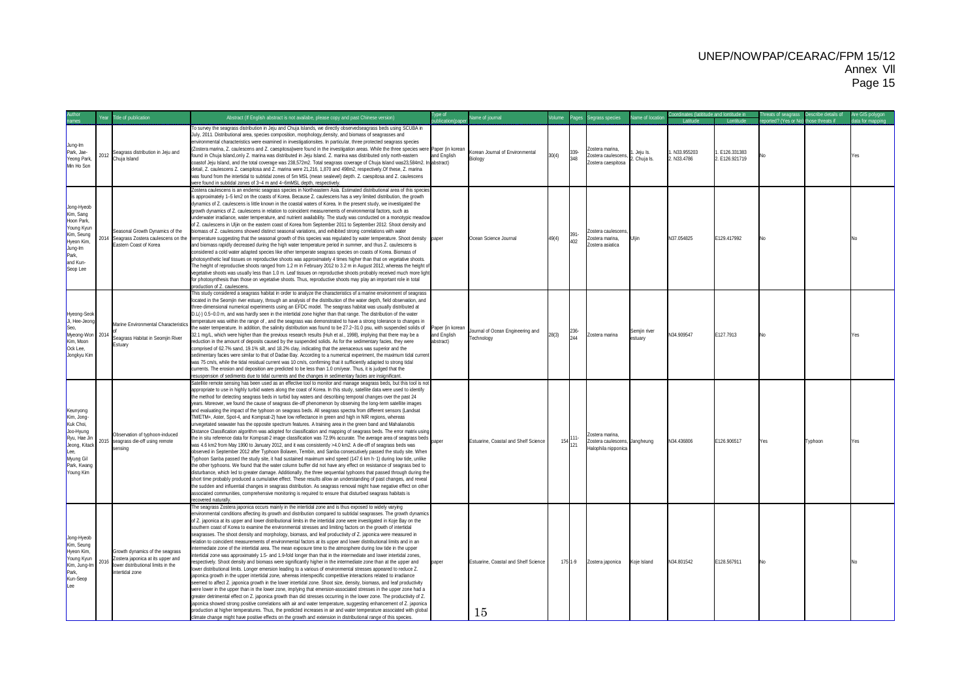|                                                                                                                                    | Year | Title of publication                                                                                                          | Abstract (If English abstract is not availabe, please copy and past Chinese version)                                                                                                                                                                                                                                                                                                                                                                                                                                                                                                                                                                                                                                                                                                                                                                                                                                                                                                                                                                                                                                                                                                                                                                                                                                                                                                                                                                                                                                                                                                                                                                                                                                                                                                                                                                                                                                                                                                                                                                              | Type of                                      | ame of journal                                 |       | Panes                        | Segrass species                                                        | lame of location        | Coordinates (latititude and lontitude in |                               | Threats of seagrass  Describe details of |         | Are GIS polygon |
|------------------------------------------------------------------------------------------------------------------------------------|------|-------------------------------------------------------------------------------------------------------------------------------|-------------------------------------------------------------------------------------------------------------------------------------------------------------------------------------------------------------------------------------------------------------------------------------------------------------------------------------------------------------------------------------------------------------------------------------------------------------------------------------------------------------------------------------------------------------------------------------------------------------------------------------------------------------------------------------------------------------------------------------------------------------------------------------------------------------------------------------------------------------------------------------------------------------------------------------------------------------------------------------------------------------------------------------------------------------------------------------------------------------------------------------------------------------------------------------------------------------------------------------------------------------------------------------------------------------------------------------------------------------------------------------------------------------------------------------------------------------------------------------------------------------------------------------------------------------------------------------------------------------------------------------------------------------------------------------------------------------------------------------------------------------------------------------------------------------------------------------------------------------------------------------------------------------------------------------------------------------------------------------------------------------------------------------------------------------------|----------------------------------------------|------------------------------------------------|-------|------------------------------|------------------------------------------------------------------------|-------------------------|------------------------------------------|-------------------------------|------------------------------------------|---------|-----------------|
|                                                                                                                                    |      |                                                                                                                               | To survey the seagrass distribution in Jeju and Chuja Islands, we directly observedseagrass beds using SCUBA in                                                                                                                                                                                                                                                                                                                                                                                                                                                                                                                                                                                                                                                                                                                                                                                                                                                                                                                                                                                                                                                                                                                                                                                                                                                                                                                                                                                                                                                                                                                                                                                                                                                                                                                                                                                                                                                                                                                                                   |                                              |                                                |       |                              |                                                                        |                         |                                          | Lontitude                     | reported? (Yes or No) those threats if   |         | data for mappin |
| Jung-Im<br>Park, Jae-<br>Yeong Park<br>Min Ho Son                                                                                  |      | Seagrass distribution in Jeju and<br>$2012$ Chuja Island                                                                      | July, 2011. Distributional area, species composition, morphology, density, and biomass of seagrasses and<br>environmental characteristics were examined in investigationsites. In particular, three protected seagrass species<br>(Zostera marina, Z. caulescens and Z. caespitosa)were found in the investigation areas. While the three species were Paper (in korean<br>found in Chuja Island, only Z. marina was distributed in Jeju Island. Z. marina was distributed only north-eastern<br>coastof Jeju Island, and the total coverage was 238,572m2. Total seagrass coverage of Chuja Island was23,584m2. In abstract)<br>detail, Z. caulescens Z. caespitosa and Z. marina were 21,216, 1,870 and 498m2, respectively.Of these, Z. marina<br>was found from the intertidal to subtidal zones of 5m MSL (mean sealevel) depth. Z. caespitosa and Z. caulescens<br>were found in subtidal zones of 3~4 m and 4~6mMSL depth, respectively.                                                                                                                                                                                                                                                                                                                                                                                                                                                                                                                                                                                                                                                                                                                                                                                                                                                                                                                                                                                                                                                                                                                   | and English                                  | Korean Journal of Environmental<br>Biology     | 30(4) | 339-<br>348                  | Zostera marina.<br>Zostera caulescens,<br>Zostera caespitosa           | Jeju Is.<br>. Chuia Is. | N33.955203<br>2. N33.4786                | E126.331383<br>2. E126.921719 | No                                       |         | Yes             |
| Jong-Hyeob<br>Kim, Sang<br>Hoon Park,<br>Young Kyun<br>Kim, Seung<br>Hyeon Kim,<br>Jung-Im<br>Park,<br>and Kun-<br>Seop Lee        | 2014 | Seasonal Growth Dynamics of the<br>Seagrass Zostera caulescens on the<br>Eastern Coast of Korea                               | Zostera caulescens is an endemic seagrass species in Northeastern Asia. Estimated distributional area of this species<br>is approximately 1-5 km2 on the coasts of Korea. Because Z. caulescens has a very limited distribution, the growth<br>dynamics of Z. caulescens is little known in the coastal waters of Korea. In the present study, we investigated the<br>growth dynamics of Z. caulescens in relation to coincident measurements of environmental factors, such as<br>underwater irradiance, water temperature, and nutrient availability. The study was conducted on a monotypic meadow<br>of Z. caulescens in Uljin on the eastern coast of Korea from September 2011 to September 2012. Shoot density and<br>biomass of Z. caulescens showed distinct seasonal variations, and exhibited strong correlations with water<br>temperature suggesting that the seasonal growth of this species was regulated by water temperature. Shoot density paper<br>and biomass rapidly decreased during the high water temperature period in summer, and thus Z. caulescens is<br>considered a cold water adapted species like other temperate seagrass species on coasts of Korea. Biomass of<br>photosynthetic leaf tissues on reproductive shoots was approximately 4 times higher than that on vegetative shoots.<br>The height of reproductive shoots ranged from 1.2 m in February 2012 to 3.2 m in August 2012, whereas the height of<br>vegetative shoots was usually less than 1.0 m. Leaf tissues on reproductive shoots probably received much more light<br>for photosynthesis than those on vegetative shoots. Thus, reproductive shoots may play an important role in total<br>production of Z. caulescens.                                                                                                                                                                                                                                                                                                                                      |                                              | Ocean Science Journal                          | 49(4) | 391.<br>402                  | costera caulescens<br>Zostera marina.<br>Zostera asiatica              |                         | N37.054825                               | E129.417992                   | N <sub>o</sub>                           |         |                 |
| Hyeong-Seol<br>Ji, Hee-Jeong<br>Seo.<br>Myeong-Won 2014<br>Kim, Moon<br>Ock Lee,<br>Jongkyu Kim                                    |      | Marine Environmental Characteristics<br>Seagrass Habitat in Seomjin River<br>Estuary                                          | This study considered a seagrass habitat in order to analyze the characteristics of a marine environment of seagrass<br>located in the Seomjin river estuary, through an analysis of the distribution of the water depth, field observation, and<br>three-dimensional numerical experiments using an EFDC model. The seagrass habitat was usually distributed at<br>D.L(-) 0.5~0.0 m, and was hardly seen in the intertidal zone higher than that range. The distribution of the water<br>temperature was within the range of, and the seagrass was demonstrated to have a strong tolerance to changes in<br>the water temperature. In addition, the salinity distribution was found to be 27.2~31.0 psu, with suspended solids of<br>32.1 mg/L, which were higher than the previous research results (Huh et al., 1998), implying that there may be a<br>reduction in the amount of deposits caused by the suspended solids. As for the sedimentary facies, they were<br>comprised of 62.7% sand, 19.1% silt, and 18.2% clay, indicating that the arenaceous was superior and the<br>sedimentary facies were similar to that of Dadae Bay. According to a numerical experiment, the maximum tidal current<br>was 75 cm/s, while the tidal residual current was 10 cm/s, confirming that it sufficiently adapted to strong tidal<br>currents. The erosion and deposition are predicted to be less than 1.0 cm/vear. Thus, it is judged that the<br>resuspension of sediments due to tidal currents and the changes in sedimentary facies are insignificant.                                                                                                                                                                                                                                                                                                                                                                                                                                                                                                       | Paper (in korean<br>and English<br>abstract) | Journal of Ocean Engineering and<br>Technology | 28(3) | 236-<br>2AA                  | Zostera marina                                                         | Semiin river<br>stuan   | N34.909547                               | E127.7913                     |                                          |         | Yes             |
| Keunyong<br>Kim, Jong-<br>Kuk Choi.<br>Joo-Hyung<br>Ryu, Hae Jin<br>Jeong, Kitack<br>Lee.<br>Myung Gil<br>Park, Kwang<br>Young Kim |      | Observation of typhoon-induced<br>2015 seagrass die-off using remote<br>sensina                                               | Satellite remote sensing has been used as an effective tool to monitor and manage seagrass beds, but this tool is not<br>appropriate to use in highly turbid waters along the coast of Korea. In this study, satellite data were used to identify<br>the method for detecting seagrass beds in turbid bay waters and describing temporal changes over the past 24<br>vears. Moreover, we found the cause of seagrass die-off phenomenon by observing the long-term satellite images<br>and evaluating the impact of the typhoon on seagrass beds. All seagrass spectra from different sensors (Landsat<br>TMFTM+. Aster, Spot-4, and Kompsat-2) have low reflectance in green and high in NIR regions, whereas<br>unvegetated seawater has the opposite spectrum features. A training area in the green band and Mahalanobis<br>Distance Classification algorithm was adopted for classification and mapping of seagrass beds. The error matrix using<br>he in situ reference data for Kompsat-2 image classification was 72.9% accurate. The average area of seagrass beds<br>was 4.6 km2 from May 1990 to January 2012, and it was consistently >4.0 km2. A die-off of seagrass beds was<br>observed in September 2012 after Typhoon Bolaven. Tembin, and Sanba consecutively passed the study site. When<br>Typhoon Sanba passed the study site, it had sustained maximum wind speed (147.6 km h-1) during low tide, unlike<br>the other typhoons. We found that the water column buffer did not have any effect on resistance of seagrass bed to<br>disturbance, which led to greater damage. Additionally, the three sequential typhoons that passed through during the<br>short time probably produced a cumulative effect. These results allow an understanding of past changes, and reveal<br>the sudden and influential changes in seagrass distribution. As seagrass removal might have negative effect on other<br>associated communities, comprehensive monitoring is required to ensure that disturbed seagrass habitats is<br>vilenuten herevoer    | naner                                        | Estuarine, Coastal and Shelf Science           |       | $154$ <sup>111-</sup><br>121 | Zostera marina<br>Zostera caulescens, Jangheung<br>lalophila nipponica |                         | N34.436806                               | F126,906517                   | Yes:                                     | Typhoon | Yes             |
| Jong-Hyeob<br>Kim, Seung<br>Hyeon Kim,<br>Young Kyun<br>Kim, Jung-Im<br>Park,<br>Kun-Seop<br>Lee                                   | 2016 | Growth dynamics of the seagrass<br>Zostera japonica at its upper and<br>lower distributional limits in the<br>intertidal zone | The seagrass Zostera japonica occurs mainly in the intertidal zone and is thus exposed to widely varying<br>environmental conditions affecting its growth and distribution compared to subtidal seagrasses. The growth dynamics<br>of Z, iaponica at its upper and lower distributional limits in the intertidal zone were investigated in Koie Bay on the<br>southern coast of Korea to examine the environmental stresses and limiting factors on the growth of intertidal<br>seagrasses. The shoot density and morphology, biomass, and leaf productivity of Z. japonica were measured in<br>relation to coincident measurements of environmental factors at its upper and lower distributional limits and in an<br>termediate zone of the intertidal area. The mean exposure time to the atmosphere during low tide in the upper<br>tertidal zone was approximately 1.5- and 1.9-fold longer than that in the intermediate and lower intertidal zones,<br>espectively. Shoot density and biomass were significantly higher in the intermediate zone than at the upper and<br>ower distributional limits. Longer emersion leading to a various of environmental stresses appeared to reduce Z.<br>japonica growth in the upper intertidal zone, whereas interspecific competitive interactions related to irradiance<br>seemed to affect Z. japonica growth in the lower intertidal zone. Shoot size, density, biomass, and leaf productivity<br>were lower in the upper than in the lower zone, implying that emersion-associated stresses in the upper zone had a<br>greater detrimental effect on Z. japonica growth than did stresses occurring in the lower zone. The productivity of Z.<br>japonica showed strong positive correlations with air and water temperature, suggesting enhancement of Z. japonica<br>production at higher temperatures. Thus, the predicted increases in air and water temperature associated with global<br>climate change might have positive effects on the growth and extension in distributional range of this species. | paper                                        | Estuarine, Coastal and Shelf Science<br>15     |       | 175 1-9                      | Zostera japonica                                                       | Koje Island             | N34.801542                               | E128.567911                   | No                                       |         |                 |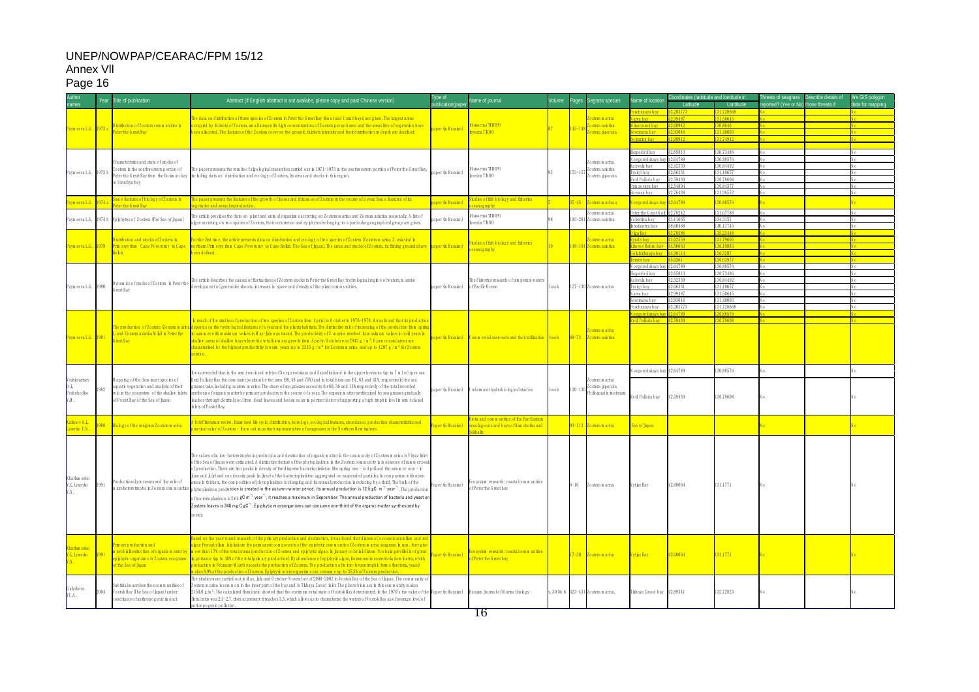|                              |      | Title of publication                                         | Abstract (If English abstract is not availabe, please copy and past Chinese version)                                                                                                                                                                                         | Type of            | ame of journal                                    |      | ages Segrass species                       | ame of locatior                | Coordinates (latititude and lontitude in |                        | Threats of seagrass  Describe details of | Are GIS polygon |
|------------------------------|------|--------------------------------------------------------------|------------------------------------------------------------------------------------------------------------------------------------------------------------------------------------------------------------------------------------------------------------------------------|--------------------|---------------------------------------------------|------|--------------------------------------------|--------------------------------|------------------------------------------|------------------------|------------------------------------------|-----------------|
|                              |      |                                                              |                                                                                                                                                                                                                                                                              | uthlication        |                                                   |      |                                            |                                | <b>Latitude</b>                          | Lontitude              | eported? (Yes or No) those threats if    | lata for manni  |
|                              |      |                                                              | l <mark>e data on distribution of three species of Zostera in Peter the Great Bay (Am ur and Ussuribays) are given. The largest areas in the strate of the distribution of the strate as and the distribution of the strate strate o</mark>                                  |                    |                                                   |      | stera u arira                              | wa hav                         | 99487                                    | 31.50645               |                                          |                 |
|                              |      | ) istribution of Zostera com munities in                     | ccupied by thickets of Zostem, sm allareas with high concentrations of Zostem per unit area and the areas free of vegetation have                                                                                                                                            |                    | <b>aBecTHS TMHR</b>                               |      | ostem asiatica                             | nonosok bay                    | .60942                                   | 30.8646                |                                          |                 |
| Pavm eeva L.G. 1973 a        |      | eter the Great Bay                                           | een albcated. The features of the Zostera cover on the ground, thickets intensity and their distribution in depth are decribed.                                                                                                                                              | aper (in Russian)  | Evestia TNRO                                      |      | $145 - 14$<br>ostera aponica               | vemava bav                     | 12.93046                                 | 131,40003              |                                          |                 |
|                              |      |                                                              |                                                                                                                                                                                                                                                                              |                    |                                                   |      |                                            | iyarina bay                    | 2.98912                                  | 131.74942              |                                          |                 |
|                              |      |                                                              |                                                                                                                                                                                                                                                                              |                    |                                                   |      |                                            |                                |                                          |                        |                                          |                 |
|                              |      |                                                              |                                                                                                                                                                                                                                                                              |                    |                                                   |      |                                            | Ekspediciibay                  | 42.65813                                 | 130.73486              |                                          |                 |
|                              |      | haracteristics and state of stocks of                        |                                                                                                                                                                                                                                                                              |                    |                                                   |      | ostera u arha                              | o vgo rodskaya ba              | 12.64789<br>2,52339                      | 130,88576<br>130,84492 |                                          |                 |
| Paymeeva LG. 1973 b          |      | ostera in the southwestern portion of                        | he paperpresents the results of algo bg ical researches carried out in 1971-1973 in the southwestern portion of Peter the Great Bay,                                                                                                                                         | per (in Russian)   | звестия ТИНРО                                     |      | ostem asiatica<br>$153 - 15'$              | alevala bay<br>n iyibay        | 2,66331                                  | 131.10657              |                                          |                 |
|                              |      | eter the Great Bay from the Boism an bay                     | including data on distribution and ecology of Zostera, its areas and stocks in this region.                                                                                                                                                                                  |                    | vestia TNRO                                       |      | ostem <i>i</i> ponica                      | eil Pallada bay                | 2.59439                                  | 130,78608              |                                          |                 |
|                              |      | o Sivuchya bay                                               |                                                                                                                                                                                                                                                                              |                    |                                                   |      |                                            | em zo vaya bay                 | 42,54804                                 | 130.84377              |                                          |                 |
|                              |      |                                                              |                                                                                                                                                                                                                                                                              |                    |                                                   |      |                                            | vsvan bav                      | 2.76438                                  | 131.26552              |                                          |                 |
| aym eeva LG.                 | 974a | om e features of biology of Zostera in<br>eter the Great Bay | ie paperpresents the features of the grow th of leaves and rhizom es ofZostera in the course of a year. Som e features of its<br>retative and sexual reproduction                                                                                                            | oer (in Russian)   | tudies of fish biology and fisheries<br>anography |      | $5 - 45$<br>ostera u arina a               | <mark>ovgomdskaya ba</mark>    | 12.64789                                 | 30,88576               |                                          |                 |
|                              |      |                                                              |                                                                                                                                                                                                                                                                              |                    |                                                   |      | ostera n arina                             | Peter the G reat Gulf 42.78242 |                                          | 131.67788              |                                          |                 |
| Paym eeva L.G.               |      | 1974 b Epiphytes of Zostera (The Sea of Japan)               | ie article provides the data on plant and animal organism s accreting on Zostera marina and Zostera asiatica seasonally. A list of                                                                                                                                           | per (in Russian)   | звестия ТИНРО                                     |      | 193-201 Zostera asistica                   | Valentina bay                  | 43.11665                                 | 134.3151               |                                          |                 |
|                              |      |                                                              | lgae accreting on two spicies of Zostera, theiroccurrence and epiphytes belonging to a particular geographical group are given.                                                                                                                                              |                    | westia TN RO                                      |      |                                            | okentya bay                    | 18.60468                                 | 140.17745              |                                          |                 |
|                              |      |                                                              |                                                                                                                                                                                                                                                                              |                    |                                                   |      |                                            | <mark>ga Bay -</mark>          |                                          | 35.2344                |                                          |                 |
|                              |      | istribution and stocks of Zostera in                         | r the first tine, the article presents data on distribution and ecology of two species of Zostera Øostera marina, Z. asiatica) in                                                                                                                                            |                    | tudies of fish biology and fisheries              |      | stera <mark>n ari</mark> na<br>$149 - 154$ | da bay<br>voe Rebro bav        | 1,56663                                  | 31.7960<br>36.1988     |                                          |                 |
| PaymeevaLG. 1979             |      | rin orye from Cape Povorotny to Cape<br>ekn                  | orthem Prin orye from Cape Povorotny to Cape Belkin (The Sea of Japan). The areas and stocks of Zostera, its fishing grounds have<br>en defined.                                                                                                                             | aper (in Russian)  | eanography                                        |      | ostem ashtira                              | hb chnava bay                  |                                          | 136.5981               |                                          |                 |
|                              |      |                                                              |                                                                                                                                                                                                                                                                              |                    |                                                   |      |                                            | ley hay                        |                                          | 36,63977               |                                          |                 |
|                              |      |                                                              |                                                                                                                                                                                                                                                                              |                    |                                                   |      |                                            | vgorodskaya ba                 | 42,64789                                 | 130.88576              |                                          |                 |
|                              |      |                                                              |                                                                                                                                                                                                                                                                              |                    |                                                   |      |                                            | Ekspediciibay                  | 12,65813                                 | 130,73486              |                                          |                 |
|                              |      | ynam ics of stocks of Zostera in Peter the                   | The article descrbes the causes of fluctuations of Zostera stocks in Peter the Great Bay: hydrobg ical regin e of waters, massive                                                                                                                                            |                    | The Fisheries research of tem perate waters       |      |                                            | Kalevala bay                   | 12,52339                                 | 130,84492              |                                          |                 |
| PaymeevaLG. 1980             |      | reat Bay                                                     | evelopm entofgenerative shoots, increases in space and density of the plant communities.                                                                                                                                                                                     | paper (in Russian) | of Pacific O cean                                 | book | 127-130 Zostena n arina                    | Tweiyibay                      | 42.66331<br>42.99487                     | 131.10657<br>131,50645 |                                          |                 |
|                              |      |                                                              |                                                                                                                                                                                                                                                                              |                    |                                                   |      |                                            | arva bay<br>vemaya bay         | 42.93046                                 | 131.40003              |                                          |                 |
|                              |      |                                                              |                                                                                                                                                                                                                                                                              |                    |                                                   |      |                                            | schanaya bay                   | 43.203773                                | 131.728668             |                                          |                 |
|                              |      |                                                              |                                                                                                                                                                                                                                                                              |                    |                                                   |      |                                            | <mark>vgo rod ska ya</mark>    |                                          | 30,8857                |                                          |                 |
|                              |      |                                                              | i result of the studies of production of two species of Zostera from Apriul to 0 ctober in 1976–1978, it was found that its production                                                                                                                                       |                    |                                                   |      |                                            | id Pallada bay                 |                                          |                        |                                          |                 |
|                              |      | ie production of Zostera (Zostera narina                     | epends on the hydro bgical features of a year and the plants habitats. The distinctive rule of increasing of the production from spring                                                                                                                                      |                    |                                                   |      | stera u arna                               |                                |                                          |                        |                                          |                 |
| PaymeevaLG. 1981             |      | and Zostera ashtica M ki) in Peter the<br>reat Bay           | sun m erwith m axin um values in M ay-Jule was traced. The productivity of Z. m arine reached its m axin um values in cold years in<br>halbw areas of shalbw bays where the total biom ass growth from April to 0 ctober was 2943 g /m <sup>2</sup> . Open coastal areas are | per (n Russian)    | Commercialseaweeds and theirutilization book      |      | $68 - 73$<br>ostem ashtira                 |                                |                                          |                        |                                          |                 |
|                              |      |                                                              | hameterized by the highestproductivity in warm years:up to 2335 g /m <sup>2</sup> for Zostem m arina and up to 4297 g /m <sup>2</sup> for Zostem                                                                                                                             |                    |                                                   |      |                                            |                                |                                          |                        |                                          |                 |
|                              |      |                                                              | satica.                                                                                                                                                                                                                                                                      |                    |                                                   |      |                                            |                                |                                          |                        |                                          |                 |
|                              |      |                                                              |                                                                                                                                                                                                                                                                              |                    |                                                   |      |                                            |                                |                                          |                        |                                          |                 |
|                              |      |                                                              | was revealed that in the sem i-enclosed in lets of Novgorodskaya and Expeditsiiand in the upper horizons (up to 7 m) of open sea                                                                                                                                             |                    |                                                   |      |                                            | ovgorodskaya bay 42.64789      |                                          | 130,88576              |                                          |                 |
| /yshkvartsev                 |      | apping of the dom inant species of                           | eid Pallady Bay the dom inant position by the area $98,48$ and $75\%$ and in total biom ass $91,63$ and $41\%$ , respectively) the sea                                                                                                                                       |                    |                                                   |      | ostera n arina                             |                                |                                          |                        |                                          |                 |
| 'nΤ                          | 982  | uatic vegetation and analysis of their                       | rasses take, including zostera marine. The share of sea grasses accounts for 60, 36 and 13% respectively of the total recorded                                                                                                                                               | aper (in Russian)  | Inderwater hydrobiological studies                | book | ostem įponira<br>$120 - 130$               |                                |                                          |                        |                                          |                 |
| Peshehodko                   |      | be in the ecosystem of the shallow inlets                    | synthesis of organic matter by primary producers in the course of a year. The organic matter synthesized by sea grasses gradually                                                                                                                                            |                    |                                                   |      | hilb spad ix iwa tensis                    | Reid Pallada bay               | 42.59439                                 | 30.78608               |                                          |                 |
| V.M.                         |      | fPosietBay of the Sea of Japan                               | eaches through detritalpoolfrom dead leaves and becom es an in portant factor of supporting a high trophic level in semi-closed                                                                                                                                              |                    |                                                   |      |                                            |                                |                                          |                        |                                          |                 |
|                              |      |                                                              | inlets of Posiet Bay.                                                                                                                                                                                                                                                        |                    |                                                   |      |                                            |                                |                                          |                        |                                          |                 |
|                              |      |                                                              |                                                                                                                                                                                                                                                                              |                    | iota and communities of the Far-Eastern           |      |                                            |                                |                                          |                        |                                          |                 |
| fanov A.I.<br>senko V.N.     |      | io bgy of the seagrass Zostera marina                        | brief literature review. Exan ined life cycle, distribution, horobgy, ecological features, abundance, production characteristics and<br>actical value of Zostera – the most in portant representative of seagrasses in the Northern Hem isphere                              | aper (in Russian)  | eas lagoons and bays of Kan chatka and            |      | 3-113 Zostera u arina                      | Sea of Japan                   |                                          |                        |                                          |                 |
|                              |      |                                                              |                                                                                                                                                                                                                                                                              |                    | <b>Hook</b>                                       |      |                                            |                                |                                          |                        |                                          |                 |
|                              |      |                                                              |                                                                                                                                                                                                                                                                              |                    |                                                   |      |                                            |                                |                                          |                        |                                          |                 |
|                              |      |                                                              |                                                                                                                                                                                                                                                                              |                    |                                                   |      |                                            |                                |                                          |                        |                                          |                 |
|                              |      |                                                              | The values ofm invo-heterotrophs in production and destruction of organicm atter in the community of Zosteramarina in Vityaz Inlet                                                                                                                                           |                    |                                                   |      |                                            |                                |                                          |                        |                                          |                 |
|                              |      |                                                              | of the Sea of Japan were estin ated. A distinctive feature of the phytop lankton in the Zostera community is in absence of summer peak<br>ofproduction. There are two peaks in density of the disperse bacterioplankton (the spring one - in April and the summer one - in   |                    |                                                   |      |                                            |                                |                                          |                        |                                          |                 |
|                              |      |                                                              | line and Jik) and one density peak (in Jine) of the bacteriop linkton aggregated on suspended particles. In comparison with open                                                                                                                                             |                    |                                                   |      |                                            |                                |                                          |                        |                                          |                 |
| Kharlam enko<br>V.I, Lysenko | 1991 | roductionalprocesses and the role of                         | areas in thickets, the composition of phytoplankton is changing and its annual production is reducing by a third. The bulk of the                                                                                                                                            |                    | cosystem research: coastal com m un ities         |      | $5 - 16$                                   |                                | 42.60064                                 | 131.1771               |                                          |                 |
| V N                          |      |                                                              | inchetent tophs in Zostem communities $ _{\rm phytop}$ ankton production is created in the autumn-winter period, its annual production is 12.5 gC m <sup>-3</sup> year <sup>-1</sup> . The production                                                                        | aper (in Russian)  | fPeter the Great bay                              |      | Zostera u arina                            | Vytjaz Bay                     |                                          |                        |                                          |                 |
|                              |      |                                                              | ofbacterion ankton is 2.64 gC m → year ¬, it reaches a maximum in September. The annual production of bacteria and yeast on                                                                                                                                                  |                    |                                                   |      |                                            |                                |                                          |                        |                                          |                 |
|                              |      |                                                              | Zostera leaves is 348 mg C gC <sup>-</sup> . Epiphytic microorganisms can consume one-third of the organic matter synthesized by                                                                                                                                             |                    |                                                   |      |                                            |                                |                                          |                        |                                          |                 |
|                              |      |                                                              | zo ster.                                                                                                                                                                                                                                                                     |                    |                                                   |      |                                            |                                |                                          |                        |                                          |                 |
|                              |      |                                                              |                                                                                                                                                                                                                                                                              |                    |                                                   |      |                                            |                                |                                          |                        |                                          |                 |
|                              |      |                                                              |                                                                                                                                                                                                                                                                              |                    |                                                   |      |                                            |                                |                                          |                        |                                          |                 |
|                              |      |                                                              | sed on the year-round research of the primary production and destruction, it was found that diatom s Coccone is scutellum and rec                                                                                                                                            |                    |                                                   |      |                                            |                                |                                          |                        |                                          |                 |
| <mark>harlam enko</mark>     |      | rin ery production and                                       | kae Pneophyllin kjikiiare the pern anent components of the epiphytic community of Zosteramarina seagrass. In sum, they give                                                                                                                                                  |                    |                                                   |      |                                            |                                |                                          |                        |                                          |                 |
| I.I, Lysenko                 | 1991 | inobialiestruction of organism attenby                       | ore than 17% of the totalannualproduction of Zostera and epiphytic algae. In January cobnialdiatom Navicula grevillei is of great                                                                                                                                            | aper (n Russian)   | osystem research: coastal com m unities           |      | $17 - 30$<br>Zostera u ariia               | Vytaz Bay                      | 12,60064                                 | 131.1771               |                                          |                 |
|                              |      | piphytic organism s in Zostera ecosystem                     | in portance (up to 40% of the total prin ary production). By abundance of epiphytic algae, Komm annia zostericola dom inates, which                                                                                                                                          |                    | fPeter the Great bay                              |      |                                            |                                |                                          |                        |                                          |                 |
|                              |      | fthe Sea of Japan                                            | roduction in February-M arch exceeds the production of Zostera. The production of m ixro-heterotrophic form s (pacteria, yeast)<br>akes 8.9% of the production of Zostera. Epiphytic microorganisms can consume up to 35.5% of Zostera production                            |                    |                                                   |      |                                            |                                |                                          |                        |                                          |                 |
|                              |      |                                                              | he studies were carried out in M ay, July and October-Novem ber of 2000–2002 in Vostok Bay of the Sea of Japan. The community of                                                                                                                                             |                    |                                                   |      |                                            |                                |                                          |                        |                                          |                 |
|                              |      | ibtidalm acrobenthos com m unities of                        | ostera n arina is common in the inner part of the bay and in Tikhaya Zavod in let. The plants biomass in this community makes                                                                                                                                                |                    |                                                   |      |                                            |                                |                                          |                        |                                          |                 |
| Galysheva<br>YU.A.           | 2004 | ostok Bay (The Sea of Japan) under                           | 2150.0 g/m <sup>2</sup> . The calculated fibral ratio show ed that the environmental state of Vostok Bay deteriorated. In the 1970's the value of the Paper (in Russian)                                                                                                     |                    | Russian JoumalofM arine Biology                   |      | 30 Na 6 423-431 Zostena marina,            | Tikhaya Zavod bay 42.89341     |                                          | 132,72823              |                                          |                 |
|                              |      | nditions of anthropogenic in pact                            | fbralratiowas 2.3-2.7, then at present it reaches 3.3, which allows us to characterize the waters of Vostok Bay as of average level of                                                                                                                                       |                    |                                                   |      |                                            |                                |                                          |                        |                                          |                 |
|                              |      |                                                              | nthropogenic pollution.                                                                                                                                                                                                                                                      |                    |                                                   |      |                                            |                                |                                          |                        |                                          |                 |
|                              |      |                                                              |                                                                                                                                                                                                                                                                              |                    | 16                                                |      |                                            |                                |                                          |                        |                                          |                 |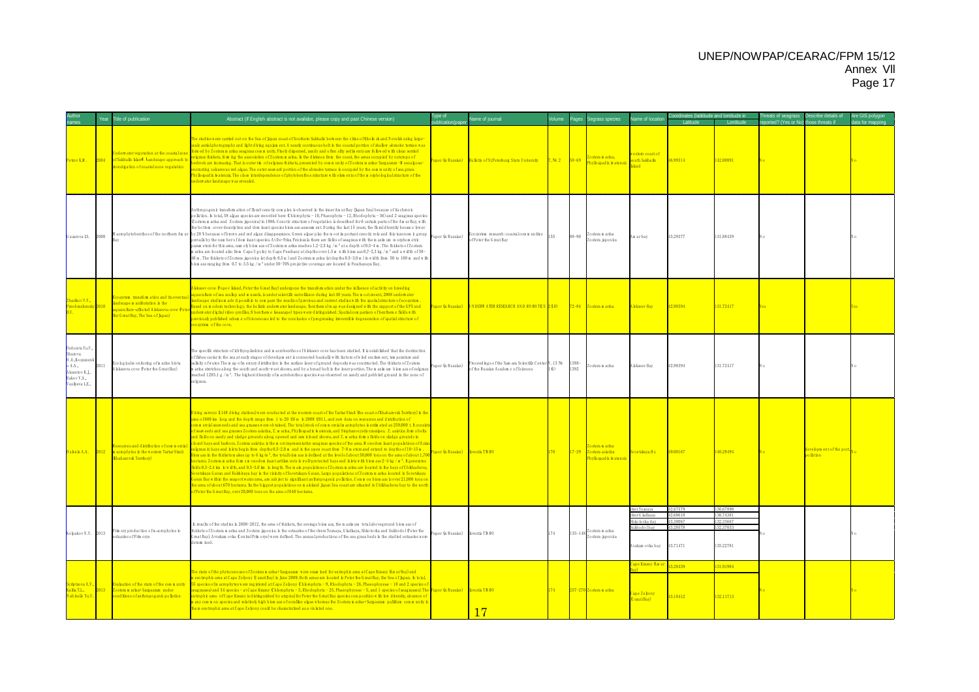|                                                                                                         | Year | Title of publication                                                                                                                                      | Abstract (If English abstract is not availabe, please copy and past Chinese version)                                                                                                                                                                                                                                                                                                                                                                                                                                                                                                                                                                                                                                                                                                                                                                                                                                                                                                                                                                                                                                                                                                                                                                                                                                                                                                                                                                                                                                                                                                                                                                                                                                                                                                                                                                                              | 'ype of                          | ame of journal                                                                             |                 |               | Pages Segrass species                                                       | <b>Vame of location</b>                                                           | Coordinates (latititude and lontitude in         |                                                               | Threats of seagrass Describe details of<br>rted? (Yes or No) | those threats if                      | Are GIS polygon |
|---------------------------------------------------------------------------------------------------------|------|-----------------------------------------------------------------------------------------------------------------------------------------------------------|-----------------------------------------------------------------------------------------------------------------------------------------------------------------------------------------------------------------------------------------------------------------------------------------------------------------------------------------------------------------------------------------------------------------------------------------------------------------------------------------------------------------------------------------------------------------------------------------------------------------------------------------------------------------------------------------------------------------------------------------------------------------------------------------------------------------------------------------------------------------------------------------------------------------------------------------------------------------------------------------------------------------------------------------------------------------------------------------------------------------------------------------------------------------------------------------------------------------------------------------------------------------------------------------------------------------------------------------------------------------------------------------------------------------------------------------------------------------------------------------------------------------------------------------------------------------------------------------------------------------------------------------------------------------------------------------------------------------------------------------------------------------------------------------------------------------------------------------------------------------------------------|----------------------------------|--------------------------------------------------------------------------------------------|-----------------|---------------|-----------------------------------------------------------------------------|-----------------------------------------------------------------------------------|--------------------------------------------------|---------------------------------------------------------------|--------------------------------------------------------------|---------------------------------------|-----------------|
| etrov KM.                                                                                               | 2004 | nder ater vegetation at the coastal zon<br>r fSakhalin Islan <sup>d. L</sup> and scape approach to<br>vestigation of coastal zone vegatation              | he studies were carried out on the Sea of Japan coast of Southern Sakhalin between the cities of Kholn sk and Nevelsk using large-<br>cale aeralphotography and light diving equipment. A nearly continuous belt in the coastal portion of shalbwabrasive tenace was<br>fom ed by Zosteran ariaa seagrass community. Finely dispersed, sandy and often silty sed in ents are followed with clean serried<br>eekrass thickets, form ing the association of Zosteram arina. In the distance from the coast, the areas occupied byoutcrops of<br>edrock are increasing. That is outer rim of eek rass thickets, presented by community of Zostera marina-Sargassum -Mesoakosa-<br>icrusting calcareous red algae. The outer seaward portion of the abrasive terrace is occupied by the community of seagrass<br>hylbspad <del>ix ivatensis. The cbse interdependence of phytobenthos structure with elements of the morphological structure of the</del><br><mark>nderwater hndscape was revealed.</mark>                                                                                                                                                                                                                                                                                                                                                                                                                                                                                                                                                                                                                                                                                                                                                                                                                                                                            |                                  | Paper (in Russian) Bulletin of St.Peterburg State University                               | $7,$ $N_2$ 2    | $58 - 69$     | ostera n arha,<br>hylbspadix ivatensi                                       | estem coast of<br>outh Sakhalin<br>$b$ nd                                         | 6.99314                                          | 142,00891                                                     |                                                              |                                       |                 |
| Gusarova IS.                                                                                            | 2008 |                                                                                                                                                           | Anthropogenic transform ation of floral-cenotic complex is observed in the inner AmurBay (Iapan Sea) because of its chronic<br>o llution. In total, 58 algae species are recorded here Chlorophyta – 10, Phaeophyta – 12, Rhodophyta – 36) and 2 seagrass species<br>Zostem marina and Zostem aponica) in 1986. Cenotic structure ofvegetation is described for 6 certain parts of the AmurBay, with<br>e bottom coverdescription and dom inant species biom ass assessment. During the last 15 years, the floral diversity became bwer<br>l acrophytobenthos of the northem Amur by 28 % because of brown and red algae disappearance. Green algae play the most in portant cenotic role and this taxonomic group<br>prevails by the num ber of dom inant species. At De-Friza Peninsula there are fields of seagrass with the maximum morphometric<br>oaram eters for this area, nam elybiom ass of Zosteram arina reaches 1.2-2.5 kg /m² at a dep th of 0.5-4 m . The thickets of Zostera<br>arina are b cated also from Cape Ugo hy to Cape Peschany at depths over 1.5 m with biom ass 0,7-2,3 kg /m <sup>2</sup> and a width of 30-<br>10 m . The thickets of Zostera japonica (at depth 0.5 m) and Zostera marina (at depths 0.5–3.0 m) in will the fom 50 to 100 m and with<br>bion ass ranging from 0.7 to 3.5 kg /m <sup>2</sup> under 30-70% projective coverage are bcated in Peschanaya Bay.                                                                                                                                                                                                                                                                                                                                                                                                                                                                         | aper (n Russian)                 | cosystem research: coastalcom munities<br>of Peter the Great Bay                           | 55              | 88-98         | Costera n arha<br>ostera <i>j</i> aponica                                   | Am urbay                                                                          | 43.29377                                         | 131.88439                                                     |                                                              |                                       |                 |
| harkov V.V.,<br>eobrazhensky                                                                            | 2010 | osystem transformation and its eventua<br>and scape m an festation in the<br>iquaculture-affected Alekseeva cove (Pete<br>he Great Bay, The Sea of Japan) | kkseev cove (Popoy kand, Peter the Great Bay) undergone the transform ation under the influence of activity on breeding<br>quaculture of sea scalbp and mussels, is under scientific surveillance during last 40 years. The most recent, 2008 underwater<br>ndscape studies made it possible to compare the results of previous and current studies with the spatial structure of ecosystem<br>ased on modern technobgy, the holistic underwater landscape, (bentheme) map was designed with the support of the GPS und<br>derwater digital video profiles, 8 benthem e (seascape) types were distinguished. Spatial comparison of benthem e fields with<br>reviously published schem e of biocenoses led to the conclusion of progressing ineversible degeneration of spatial structure of<br>osystem of the cove.                                                                                                                                                                                                                                                                                                                                                                                                                                                                                                                                                                                                                                                                                                                                                                                                                                                                                                                                                                                                                                                               | <mark>aper (n Russian) -</mark>  | UNDERWATER RESEARCH AND ROBOTES 200)                                                       |                 |               | 72-84 Zostera marina                                                        | <b>Ekseev</b> Bay                                                                 | 2.98394                                          | 131.72417                                                     |                                                              |                                       |                 |
| Fedorets Yu.V.<br>Sharo va<br>0 A.Kosyanen<br>o A.A.,<br>Aksentov K.L<br>Rakov V.A.,<br>Vasilyeva L.E., | 2011 | Ecologicalm onitoring ofm arine biota<br>Alekseeva cove Peter the Great Bay)                                                                              | he specific structure of ichthyop lankton and macrobenthos of Alekseev cove has been studied. It is established that the destruction<br>f fishes caviar in the sea at early stages of developm ent is connected basically with factors of wind excitem ent, temperature and<br>salhity ofwater. The m ap ofm ercury distribution in the surface layer of ground deposits was constructed. The thickets of Zostera<br>arina stretches along the south and south-west shores, and by a broad belt in the innerportion. The maximum biomass of eelgrass<br>eached 1285.1 g /m <sup>2</sup> . The highestdiversity ofmacrobenthos species was observed on sandy and pebbled ground in the zone of<br>e krass.                                                                                                                                                                                                                                                                                                                                                                                                                                                                                                                                                                                                                                                                                                                                                                                                                                                                                                                                                                                                                                                                                                                                                                         | aper (in Russian)                | moceedings of the San am Scientific Center V. 13 Na<br>of the Russian Academ v of Sciences | (6)             | 1386-<br>1392 | ostera n arina                                                              | A lekseev Bay                                                                     | 42.98394                                         | 131.72417                                                     |                                                              |                                       |                 |
|                                                                                                         |      | desources and distribution of commercial<br>Duknin A.A. 2012 nacrophytes in the western Tartar Strait<br><b>(Khabarovsk Territory)</b>                    | iving surveys (1148 diving stations) were conducted at the western coast of the Tartar Strait (the coast of Khabarovsk Territory) in the<br>rea of600 km bng and the depth range from 1 to 20–26 m in 2008–2011, and new data on resources and distribution of<br>commercialseaw eeds and sea grasses were obtained. The totalstock of commercialmacrophytes is estin ated as 259,000 t. It consis<br>fseaweeds and sea grasses Zostera asiatica, Z.m arina, Phylbspadix iwatensis, and Stephanocystis crassipes. Z. asiatica form s belts<br>nd fields on sandy and sludge grounds along opened and sem irlosed shores, and 2. m arina forms fields on sludge grounds in<br>bsed bays and harbors. Zostera asiatica is the most representative seagrass species of the area. Monodom inant populations of Asian<br>ekunss in bays and in lets begin from depths 0.5–2.0 m and in the open coast from 7–8 m eters and extend to depths of 10–15 m.<br>3 bm ass in the thickets nakes up to 6 kg/m <sup>2</sup> , the totalbiom ass is defined at the level of about 50,000 tons on the area of about 1,700 <b>c</b><br>ectares. Zostera marina forms monodominant settlements in well-protected bays and in lets with biomass 2–4 kg /m ². It generates:<br>ields 0.3–2.4 km in width, and 0.5–3.0 km in length. The main populations ofZostera marina are located in the bays ofChikhacheva,<br>vetskaya Gavan and Falshivaya bay in the vicinity of Sovetskaya Gavan. Large populations of Zostera marina boated in Sovetskaya<br>avan Baywith in the seaport waterarea, are subject to significant anthropogenic pollution. Common biomass is over 21,000 tons on<br>he area ofabout670 hectares. Its the biggest populations on m ainland Japan Sea coast are situated in Chikhacheva bay to the north<br>fPeter the Great Bay, over 20,000 tons on the area of 640 hectares. | <mark>Paper (n Russian) -</mark> | <b>Evestia TNRO</b>                                                                        | 70 <sup>2</sup> | $17 - 29$     | ostera <mark>n ari</mark> ra<br>Zostem ashtira<br>hylbspadix ivatensi       | ovetskaya H r.                                                                    | 9.00162                                          | 140.28494                                                     |                                                              | evelopm ent of the port,<br>ollition. |                 |
| KobakovN.V. 2013                                                                                        |      | Prin ery production of macrophytes in<br>estuaries of Prin orve                                                                                           | In results of the studies in 2008–2012, the area of thickets, the average biom ass, the maximum totalaboveground biom ass of<br>thickets of Zosteram arina and Zostera japonica in the estuaries of the rivers Tesnaya, Gladkaya, Shkotovka and Sukhodol Peter the<br>.<br>Freat Bay), Avvakum ovka (Central Prim orye) were defined. The annual productions of the sea grass beds in the studied estuaries were<br>etem hed.                                                                                                                                                                                                                                                                                                                                                                                                                                                                                                                                                                                                                                                                                                                                                                                                                                                                                                                                                                                                                                                                                                                                                                                                                                                                                                                                                                                                                                                     | aper (in Russian)                | zvestia TNRO                                                                               | 74              |               | 135–148 $\frac{\mbox{Zostena}\,\mbox{m}}{\mbox{s}}$ arina<br>Zostem įponica | ver Tesnaya<br>river G ladkaya<br>Shko to vka day<br>skhodolbar<br>vakum ovka bay | 2.67579<br>2.68618<br>30063<br>20578<br>13.71471 | 130.67898<br>130,74381<br>132.33667<br>132.37033<br>135.22781 |                                                              |                                       |                 |
| criptsova A.V<br>Kalita T.L., L<br>Vabiyaib Yu.V.                                                       | 2013 | Evaluation of the state of the community<br>Zostem marina+Sargassum under<br>ond itions of an thropogenic pollution                                       | he state of the phytocenoses of Zosteram arina+Sargassum were exam ined for eutrophic area at Cape Krasny (Amur Bay) and<br>esotrophic area at Cape Zelvony (IssuriBay) in June 2009. Both areas are boated in Peter the Great Bay, the Sea of Japan. In total,<br>.<br>5 species ofm acmphytes were registered at Cape Zelyony Chibrophyta – 9, Rhodophyta – 26, Phaeophyceae – 18 and 2 species of<br>agmsses) and 34 species – at Cape Kmsny Chlorophyta – 3, Rhodophyta – 25, Phaeophyceae – 5, and 1 species of seagmsses). The Paper (in Russian)<br>utrophic area of Cape Krasny is distinguished by atypical for Peter the Great Bay species composition with low diversity, absence of<br>iany common species and relativelyhigh biomass of coralline algae whereas the Zosteramarina+Sargassum pallidum community in<br>he mesotrophic area at Cape Zelyony could be characterized as a violated one.                                                                                                                                                                                                                                                                                                                                                                                                                                                                                                                                                                                                                                                                                                                                                                                                                                                                                                                                                                   |                                  | <b>Evestia TNRO</b><br>17                                                                  | 74 <sup>°</sup> |               | 257-270 Zostem n arha                                                       | ape Krasny (Am un<br>ape Zelyony<br>[ssiriBav]                                    | 20439<br>3.18412                                 | 131.91984<br>132.11713                                        |                                                              |                                       |                 |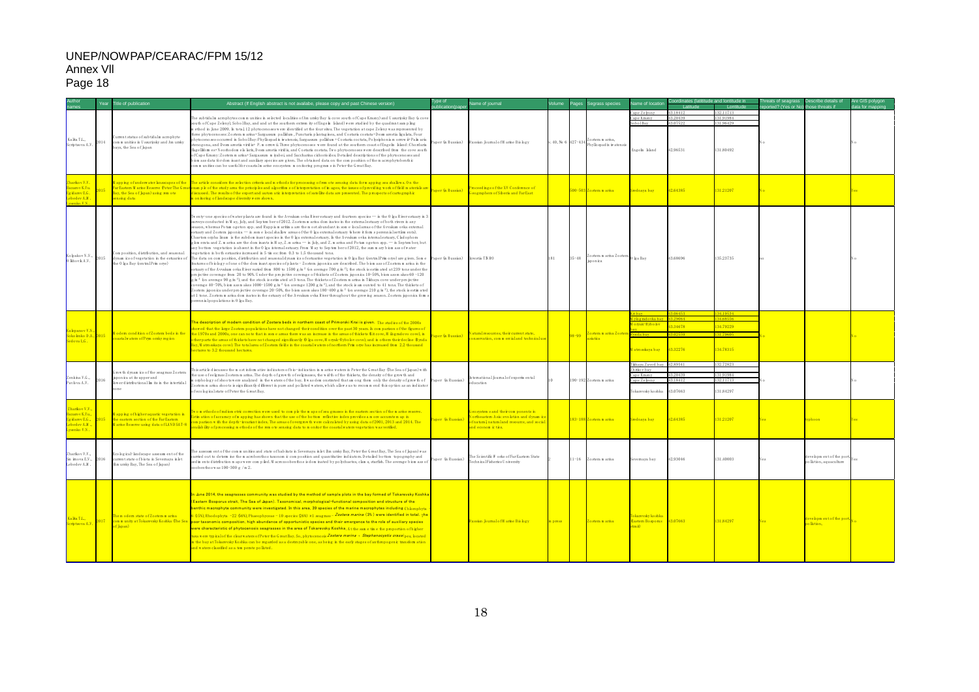|                                                                                         |      | Year Title of publication                                                                                                                                        | Abstract (If English abstract is not availabe, please copy and past Chinese version)                                                                                                                                                                                                                                                                                                                                                                                                                                                                                                                                                                                                                                                                                                                                                                                                                                                                                                                                                                                                                                                                                                                                                                                                                                                                                                                                                                                                                                                                                                                                                                                                                                                                                                                                                                                                                                                                                                                                                                                                                                                                                                                           | Type of           | ame of journal                                                                                                                                  |          | ages      | Segrass species                                            | lame of location                                        |                      | atititude and lontitude in<br>Lontitude | hreats of seagrass<br>eported? (Yes or No) those threats if | Describe details of                                 | Are GIS polygon<br>data for map |
|-----------------------------------------------------------------------------------------|------|------------------------------------------------------------------------------------------------------------------------------------------------------------------|----------------------------------------------------------------------------------------------------------------------------------------------------------------------------------------------------------------------------------------------------------------------------------------------------------------------------------------------------------------------------------------------------------------------------------------------------------------------------------------------------------------------------------------------------------------------------------------------------------------------------------------------------------------------------------------------------------------------------------------------------------------------------------------------------------------------------------------------------------------------------------------------------------------------------------------------------------------------------------------------------------------------------------------------------------------------------------------------------------------------------------------------------------------------------------------------------------------------------------------------------------------------------------------------------------------------------------------------------------------------------------------------------------------------------------------------------------------------------------------------------------------------------------------------------------------------------------------------------------------------------------------------------------------------------------------------------------------------------------------------------------------------------------------------------------------------------------------------------------------------------------------------------------------------------------------------------------------------------------------------------------------------------------------------------------------------------------------------------------------------------------------------------------------------------------------------------------------|-------------------|-------------------------------------------------------------------------------------------------------------------------------------------------|----------|-----------|------------------------------------------------------------|---------------------------------------------------------|----------------------|-----------------------------------------|-------------------------------------------------------------|-----------------------------------------------------|---------------------------------|
|                                                                                         |      |                                                                                                                                                                  |                                                                                                                                                                                                                                                                                                                                                                                                                                                                                                                                                                                                                                                                                                                                                                                                                                                                                                                                                                                                                                                                                                                                                                                                                                                                                                                                                                                                                                                                                                                                                                                                                                                                                                                                                                                                                                                                                                                                                                                                                                                                                                                                                                                                                |                   |                                                                                                                                                 |          |           |                                                            | ape Zelvony                                             | 13.18412             | 32.11713                                |                                                             |                                                     |                                 |
|                                                                                         |      |                                                                                                                                                                  | he subtidalm acrophytes communities in selected localities of Amursky Bay (a cove south of Cape Krasny) and Ussuriysky Bay (a cove                                                                                                                                                                                                                                                                                                                                                                                                                                                                                                                                                                                                                                                                                                                                                                                                                                                                                                                                                                                                                                                                                                                                                                                                                                                                                                                                                                                                                                                                                                                                                                                                                                                                                                                                                                                                                                                                                                                                                                                                                                                                             |                   |                                                                                                                                                 |          |           |                                                            | ne Krasny<br>bolBay                                     | 43.20439<br>13.07522 | 131 91 984<br>131.96429                 |                                                             |                                                     |                                 |
| Kalita T.L.<br>Scriptsova A.V                                                           | 2014 | ment status of subtidalm acrophyte<br>com m unities in Ussuriysky and Am ursky<br>avs, the Sea of Iapan                                                          | outh ofCane Zelenv). SobolBay, and and at the southern extrem ity ofEngeln [sland) were studied by the quadrant sampling<br>ethod in June 2009. In total 12 phytocenoses were identified at the four sites. The vegetation at cape Zeleny was represented by<br>nee phytocenoses: Zostera marina+ Sargassum pallidum , Punctaria plantaginea, and Costaria costata+Desmarestia ligulata. Four<br>hytocenoses occurred in SobolBay:Phylbspadix iwatensis, Sargassum psllidum +Costaria coctata, Polysiphonia mornow ii+Palmaria<br>enogona, and Desm arestia viridis+ P.m orrow ii Three phytocenoses were found at the southern coast of Engeln Ekand:Chordaria<br>lagelliom es+Neorhodom ela larix. Desmarestia viridis, and Costaria costata. Two phytocenoses were described fiom the cove south<br>fCape Krasny:Zostera marina+Sargassum miyabei and Saccharina cichorioides. Detailed descriptions of the phytocenoses and<br>ion ass data for don inant and auxiliary species are given. The obtained data on the composition of the macrophytobenthic<br>om munities can be useful for coastalm arine ecosystem monitoring program s in Peter the Great Bay.                                                                                                                                                                                                                                                                                                                                                                                                                                                                                                                                                                                                                                                                                                                                                                                                                                                                                                                                                                                                                                            | uper (in Russian) | Russian JoumalofM arine Biology                                                                                                                 |          |           | . 40, № 6 427-434 Zostem marna,<br>Phyllospadix is atensis | Engels Island                                           | 42.96531             | 131,80492                               |                                                             |                                                     |                                 |
| harkov V.V<br>azamy K.Yu.<br>gilarevE.G.<br>hedev A.M.<br>nko V.N.                      |      | apping of underwater lansscapes of the<br>ay, the Sea of Japan) using remote<br>ensing data                                                                      | he article considers the selection criteria and methods for processing of remote sensing data for mapping sea shallows. On the<br>arEastem M arine Reserve Peter The Greatexam ple of the study area the principles and algorithm s of interpretation of in ages, the issues of providing work of field m aterials are<br>scussed. The results of the expert and autom atic interpretation of satellite data are presented. The prospects of cartographic<br>onitoring of landscape diversity were shown.                                                                                                                                                                                                                                                                                                                                                                                                                                                                                                                                                                                                                                                                                                                                                                                                                                                                                                                                                                                                                                                                                                                                                                                                                                                                                                                                                                                                                                                                                                                                                                                                                                                                                                      | aper (n Russian)  | peeedings of the XV Conference of<br>eographers of Siberia and Far East                                                                         |          |           | 500-503 Zostera u arha                                     | rednava bav                                             | 12.64385             | 31.21207                                |                                                             |                                                     |                                 |
| Kobakov N.V.,<br>0 khovk A.V.                                                           | 2015 | om position, distribution, and seasonal<br>ynam ics of vegetation in the estuaries of<br>the 0 ka Bay (central Prin orye)                                        | wenty-one species of waterplants are found in the Avvakum ovka Riverestuary and fourteen species — in the 0 kga Riverestuary in 3<br>inveys conducted in M ay, Jily, and Septem berof2012. Zostem in arina dom inates in the external estuary of both rivers in any<br>eason, whereas Potam ogeton spp. and Ruppia m aritim a are the most abundant in some boalareas of the Avvakum ovka external<br>stuary and Zostera japonica — in some boalshallow areas of the 0 lga external estuary (where it form sperennial settlements).<br>haetom orpha linum is the subdom inant species in the 0 kga external estuary. In the Avvakum ovka internal estuary, Chdophora<br>bu erata and Z. m arina are the dom inants in M ay, Z. m arina - in July, and Z. m arina and Potam ogeton spp. - in September, but<br>ny bottom vegetation is absent in the 0 iga internalestuary. From May to September of 2012, the summary biomass of water<br>egetation in both estuaries increased in 5 times; from 0.3 to 1.5 thousand tons.<br>he data on com position, distribution and seasonaldynam ics of estuarine vegetation in 0 ka Bay (centralPrim orye) are given. Som e<br>eatures of bibley of one of the dom inant species of plants – Zostera japonica are described. The biom ass of Zostera marina in the<br>stuary of the Avvakum ovka Rivervaried from 800 to 1500 g/m <sup>2</sup> (on average 700 g/m <sup>2</sup> ), the stock is estimated at 239 tons under the<br>m jective coverage from 20 to 90%. Under the projective coverage of thickets of Zostera japonica 10-50%, biom ass m akes 60-120<br>/n * (on average 90 g/n *), and the stock is estin ated at 3 tons. The thickets of Zostera n arina in Tikhaya cove under projective<br>overage 40-70%, biom ass makes 1000-1500 g/m $^2$ (on average 1200 g/m $^2$ ), and the stock is amounted to 41 tons. The thickets of<br>ostem japonica underprojective coverage 20–50%, the biom assumakes 180–400 g/m $^2$ (on average 210 g/m $^2$ ), the stock is estin ated<br>t 1 tone. Zostem m arina dom inates in the estuary of the Avvakum ovka River throughout the grow ing season. Zostem japonica form s<br>erenn islpopulations in 0 ka Bay. | aper (n Russian)  | vestia TNRO                                                                                                                                     | 181      | $35 - 48$ | ostem a arha Zostem<br>erinoni                             | ) ka Bay                                                | 13,68696             | 135.23735                               |                                                             |                                                     |                                 |
|                                                                                         |      |                                                                                                                                                                  |                                                                                                                                                                                                                                                                                                                                                                                                                                                                                                                                                                                                                                                                                                                                                                                                                                                                                                                                                                                                                                                                                                                                                                                                                                                                                                                                                                                                                                                                                                                                                                                                                                                                                                                                                                                                                                                                                                                                                                                                                                                                                                                                                                                                                |                   |                                                                                                                                                 |          |           |                                                            |                                                         |                      |                                         |                                                             |                                                     |                                 |
|                                                                                         |      |                                                                                                                                                                  | he description of modern condition of Zostera beds in northern coast of Primorski Krai is given. The studies of the 2000s                                                                                                                                                                                                                                                                                                                                                                                                                                                                                                                                                                                                                                                                                                                                                                                                                                                                                                                                                                                                                                                                                                                                                                                                                                                                                                                                                                                                                                                                                                                                                                                                                                                                                                                                                                                                                                                                                                                                                                                                                                                                                      |                   |                                                                                                                                                 |          |           |                                                            | y bgradovka bay                                         |                      | 14.68556                                |                                                             |                                                     |                                 |
|                                                                                         |      |                                                                                                                                                                  | nowed that the large Zostera populations have not changed their condition over the past 30 years. In comparison of the figures of                                                                                                                                                                                                                                                                                                                                                                                                                                                                                                                                                                                                                                                                                                                                                                                                                                                                                                                                                                                                                                                                                                                                                                                                                                                                                                                                                                                                                                                                                                                                                                                                                                                                                                                                                                                                                                                                                                                                                                                                                                                                              |                   |                                                                                                                                                 |          |           |                                                            | oryak-Rybolov                                           | 3.34678              | 34.79229                                |                                                             |                                                     |                                 |
| u koanov V N                                                                            | 015  | odem condition ofZostera beds in the                                                                                                                             | re 1970s and 2000s, one can note that in some areas there was an increase in the areas of thickets Kit.cove. M ibgradovo cove), in                                                                                                                                                                                                                                                                                                                                                                                                                                                                                                                                                                                                                                                                                                                                                                                                                                                                                                                                                                                                                                                                                                                                                                                                                                                                                                                                                                                                                                                                                                                                                                                                                                                                                                                                                                                                                                                                                                                                                                                                                                                                             | aper (n Russian)  | atualresources, their current state,                                                                                                            |          | $8 - 99$  | ostera <mark>n arĥa Zos</mark> t                           |                                                         |                      | 31.79605                                |                                                             |                                                     |                                 |
| ioko enko D.A.<br>edova LG.                                                             |      | astalwaters of Prynorsky region                                                                                                                                  | herparts the areas of thirkets have not changed significantly () lga cove, M oryak–Rybo by cove), and in others their decline (Rynda                                                                                                                                                                                                                                                                                                                                                                                                                                                                                                                                                                                                                                                                                                                                                                                                                                                                                                                                                                                                                                                                                                                                                                                                                                                                                                                                                                                                                                                                                                                                                                                                                                                                                                                                                                                                                                                                                                                                                                                                                                                                           |                   | inservation, commercial and technical u                                                                                                         |          |           | aities.                                                    |                                                         |                      |                                         |                                                             |                                                     |                                 |
|                                                                                         |      |                                                                                                                                                                  | ay, Matrosskaya cove). The totalarea of Zostera fields in the coastal waters of northern Prin orye has increased from 2.2 thousand<br>ectares to 3.2 thousand hectares.                                                                                                                                                                                                                                                                                                                                                                                                                                                                                                                                                                                                                                                                                                                                                                                                                                                                                                                                                                                                                                                                                                                                                                                                                                                                                                                                                                                                                                                                                                                                                                                                                                                                                                                                                                                                                                                                                                                                                                                                                                        |                   |                                                                                                                                                 |          |           |                                                            | Latmsskava hav                                          | 3.32276              | 34,78315                                |                                                             |                                                     |                                 |
|                                                                                         |      |                                                                                                                                                                  |                                                                                                                                                                                                                                                                                                                                                                                                                                                                                                                                                                                                                                                                                                                                                                                                                                                                                                                                                                                                                                                                                                                                                                                                                                                                                                                                                                                                                                                                                                                                                                                                                                                                                                                                                                                                                                                                                                                                                                                                                                                                                                                                                                                                                |                   |                                                                                                                                                 |          |           |                                                            | Tikhaya Zavod bay 42.89341                              |                      | 132.72823                               |                                                             |                                                     |                                 |
|                                                                                         |      | now th dynam ics of the seagrass Zostera                                                                                                                         | his article discusses the most informative indicators of bio-indication in marine waters in Peter the Great Bay (The Sea of Japan) with                                                                                                                                                                                                                                                                                                                                                                                                                                                                                                                                                                                                                                                                                                                                                                                                                                                                                                                                                                                                                                                                                                                                                                                                                                                                                                                                                                                                                                                                                                                                                                                                                                                                                                                                                                                                                                                                                                                                                                                                                                                                        |                   |                                                                                                                                                 |          |           |                                                            | itkov bay                                               |                      |                                         |                                                             |                                                     |                                 |
| Zenkina V.G.,                                                                           | 016  | aponica at its upper and                                                                                                                                         | he use of eelgrass Zostera marina. The depth of grow th of eelgrasses, the width of the thickets, the density of the grow th and<br>orphology of shoots were analyzed in the waters of the bay. It was demonstrated that among themonly the density of grow th of                                                                                                                                                                                                                                                                                                                                                                                                                                                                                                                                                                                                                                                                                                                                                                                                                                                                                                                                                                                                                                                                                                                                                                                                                                                                                                                                                                                                                                                                                                                                                                                                                                                                                                                                                                                                                                                                                                                                              | aper (in Russian) | htemational Journal of experimental                                                                                                             |          |           | 190-192 Zostem marina                                      | pe Krasny<br>pe Zelyony                                 | 43.20439             | 131.91984<br>32.11713                   |                                                             |                                                     |                                 |
| Pavbva A.V.                                                                             |      | werd istributional lin its in the intertidal                                                                                                                     | ostem n arna shoots is significantly different in pure and polluted waters, which allows us to recommend this option as an indicator<br>feco bg ical state of Peter the Great Bay.                                                                                                                                                                                                                                                                                                                                                                                                                                                                                                                                                                                                                                                                                                                                                                                                                                                                                                                                                                                                                                                                                                                                                                                                                                                                                                                                                                                                                                                                                                                                                                                                                                                                                                                                                                                                                                                                                                                                                                                                                             |                   | lucation                                                                                                                                        |          |           |                                                            | Tokarevsky koshka                                       | 43.07663             | 131.84297                               |                                                             |                                                     |                                 |
| harkov V.V.<br><mark>izaro v K.Yu.,</mark><br>gilarevE.G.,<br>shedev A.M.<br>senko V.N. |      | apping of higher aquatic vegetation in<br>he eastem section of the Far Eastem<br>arne Reserve using data of LAND SAT-8                                           | wo methods of radiometric correction were used to comple themaps of sea grasses in the eastern section of themarine reserve<br>stin ation of accuracy of m app ing has shown that the use of the bottom reflective index provides amore accurate m ap in<br>om parison with the depth-invariant index. The areas of overgrowth were calcculated by using data of 2001, 2013 and 2014. The<br>ailability of processing methods of the remote sensing data to monitor the coastal waters vegetation was verified.                                                                                                                                                                                                                                                                                                                                                                                                                                                                                                                                                                                                                                                                                                                                                                                                                                                                                                                                                                                                                                                                                                                                                                                                                                                                                                                                                                                                                                                                                                                                                                                                                                                                                                | aper (in Russian) | cosystem s and their components in<br>ortheastern Asia: evolution and dynamic<br>fnatural natural and resource, and social<br>and economic ties |          |           | 83-188 Zostem nama                                         | mdnava hay                                              | 12.64385             | 131.21207                               |                                                             |                                                     |                                 |
| Zharkov V.V.<br>Sm imova E.V.,<br>Lebedev A.M.                                          | 2016 | Eco b g ical-land scape assessment of the<br>ument state of biota in Sevemaya inlet<br>An ursky Bay, The Sea of Japan)                                           | ie assessment of the communities and state of habitats in Severnaya in let (Amursky Bay, Peter the Great Bay, The Sea of Japan) was<br>arried out to detern ine the macrobenthos taxonomic composition and quantitative indicators. Detailed bottom topography and<br>ed in ents distribution maps were compiled. Macrozoobenthos is dominated by polychaetes, clams, starfish. The average biomass of<br>obenthos was $100-300$ g /m2.                                                                                                                                                                                                                                                                                                                                                                                                                                                                                                                                                                                                                                                                                                                                                                                                                                                                                                                                                                                                                                                                                                                                                                                                                                                                                                                                                                                                                                                                                                                                                                                                                                                                                                                                                                        | aper (in Russian) | The Scientific Works of Far Eastern State<br>echnicalFisheries University                                                                       |          | $1 - 16$  | Costera a arina                                            | vemava bay                                              | 42.93046             | 131,40003                               |                                                             | levelopm ent of the port,<br>o llution, aquaculture |                                 |
| Kalita T.L.,                                                                            |      | The modem state of Zostera marina<br>handa T.L., 2017 com movem same orzostem manna<br>Scriptsova A.V. 2017 com munity at Tokanevsky Koshka (The Sea<br>f Japan) | June 2014, the seagrasses community was studied by the method of sample plots in the bay formed of Tokarevsky Koshka<br>Eastern Bosporus strait, The Sea of Japan). Taxonomical, morphological-functional composition and structure of the<br>enthic macrophyte community were investigated. In this area, 39 species of the marine macrophytes including Chbmphyta<br>05%), Rhodophyta -22 66%), Phaeophyceae - 10 species (26%) #1 seagnass - Zostera marina (3%) were identified in total. The<br>poor taxonomic composition, high abundance of opportunistic species and their emergence to the role of auxiliary species<br>v <mark>ere characteristic of phytocenosis seagrasses in the area of Tokarevsky Koshka. At the same time the proportion of higher</mark><br>xa were typical of the clear waters of Peter the Great Bay. So, phytocenosis <i>Zostera marina + Stephanocystis crassi</i> pes, bcated<br>the bay at Tokarevsky Koshka can be regarded as a destroyable one, as being in the early stages of anthropogenic transform ation<br>nd waters classified as a ten perate polluted.                                                                                                                                                                                                                                                                                                                                                                                                                                                                                                                                                                                                                                                                                                                                                                                                                                                                                                                                                                                                                                                                                                      |                   | ussian JoumalofM arine Biology                                                                                                                  | in press |           | ostera u arna                                              | Tokarevsky koshka<br>Eastem Bosponis 43.07663<br>(fi er |                      | 131.84297                               |                                                             | evelopm entofühe port <mark>.</mark><br>ollition,   |                                 |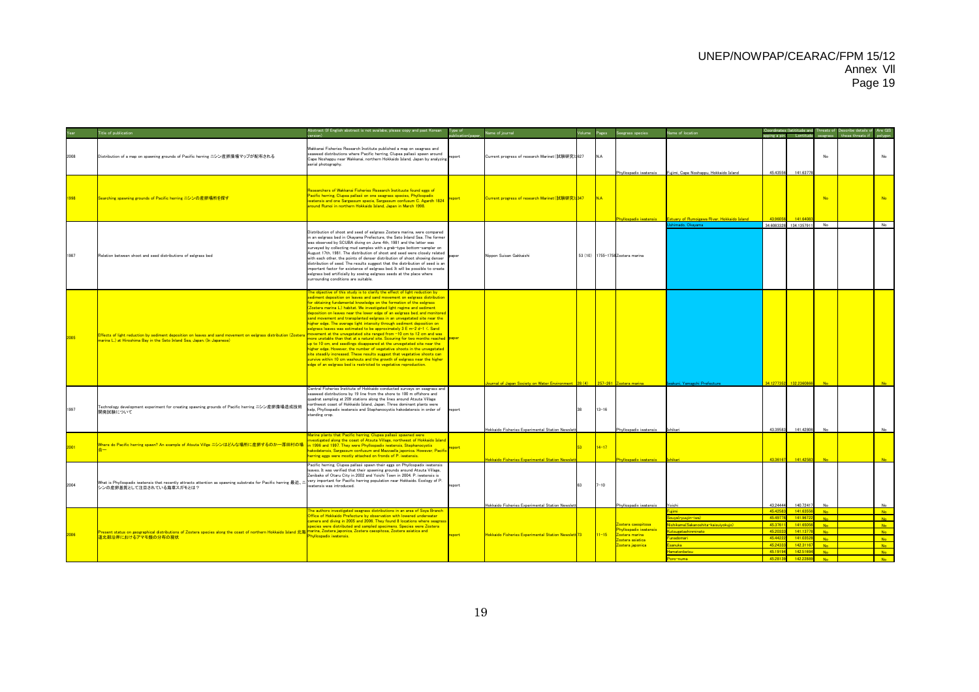$\mathbf{I}$ 

|      | Title of publication                                                                                                                                                                                                   | bstract (If English abstract is not availabe, please copy and past Korean                                                                                                                                                                                                                                                                                                                                                                                                                                                                                                                                                                                                                                                                                                                                                                                                                                                                                                                                                                                                           | Type of | lame of journal                                     | Pages                            | Seegrass species                               | lame of location                     |                     |                                  |            | Coordinates (latititude and Threats of Describe details of Are GIS |                |
|------|------------------------------------------------------------------------------------------------------------------------------------------------------------------------------------------------------------------------|-------------------------------------------------------------------------------------------------------------------------------------------------------------------------------------------------------------------------------------------------------------------------------------------------------------------------------------------------------------------------------------------------------------------------------------------------------------------------------------------------------------------------------------------------------------------------------------------------------------------------------------------------------------------------------------------------------------------------------------------------------------------------------------------------------------------------------------------------------------------------------------------------------------------------------------------------------------------------------------------------------------------------------------------------------------------------------------|---------|-----------------------------------------------------|----------------------------------|------------------------------------------------|--------------------------------------|---------------------|----------------------------------|------------|--------------------------------------------------------------------|----------------|
|      |                                                                                                                                                                                                                        |                                                                                                                                                                                                                                                                                                                                                                                                                                                                                                                                                                                                                                                                                                                                                                                                                                                                                                                                                                                                                                                                                     |         |                                                     |                                  |                                                |                                      |                     | apping a pin. Lontitude seagrass |            |                                                                    |                |
| 2008 | Distribution of a map on spawning grounds of Pacific herring ニシン産卵藻場マップが配布される                                                                                                                                          | Wakkanai Fisheries Research Institute published a map on seagrass and<br>eaweed distributions where Pacific herring, Clupea pallasii spawn around<br>Cape Noshappu near Wakkanai, northern Hokkaido Island, Japan by analyzing<br>aerial photography.                                                                                                                                                                                                                                                                                                                                                                                                                                                                                                                                                                                                                                                                                                                                                                                                                               | report  | Current progress of research Marinet(試験研究は627       | N A                              | hvllospadix iwatensis                          | jimi, Cape Noshappu, Hokkaido Island | 45,43556            | 141,63778                        | No.        |                                                                    |                |
| 1998 | Searching spawning grounds of Pacific herring ニシンの産卵場所を探す                                                                                                                                                              | Researchers of Wakkanai Fisheries Research Instituute found eggs of<br>Pacific herring, Clupea pallasii on one seagrass species, Phyllospadix<br>watensis and one Sargassum specie, Sargassum confusum C. Agardh 1824 Feport<br>round Rumoi in northern Hokkaido Island, Japan in March 1998.                                                                                                                                                                                                                                                                                                                                                                                                                                                                                                                                                                                                                                                                                                                                                                                       |         | Current progress of research Marinet(試験研究は347       | <b>NA</b>                        |                                                |                                      |                     |                                  |            |                                                                    | <b>No</b>      |
|      |                                                                                                                                                                                                                        |                                                                                                                                                                                                                                                                                                                                                                                                                                                                                                                                                                                                                                                                                                                                                                                                                                                                                                                                                                                                                                                                                     |         |                                                     |                                  |                                                | imado, Okayama                       |                     | 34.6083328 134.1357911           | No         |                                                                    | No             |
| 1987 | Relation between shoot and seed distributions of eelgrass bed                                                                                                                                                          | Distribution of shoot and seed of eelgrass Zostera marina, were compared<br>in an eelgrass bed in Okayama Prefecture, the Seto Inland Sea. The former<br>was observed by SCUBA diving on June 4th, 1981 and the latter was<br>surveved by collecting mud samples with a grab-type bottom-sampler on<br>August 17th, 1981. The distribution of shoot and seed were closely related<br>with each other, the points of denser distribution of shoot showing denser<br>distribution of seed. The results suggest that the distribution of seed is an<br>mportant factor for existence of eelgrass bed. It will be possible to create<br>elgrass bed artificially by sowing eelgrass seeds at the place where<br>surrounding conditions are suitable.                                                                                                                                                                                                                                                                                                                                    | paper   | Nippon Suisan Gakkaishi                             | 53 (10) 1755-1758 Zostera marina |                                                |                                      |                     |                                  |            |                                                                    |                |
|      |                                                                                                                                                                                                                        | The objective of this study is to clarify the effect of light reduction by                                                                                                                                                                                                                                                                                                                                                                                                                                                                                                                                                                                                                                                                                                                                                                                                                                                                                                                                                                                                          |         |                                                     |                                  |                                                |                                      |                     |                                  |            |                                                                    |                |
| 2005 | Effects of light reduction by sediment deposition on leaves and sand movement on eelgrass distribution (Zostera<br>narina L.) at Hiroshima Bay in the Seto Inland Sea, Japan. (In Japanese)                            | ediment deposition on leaves and sand movement on eelgrass distribution<br>or obtaining fundamental knowledge on the formation of the eelgrass<br>Zostera marina L.) habitat. We investigated light regime and sediment<br>leposition on leaves near the lower edge of an eelgrass bed, and monitored<br>sand movement and transplanted eelgrass in an unvegetated site near the<br>ligher edge. The average light intensity through sediment deposition on<br>eelgrass leaves was estimated to be approximately 3 E m-2 d-1 < Sand<br>ovement at the unvegetated site ranged from -10 cm to 12 cm and was<br>nore unstable than that at a natural site. Scouring for two months reached paper<br>up to 10 cm, and seedlings disappeared at the unvegetated site near the<br>ligher edge. However, the number of vegetative shoots in the unvegetated<br>site steadily increased. These results suggest that vegetative shoots can<br>survive within 10 cm washouts and the growth of eelgrass near the higher<br>edge of an eelgrass bed is restricted to vegetative reproduction. |         |                                                     | $257 - 261$<br>98(4)             |                                                |                                      | 4.19779             | 132.2360                         |            |                                                                    |                |
|      |                                                                                                                                                                                                                        | Central Fisheries Institute of Hokkaido conducted surveys on seagrass and                                                                                                                                                                                                                                                                                                                                                                                                                                                                                                                                                                                                                                                                                                                                                                                                                                                                                                                                                                                                           |         | al of Japan Society on Water Environment            |                                  |                                                |                                      |                     |                                  |            |                                                                    |                |
| 1997 | Technology development experiment for creating spawning grounds of Pacific herring ニシン産卵藻場造成技術<br>開発試験について                                                                                                             | eaweed distributions by 19 line from the shore to 100 m offshore and<br>quadrat sampling at 209 stations along the lines around Atsuta Village<br>orthwest coast of Hokkaido Island, Japan. Three dominant plants were<br>kelp, Phyllospadix iwatensis and Stephanocystis hakodatensis in order of<br>standing crop.                                                                                                                                                                                                                                                                                                                                                                                                                                                                                                                                                                                                                                                                                                                                                                | report  |                                                     | $13 - 16$                        |                                                |                                      |                     |                                  |            |                                                                    |                |
|      |                                                                                                                                                                                                                        | Marine plants that Pacific herring, Clupea pallasii spawned were                                                                                                                                                                                                                                                                                                                                                                                                                                                                                                                                                                                                                                                                                                                                                                                                                                                                                                                                                                                                                    |         | Hokkaido Fisheries Experimental Station Newslett    |                                  | Phyllospadix iwatensis                         | İshikar                              | 43.39583            | 141,42806                        |            |                                                                    |                |
| 2001 | Where do Pacific herring spawn? An example of Atsuta Villge ニシンはどんな場所に産卵するのか一厚田村の場                                                                                                                                     | vestigated along the coast of Atsuta Village, northwest of Hokkaido Island<br>1996 and 1997. They were Phyllospadix iwatensis. Stephanocystis<br>akodatensis, Sargassum confusum and Mazzaella japonica. However, Pacific<br>erring eggs were mostly attached on fronds of P. iwatensis.                                                                                                                                                                                                                                                                                                                                                                                                                                                                                                                                                                                                                                                                                                                                                                                            | report  | okkaido Fisheries Experimental Station Newsle       | $14 - 17$                        |                                                |                                      | 43.36167            | 141,4258                         |            |                                                                    |                |
| 2004 | What is Phyllospadix iwatensis that recently attracts attention as spawning substrate for Pacific herring 最近、二 very important for Pacific herring population near Hokkaido. Ecology of P.<br>シンの産卵基質として注目されている海草スガモとは? | Pacific herring, Clupea pallasii spawn their eggs on Phyllospadix iwatensis<br>leaves. It was verified that their spawning grounds around Atsuta Village,<br>Zenibako of Otaru City in 2002 and Yoichi Town in 2004. P. iwatensis is<br>vatensis was introduced.                                                                                                                                                                                                                                                                                                                                                                                                                                                                                                                                                                                                                                                                                                                                                                                                                    | report  | Hokkaido Fisheries Experimental Station Newslett    | $7 - 10$<br>63                   | Phyllospadix iwatensis                         |                                      | 43.24444            | 140.72417                        |            |                                                                    |                |
|      |                                                                                                                                                                                                                        | he authors investigated seagrass distributions in an area of Soya Branch                                                                                                                                                                                                                                                                                                                                                                                                                                                                                                                                                                                                                                                                                                                                                                                                                                                                                                                                                                                                            |         |                                                     |                                  |                                                | uiimi                                | 45.42583            | 141.63556                        | No.        |                                                                    | No.            |
|      |                                                                                                                                                                                                                        | ffice of Hokkaido Prefecture by observation with lowered underwater<br>amera and diving in 2005 and 2006. They found 8 locations where seagrass                                                                                                                                                                                                                                                                                                                                                                                                                                                                                                                                                                                                                                                                                                                                                                                                                                                                                                                                     |         |                                                     |                                  |                                                | uva(rvuuiin-iwa)                     | 45,49778            | 141,96722                        | No.        |                                                                    | N <sub>0</sub> |
|      |                                                                                                                                                                                                                        | pecies were distributed and sampled specimens. Species were Zostera                                                                                                                                                                                                                                                                                                                                                                                                                                                                                                                                                                                                                                                                                                                                                                                                                                                                                                                                                                                                                 |         |                                                     |                                  | Zostera caespitosa                             | ishikama(Sakanoshita-kaisuiyokujo)   | 45,37611            | 141,65056                        | No.        |                                                                    | No.            |
| 2006 | resent status on geographical distributions of Zostera species along the coast of northern Hokkaido Island 北海 <mark>marina. Zostera japonica. Zostera ceespitosa</mark> , Zostera asiatica and                         | <b>hyllospadix iwatensis</b>                                                                                                                                                                                                                                                                                                                                                                                                                                                                                                                                                                                                                                                                                                                                                                                                                                                                                                                                                                                                                                                        | enort   | Hokkaido Fisheries Experimental Station Newslett 73 | $11 - 15$                        | hyllospadix iwatensis<br><b>Zostera</b> marina | <u>utsugatashinminato</u>            | 45,2033             | 141.13778                        | No.        |                                                                    | No.            |
|      | 道北部沿岸におけるアマモ類の分布の現状                                                                                                                                                                                                    |                                                                                                                                                                                                                                                                                                                                                                                                                                                                                                                                                                                                                                                                                                                                                                                                                                                                                                                                                                                                                                                                                     |         |                                                     |                                  | Zostera asiatica                               | madomari                             | 45,44222            | 141,03528<br>142 31167           | No.        |                                                                    | No.            |
|      |                                                                                                                                                                                                                        |                                                                                                                                                                                                                                                                                                                                                                                                                                                                                                                                                                                                                                                                                                                                                                                                                                                                                                                                                                                                                                                                                     |         |                                                     |                                  | Zostera japonica                               | sanuka<br>amatonbetsu                | 45 2433<br>45,19194 | 142.51694                        | No.<br>No. |                                                                    | No.<br>No.     |
|      |                                                                                                                                                                                                                        |                                                                                                                                                                                                                                                                                                                                                                                                                                                                                                                                                                                                                                                                                                                                                                                                                                                                                                                                                                                                                                                                                     |         |                                                     |                                  |                                                | oro-numa                             | 45.28139            | 142 22889                        | <b>ALC</b> |                                                                    | $N_0$          |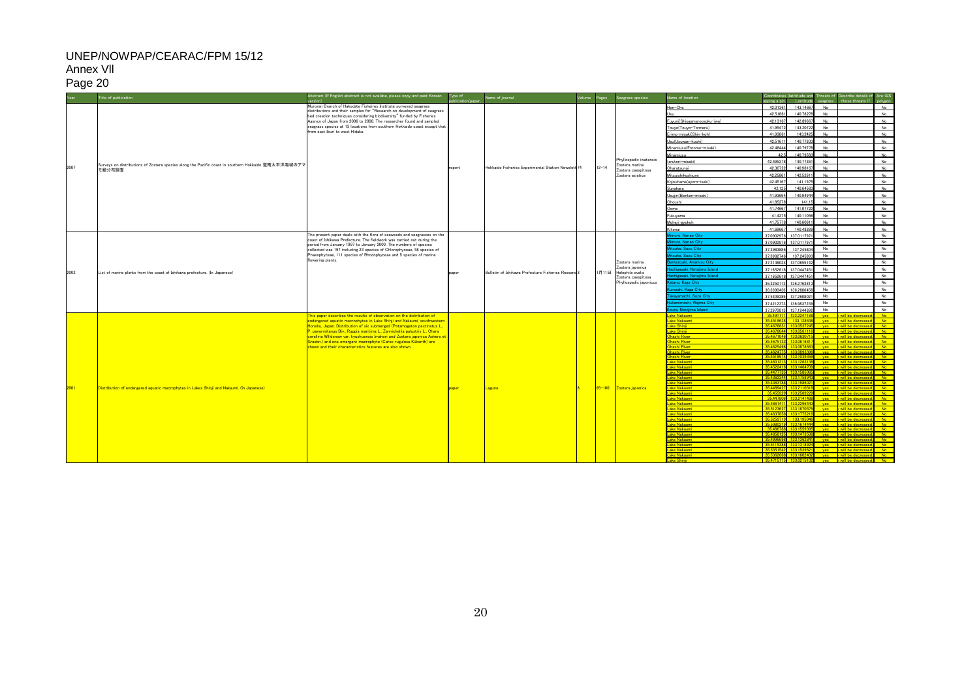|      |                                                                                                               | bstract (If English abstract is not availabe, please copy and past Korean Type of                                                                |        |                                                                |              |           |                                      |                                                        |                       |                                                  |                  | Coordinates (latititude and Threats of Describe details of Are GIS         |                |
|------|---------------------------------------------------------------------------------------------------------------|--------------------------------------------------------------------------------------------------------------------------------------------------|--------|----------------------------------------------------------------|--------------|-----------|--------------------------------------|--------------------------------------------------------|-----------------------|--------------------------------------------------|------------------|----------------------------------------------------------------------------|----------------|
|      | Title of publication                                                                                          |                                                                                                                                                  |        | Name of journal                                                | Volume Pages |           | Seegrass species                     | lame of location                                       | pping a pin.          | Lontitude                                        | seagrass         | those threats if                                                           |                |
|      |                                                                                                               | Muroran Branch of Hakodate Fisheires Institute surveyed seagrass                                                                                 |        |                                                                |              |           |                                      | Hon-Cho                                                | 42.01361              | 143,14667                                        | No.              |                                                                            |                |
|      |                                                                                                               | distributions and their samples for "Research on development of seagrass                                                                         |        |                                                                |              |           |                                      |                                                        | 42.51861              | 140.7827                                         | <b>No</b>        |                                                                            | N <sub>0</sub> |
|      |                                                                                                               | bed creation techniques considering biodiversity" funded by Fisheries                                                                            |        |                                                                |              |           |                                      | Fuyuni(Shiogamaroosoku-iwa)                            | 42.13167              | 142.89667                                        | Mo               |                                                                            | N <sub>0</sub> |
|      |                                                                                                               | Agency of Japan from 2006 to 2008. The researcher found and sampled<br>seagrass species at 13 locations from southern Hokkaido coast except that |        |                                                                |              |           |                                      |                                                        | 41,95472              | 143,20722                                        | No               |                                                                            | No             |
|      |                                                                                                               | from east <b>buri</b> to west Hidaka.                                                                                                            |        |                                                                |              |           |                                      | Touyo(Touyo-Tonneru)                                   |                       |                                                  |                  |                                                                            |                |
|      |                                                                                                               |                                                                                                                                                  |        |                                                                |              |           |                                      | Erimo-misaki(Shin-koh)                                 | 41,93861              | 143.2425                                         | Me.              |                                                                            | No             |
|      |                                                                                                               |                                                                                                                                                  |        |                                                                |              |           |                                      | Jsu(Usuwan-kuchi)                                      | 42.51611              | 140.77833                                        | No               |                                                                            | No             |
|      |                                                                                                               |                                                                                                                                                  |        |                                                                |              |           |                                      | Minamiusu(Entomo-misaki)                               | 42,48444              | 140.79778                                        | <b>No</b>        |                                                                            | No             |
|      |                                                                                                               |                                                                                                                                                  |        |                                                                |              |           |                                      | linamiusu                                              | 42.5                  | 140.79583                                        | No               |                                                                            | No             |
|      |                                                                                                               |                                                                                                                                                  |        |                                                                |              |           | Phyllospadix iwatensis               | rutori-misaki)                                         | 42.495278             | 140.7736                                         | No.              |                                                                            | Ma             |
| 2007 | Surveys on distributions of Zostera species along the Pacific coast in southern Hokkaido 道南太平洋海域のアマ<br>モ類分布調査 |                                                                                                                                                  | report | Hokkaido Fisheries Experimental Station Newslett 74            |              | $12 - 14$ | Zostera marina<br>Zostera caespitosa | Charatsunai                                            | 42 30 722             | 140,98167                                        | No               |                                                                            | No.            |
|      |                                                                                                               |                                                                                                                                                  |        |                                                                |              |           | Zostera asiatica                     | Mitsuishikoshiumi                                      | 42.25861              | 142.52611                                        | No               |                                                                            | No             |
|      |                                                                                                               |                                                                                                                                                  |        |                                                                |              |           |                                      | ojouhama(ayoro-iseki)                                  | 42 451 67             | 141 1975                                         | No.              |                                                                            | No             |
|      |                                                                                                               |                                                                                                                                                  |        |                                                                |              |           |                                      | Sunahara                                               | 42.125                | 140.6458                                         | No               |                                                                            | No             |
|      |                                                                                                               |                                                                                                                                                  |        |                                                                |              |           |                                      | Isuiiri(Benten-misaki)                                 | 41,93694              | 140.94944                                        | No               |                                                                            | No             |
|      |                                                                                                               |                                                                                                                                                  |        |                                                                |              |           |                                      |                                                        |                       |                                                  |                  |                                                                            |                |
|      |                                                                                                               |                                                                                                                                                  |        |                                                                |              |           |                                      | houshi;                                                | 41.85278              | 141.15                                           | No               |                                                                            | No             |
|      |                                                                                                               |                                                                                                                                                  |        |                                                                |              |           |                                      |                                                        | 41 74 667             | 14107722                                         |                  |                                                                            | No             |
|      |                                                                                                               |                                                                                                                                                  |        |                                                                |              |           |                                      | Fukuyama                                               | 41 4 2 7 5            | 14011056                                         | No.              |                                                                            | No             |
|      |                                                                                                               |                                                                                                                                                  |        |                                                                |              |           |                                      | Moheii-gyokoh                                          | 41 75 778             | 140,60611                                        | No.              |                                                                            | No             |
|      |                                                                                                               |                                                                                                                                                  |        |                                                                |              |           |                                      | ikonai                                                 | 41 69667              | 140,4838                                         | N <sub>0</sub>   |                                                                            | No             |
|      |                                                                                                               | The present paper deals with the flora of seaweeds and seagrasses on the                                                                         |        |                                                                |              |           |                                      | muro, Nanao City                                       | 30902976              | 137,011797                                       | No               |                                                                            | No             |
|      |                                                                                                               | coast of Ishikawa Prefecture. The fieldwork was carried out during the                                                                           |        |                                                                |              |           |                                      | nuro, Nanao City                                       |                       | 37.0902976 137.0117971                           | <b>No</b>        |                                                                            | No             |
|      |                                                                                                               | period from January 1997 to January 2000. The numbers of species                                                                                 |        |                                                                |              |           |                                      | tsuke, Suzu City                                       | 37.3983886            | 137,245804                                       | No               |                                                                            | No             |
|      |                                                                                                               | collected was 197 including 23 species of Chlorophyceae, 58 species of<br>Phaeophyceae, 111 species of Rhodophyceae and 5 species of marine      |        |                                                                |              |           |                                      | tsuke, Suzu City                                       |                       | 37.3982746 137.245993                            | No               |                                                                            | No             |
|      |                                                                                                               | flowering plants.                                                                                                                                |        |                                                                |              |           |                                      |                                                        |                       |                                                  |                  |                                                                            |                |
|      |                                                                                                               |                                                                                                                                                  |        |                                                                |              |           | Zostera marina<br>Zostera japonica   | ntenzaki, Anamizu City                                 |                       | 372138024 1370655142                             | No               |                                                                            | No             |
| 2002 | List of marine plants from the coast of Ishikawa prefecture. (In Japanese)                                    |                                                                                                                                                  | paper  | Bulletin of Ishikawa Prefecture Fisheries Researc <sup>3</sup> |              |           | 1月11日 Halophila ovalis               | chigasaki, Notojima Island                             |                       | 37.1652618 137.0447451                           | No               |                                                                            | No             |
|      |                                                                                                               |                                                                                                                                                  |        |                                                                |              |           | Zostera caespitosa                   | chigasaki, Notojima Island                             |                       | 37.1652618 137.0447451                           | No               |                                                                            | No             |
|      |                                                                                                               |                                                                                                                                                  |        |                                                                |              |           | Phyllospadix japonicus               | tano, Kaga City                                        |                       | 36 3250713 136 2763813                           | No               |                                                                            | No             |
|      |                                                                                                               |                                                                                                                                                  |        |                                                                |              |           |                                      | rosaki, Kaga City                                      |                       | 36.3390436 136.2886458                           | <b>No</b>        |                                                                            | No             |
|      |                                                                                                               |                                                                                                                                                  |        |                                                                |              |           |                                      | kayamachi, Suzu City                                   |                       | 375309289 1372608021                             | No               |                                                                            | No             |
|      |                                                                                                               |                                                                                                                                                  |        |                                                                |              |           |                                      | kamimachi, Waiima City                                 |                       | 37.4212373 136.9837239                           | <b>No</b>        |                                                                            | No             |
|      |                                                                                                               |                                                                                                                                                  |        |                                                                |              |           |                                      | ura, Notojima Island                                   |                       | 37.2970813 137.1944392                           | <b>No</b>        |                                                                            | No             |
|      |                                                                                                               | This paper describes the results of observation on the distribution of                                                                           |        |                                                                |              |           |                                      | ake Nakaumi                                            | 35.491171 133.224718  |                                                  | yes l            | will be decrease                                                           | No             |
|      |                                                                                                               | ndangered aquatic macrophytes in Lake Shinji and Nakaumi, southwestern                                                                           |        |                                                                |              |           |                                      | ake Nakaumi                                            | 35.4518628 133.12863  |                                                  | yes              | will be decreased                                                          | <b>No</b>      |
|      |                                                                                                               | lonshu, Japan. Distribution of six submerged (Potamogeton pectinatus L.,                                                                         |        |                                                                |              |           |                                      | ake Shinji                                             |                       | 35.4676831 133.0537245                           | yes              | will be decreased                                                          | N <sub>o</sub> |
|      |                                                                                                               | panormitanus Biv., Ruppia maritima L., Zannichellia palustris L., Chara                                                                          |        |                                                                |              |           |                                      | Lake Shinji                                            |                       | 35.4678044 133.0561116                           | yes              | will be decrease                                                           | No.            |
|      |                                                                                                               | corallina Willdenow var. kyushuensis Imahori and Zostera japonica Ashers et                                                                      |        |                                                                |              |           |                                      | <mark>Dhashi River</mark>                              |                       | 35.4671046 133.0630715                           | yes              | will be decreased                                                          | No.            |
|      |                                                                                                               | <u> Graebn.) and one emergent macrophyte (Carex rugulosa Kükenth) are </u><br>hown and their characteristics features are also shown.            |        |                                                                |              |           |                                      | <u>)hashi River</u>                                    | 35.4625498 133.087866 |                                                  |                  | yes vill be decreased.                                                     | No.<br>No.     |
|      |                                                                                                               |                                                                                                                                                  |        |                                                                |              |           |                                      | hashi River<br>ashi River                              | 54624775 1330893      |                                                  | yes<br>ves       | will be decreased.<br>will be decreased.                                   | <b>No</b>      |
|      |                                                                                                               |                                                                                                                                                  |        |                                                                |              |           |                                      | <b>Thashi River</b>                                    | 35.4518914 133.1039:  |                                                  |                  | yes / will be decreased                                                    | <b>No</b>      |
|      |                                                                                                               |                                                                                                                                                  |        |                                                                |              |           |                                      | ake Nakaumi                                            | 35.4601213 133.126313 |                                                  |                  | yes vill be decreased.                                                     | No.            |
|      |                                                                                                               |                                                                                                                                                  |        |                                                                |              |           |                                      | ake Nakaumi                                            |                       | 35.4522416 133.1464709                           |                  | yes vill be decreased.                                                     | No.            |
|      |                                                                                                               |                                                                                                                                                  |        |                                                                |              |           |                                      | ake Nakaumi                                            |                       | 35.4477735 133.1585065                           |                  | yes / will be decreased.                                                   | No.            |
|      |                                                                                                               |                                                                                                                                                  |        |                                                                |              |           |                                      | <mark>.ake Nakaumi</mark><br><mark>.ake Nakaumi</mark> |                       | 35.4362344 133.1758943<br>35.4383788 133.1986021 |                  | yes will be decreased. No<br>yes vill be decreased. No                     |                |
| 2001 | Distribution of endangered aquatic macrophytes in Lakes Shinji and Nakaumi. (In Japanese)                     |                                                                                                                                                  | paper  | Laguna                                                         |              |           | 95-100 Zostera japonica              | ake Nakaumi                                            | 354489427 133211031   |                                                  | ves <sup>t</sup> | will be decreased.                                                         | <b>No.</b>     |
|      |                                                                                                               |                                                                                                                                                  |        |                                                                |              |           |                                      | ake Nakaumi                                            | 35455929 13325892     |                                                  |                  | yes vill be decreased. No                                                  |                |
|      |                                                                                                               |                                                                                                                                                  |        |                                                                |              |           |                                      | ake Nakaum                                             |                       | 35.447806 133.214148                             | yes              | will be decreased                                                          | No.            |
|      |                                                                                                               |                                                                                                                                                  |        |                                                                |              |           |                                      | <mark>.ake Nakaumi</mark>                              |                       | 35.4861471 133.229644:                           | yes              | will be decreased                                                          | <b>No</b>      |
|      |                                                                                                               |                                                                                                                                                  |        |                                                                |              |           |                                      | <mark>.ake Nakaumi</mark>                              |                       | 35.5123627 133.187057                            | yes              | will be decreased                                                          | <b>No</b>      |
|      |                                                                                                               |                                                                                                                                                  |        |                                                                |              |           |                                      | ake Nakaumi                                            |                       | 35.4837858 133.1775216<br>35.5259719 133.195946  | yes              | will be decreased                                                          | No.<br>No.     |
|      |                                                                                                               |                                                                                                                                                  |        |                                                                |              |           |                                      | ake Nakaumi<br><u>ake Nakaumi</u>                      |                       | 5.5080219 133.1674444                            | yes              | will be decreased<br>yes vill be decreased.                                | No.            |
|      |                                                                                                               |                                                                                                                                                  |        |                                                                |              |           |                                      | ake Nakaumi                                            |                       | 35.486788 133.155939                             | yes              | will be decreased                                                          | No.            |
|      |                                                                                                               |                                                                                                                                                  |        |                                                                |              |           |                                      | ake Nakaumi                                            | 35.4858125 133.147350 |                                                  |                  | yes vill be decreased.                                                     | No.            |
|      |                                                                                                               |                                                                                                                                                  |        |                                                                |              |           |                                      | ake Nakaumi,                                           |                       | 35.4996698 133.1362841                           |                  | yes vill be decreased.                                                     | No.            |
|      |                                                                                                               |                                                                                                                                                  |        |                                                                |              |           |                                      | <mark>.ake Nakaumi.</mark>                             |                       | 35.5115388 133.131892                            |                  | yes vill be decreased.                                                     | No.            |
|      |                                                                                                               |                                                                                                                                                  |        |                                                                |              |           |                                      | ake Nakaumi<br>ake Nakaumi                             |                       | 35.5351542 133.1539821<br>35.5362668 133.1602402 |                  | yes / will be decreased.                                                   | No.<br>No.     |
|      |                                                                                                               |                                                                                                                                                  |        |                                                                |              |           |                                      | ake Shinii                                             |                       |                                                  |                  | yes vill be decreased.<br>35.4715115 133.0215102 yes will be decreased. No |                |
|      |                                                                                                               |                                                                                                                                                  |        |                                                                |              |           |                                      |                                                        |                       |                                                  |                  |                                                                            |                |

 $\mathbf{I}$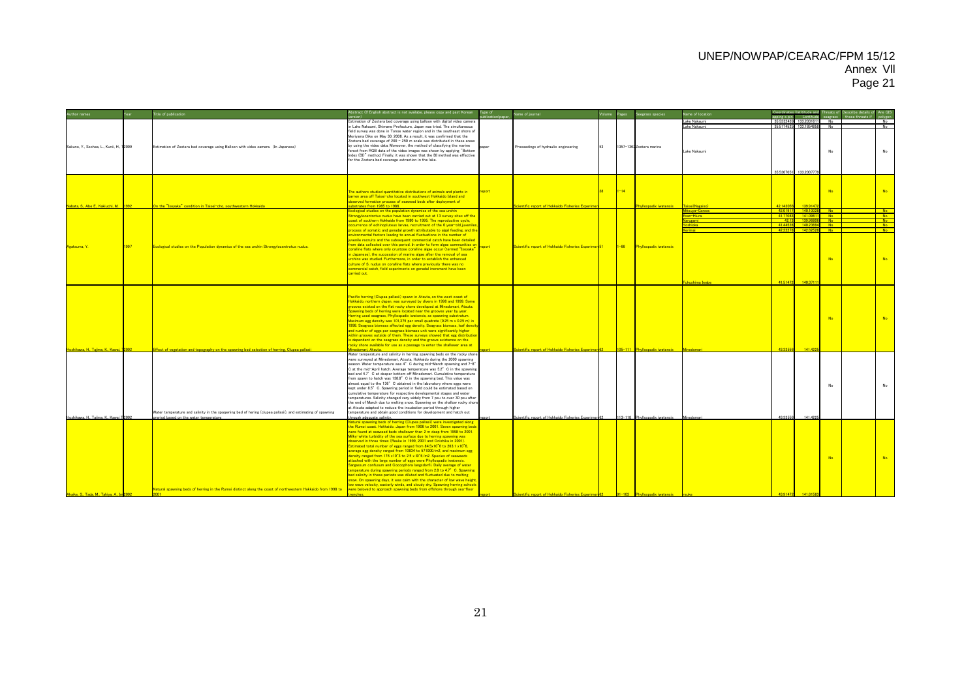| hor names                                 |      | litle of publication                                                                                                                                                                | estract (If English abstract is not availabe, please copy and past Korean                                                                                                                                                                                                                                                                                                                                                                                                                                                                                                                                                                                                                                                                                                                                                                                                                                                                                                                                                  | Type of | ame of journal                                                    |          | eegrass species                | <b>Vame of location</b>                      |                    | apping a pin. Lontitude                          |            | Coordinates (latititude and Threats of Describe details of Are GIS |                       |
|-------------------------------------------|------|-------------------------------------------------------------------------------------------------------------------------------------------------------------------------------------|----------------------------------------------------------------------------------------------------------------------------------------------------------------------------------------------------------------------------------------------------------------------------------------------------------------------------------------------------------------------------------------------------------------------------------------------------------------------------------------------------------------------------------------------------------------------------------------------------------------------------------------------------------------------------------------------------------------------------------------------------------------------------------------------------------------------------------------------------------------------------------------------------------------------------------------------------------------------------------------------------------------------------|---------|-------------------------------------------------------------------|----------|--------------------------------|----------------------------------------------|--------------------|--------------------------------------------------|------------|--------------------------------------------------------------------|-----------------------|
| Sakuno, Y., Sochea, L., Kunii, H., 12009  |      | Estimation of Zostera bed coverage using Balloon with video camera. (In Japanese)                                                                                                   | stimation of Zostera bed coverage using balloon with digital video camera<br>1 Lake Nakaumi, Shimane Prefecture, Japan was tried. The simultaneous<br>field survey was done in Tonoe water region and in the southeast shore of<br>Moriyama Dike on May 30, 2008. As a result, it was confirmed that the<br>Zostera bed coverage of 200 - 250 m scale was distributed in these areas<br>by using the video data. Moreover, the method of classifying the marine<br>forest from RGB data of the video images was shown by applying "Bottom<br>ndex (BI)" method. Finally, it was shown that the BI method was effective                                                                                                                                                                                                                                                                                                                                                                                                     |         | Proceedings of hydraulic engineering                              |          | 1357-1362 Zostera marina       | Lake Nakaumi<br>Lake Nakaumi<br>Lake Nakaumi |                    | 35.5332439 133.2031611<br>35.5174525 133.1854858 | No<br>No   |                                                                    | No<br>No.<br>No       |
|                                           |      |                                                                                                                                                                                     | for the Zostera bed coverage extraction in the lake.                                                                                                                                                                                                                                                                                                                                                                                                                                                                                                                                                                                                                                                                                                                                                                                                                                                                                                                                                                       |         |                                                                   |          |                                |                                              |                    | 35.5307051 133.2007779                           |            |                                                                    |                       |
|                                           |      |                                                                                                                                                                                     |                                                                                                                                                                                                                                                                                                                                                                                                                                                                                                                                                                                                                                                                                                                                                                                                                                                                                                                                                                                                                            |         |                                                                   |          |                                |                                              |                    |                                                  |            |                                                                    |                       |
| Nabata, S., Abe E., Kakiuchi, M. 1992     |      | On the "Isovake" condition in Taisei-cho, southwestern Hokkaid                                                                                                                      | he authors studied quantitative distributions of animals and plants in<br><u>parren area off Taisei-cho located in southwest Hokkaido Island and I</u><br>bbserved formation process of seaweed beds after deployment of<br>ubstrates from 1985 to 1986.                                                                                                                                                                                                                                                                                                                                                                                                                                                                                                                                                                                                                                                                                                                                                                   | report  | ntific report of Hokkaido Fisheries Experim                       | $1 - 14$ |                                |                                              |                    |                                                  | <b>No</b>  |                                                                    | No                    |
|                                           |      |                                                                                                                                                                                     | cological studies on the population dynamics of the sea urchin                                                                                                                                                                                                                                                                                                                                                                                                                                                                                                                                                                                                                                                                                                                                                                                                                                                                                                                                                             |         |                                                                   |          |                                | Mitsuya-Genwa                                |                    | 42.01917 140.10028                               | No.        |                                                                    | No.                   |
|                                           |      |                                                                                                                                                                                     | trongylocentrotus nudus have been carried out at 13 survey sites off the<br>oast of southern Hokkaido from 1980 to 1995. The reproductive cycle.                                                                                                                                                                                                                                                                                                                                                                                                                                                                                                                                                                                                                                                                                                                                                                                                                                                                           |         |                                                                   |          |                                | Esan-Hiura<br>arugami                        | 41 7708<br>$-42.1$ | 141,09611<br>139,9680                            | No.<br>No. |                                                                    | N <sub>o</sub><br>No. |
|                                           |      |                                                                                                                                                                                     | courrence of echinopluteus larvae, recruitment of the 0 year-old juveniles                                                                                                                                                                                                                                                                                                                                                                                                                                                                                                                                                                                                                                                                                                                                                                                                                                                                                                                                                 |         |                                                                   |          |                                |                                              | 41,44528           | 140.23694                                        | No.        |                                                                    | No.                   |
|                                           |      |                                                                                                                                                                                     | rocess of somatic and gonadal growth attributable to algal feeding, and the<br>nvironmental factors leading to annual fluctuations in the number of                                                                                                                                                                                                                                                                                                                                                                                                                                                                                                                                                                                                                                                                                                                                                                                                                                                                        |         |                                                                   |          |                                |                                              | 42.2227            | 142.62528                                        | No.        |                                                                    | No.                   |
| Agatsuma, Y.                              | 1997 | Ecological studies on the Population dynamics of the sea urchin Strongylocentrotus nudus.                                                                                           | uvenile recruits and the subsequent commercial catch have been detailed<br>rom data collected over this period. In order to form algae communities on<br>coralline flats where only crustose coralline algae occur (termed "Isovake"<br>a Japanese), the succession of marine algae after the removal of sea<br>rchins was studied. Furthermore, in order to establish the enhanced<br>ulture of S, nudus on coralline flats where previously there was no<br>ommercial catch, field experiments on gonadal increment have been<br>arried out.                                                                                                                                                                                                                                                                                                                                                                                                                                                                             | report  | Scientific report of Hokkaido Fisheries Experimen <mark>51</mark> | $1 - 66$ | Phyllospadix iwatensis         |                                              | 4151472            | 1403711                                          | No.        |                                                                    |                       |
| Hoshikawa, H., Tajima, K., Kawai, 12002   |      | Effect of vegetation and topography on the spawning bed selection of herring. Clupea pallasii                                                                                       | Pacific herring (Clupea pallasii) spawn in Atsuta, on the west coast of<br>Hokkaido, northern Japan, was surveyed by divers in 1998 and 1999. Some<br>prooves existed on the flat rocky shore developed at Minedomari. Atsuta.<br>Spawning beds of herring were located near the grooves year by year.<br>Herring used seagrass, Phyllospadix iwatensis, as spawning substratum.<br>faximum egg density was 101.375 per small quadrate (0.25 m x 0.25 m) in<br>1998. Seagrass biomass affected egg density. Seagrass biomass, leaf density<br>and number of eggs per seagrass biomass unit were significantly higher<br>vithin grooves outside of them. These surveys showed that egg distribution<br>s dependent on the seagrass density and the groove existence on the<br>ocky shore available for use as a passage to enter the shallower area at<br>linedomari, Atsuta.                                                                                                                                               |         | ientific report of Hokkaido Fisheries Experimen 62                |          | 105-111 Phyllospadix iwatensis |                                              | 43.33556           | 141,422                                          | No         |                                                                    |                       |
| Hoshikawa, H., Tajima, K., Kawai T2002    |      | Water temperature and salinity in the spaqwning bed of hering (clupea pallasii), and estimating of spawning<br>reriod based on the water temperature                                | Water temperature and salinity in herring spawning beds on the rocky shore<br>were surveyed at Minedomari, Atsuta, Hokkaido during the 2000 spawning<br>season. Water temperature was 4° C during mid-March spawning and 7-8°<br>C at the mid-April hatch. Average temperature was 5.2° C in the spawning<br>bed and 4.7° C at deeper bottom off Minedomari. Cumulative temperature<br>rom spawn to hatch was 138.8° C in the spawning bed. This value was<br>almost equal to the 136° C obtained in the laboratory where eggs were<br>kept under 8.5° C. Spawning period in field could be estimated based on<br>cumulative temperature for respective developmental stages and water<br>temperatures. Salinity changed very widely from 7 psu to over 30 psu after<br>the end of March due to melting snow. Spawning on the shallow rocky shore<br>at Atsuta adapted to reduce the incubation period through higher<br>temperature and obtain good conditions for development and hatch out<br>hrough adequate salinity. |         | cientific report of Hokkaido Fisheries Experimen 62               |          | 113-118 Phyllospadix iwatensis | Minedomari                                   | 43.33556           | 141.4225                                         | No         |                                                                    | No                    |
|                                           |      |                                                                                                                                                                                     | Natural spawning beds of herring (Clupea pallasii) were investigated along<br>the Rumoi coast. Hokkaido, Japan from 1906 to 2001. Seven spawning beds                                                                                                                                                                                                                                                                                                                                                                                                                                                                                                                                                                                                                                                                                                                                                                                                                                                                      |         |                                                                   |          |                                |                                              |                    |                                                  |            |                                                                    |                       |
| Akaike, S., Tada, M., Takiya, A., Im 2002 |      | Natural spawning beds of herring in the Rumoi distinct along the coast of northwestern Hokkaido from 1998 to were beloved to approach spawning beds from offshore through sea-floor | vere found at seaweed beds shallower than 2 m deep from 1998 to 2001.<br>Milky-white turbidity of the sea surface due to herring spawning was<br>bbserved in three times (Reuke in 1999, 2001 and Onishika in 2001).<br>Estimated total number of eggs ranged from 84.5x10^6 to 263.1 x10^6.<br>average egg density ranged from 10834 to 571000/m2, and maximum egg<br>lensity ranged from 176 x10^3 to 2.5 x 10^6/m2. Species of seaweeds<br>attached with the large number of eggs were Phyllospadix iwatensis. I<br>Sargassum confusum and Coccophora langsdorfii. Daily average of water<br>emperature during spawning periods ranged from 2.8 to 4.7° C. Spawning<br>ed salinity in these periods was diluted and fluctuated due to melting<br>snow. On spawning days, it was calm with the character of low wave height<br>ow wave velocity, easterly winds, and cloudy sky. Spawning herring schools                                                                                                                |         |                                                                   |          |                                |                                              | 42.014             | 141,016                                          | <b>No</b>  |                                                                    |                       |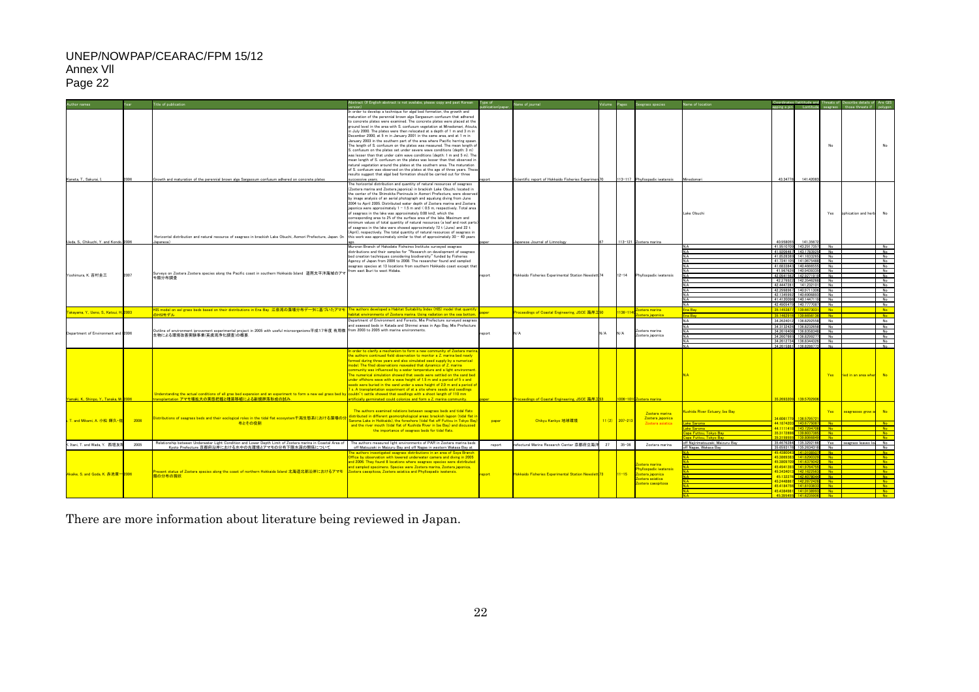| hor names                                      |         | litle of publication                                                                                                                                                                  | bstract (If English abstract is not availabe, please copy and past Korean                                                                               | Type of | lame of journal                                     | Jolume Pages |                 | Seegrass species                | lame of location                               |                      | spoing a pin. Lontitude seagrass                      |                | Coordinates (latititude and Threats of Describe details of | Are GIS           |
|------------------------------------------------|---------|---------------------------------------------------------------------------------------------------------------------------------------------------------------------------------------|---------------------------------------------------------------------------------------------------------------------------------------------------------|---------|-----------------------------------------------------|--------------|-----------------|---------------------------------|------------------------------------------------|----------------------|-------------------------------------------------------|----------------|------------------------------------------------------------|-------------------|
|                                                |         |                                                                                                                                                                                       | n order to develop a technique for algal bed formation, the growth and                                                                                  |         |                                                     |              |                 |                                 |                                                |                      |                                                       |                |                                                            |                   |
|                                                |         |                                                                                                                                                                                       | naturation of the perennial brown alga Sargassum confusum that adhered                                                                                  |         |                                                     |              |                 |                                 |                                                |                      |                                                       |                |                                                            |                   |
|                                                |         |                                                                                                                                                                                       | to concrete plates were examined. The concrete plates were placed at the                                                                                |         |                                                     |              |                 |                                 |                                                |                      |                                                       |                |                                                            |                   |
|                                                |         |                                                                                                                                                                                       | ground level in the area with S. confusum vegetation at Minedomari. Atsuta.                                                                             |         |                                                     |              |                 |                                 |                                                |                      |                                                       |                |                                                            |                   |
|                                                |         |                                                                                                                                                                                       | n July 2000. The plates were then relocated at a depth of 1 m and 3 m in                                                                                |         |                                                     |              |                 |                                 |                                                |                      |                                                       |                |                                                            |                   |
|                                                |         |                                                                                                                                                                                       | December 2000, at 5 m in January 2001 in the same area, and at 1 m in                                                                                   |         |                                                     |              |                 |                                 |                                                |                      |                                                       |                |                                                            |                   |
|                                                |         |                                                                                                                                                                                       | January 2003 in the southern part of the area where Pacific herring spawn                                                                               |         |                                                     |              |                 |                                 |                                                |                      |                                                       |                |                                                            |                   |
|                                                |         |                                                                                                                                                                                       | The length of S. confusum on the plates was measured. The mean length of                                                                                |         |                                                     |              |                 |                                 |                                                |                      |                                                       | No             |                                                            | No                |
|                                                |         |                                                                                                                                                                                       | S. confusum on the plates set under severe wave conditions (depth: 3 m)                                                                                 |         |                                                     |              |                 |                                 |                                                |                      |                                                       |                |                                                            |                   |
|                                                |         |                                                                                                                                                                                       | was lesser than that under calm wave conditions (depth: 1 m and 5 m). The                                                                               |         |                                                     |              |                 |                                 |                                                |                      |                                                       |                |                                                            |                   |
|                                                |         |                                                                                                                                                                                       | nean length of S. confusum on the plates was lesser than that observed in<br>atural vegetation around the plates at the southern area. The maturation   |         |                                                     |              |                 |                                 |                                                |                      |                                                       |                |                                                            |                   |
|                                                |         |                                                                                                                                                                                       | of S. confusum was observed on the plates at the age of three years. These                                                                              |         |                                                     |              |                 |                                 |                                                |                      |                                                       |                |                                                            |                   |
|                                                |         |                                                                                                                                                                                       | results suggest that algal bed formation should be carried out for three                                                                                |         |                                                     |              |                 |                                 |                                                |                      |                                                       |                |                                                            |                   |
| Kaneta, T., Sakurai, I                         |         | Growth and maturation of the perennial brown alga Sargassum confusum adhered on concrete plates                                                                                       | uccessive vears.                                                                                                                                        |         | cientific report of Hokkaido Fisheries Experimen 70 |              |                 | 113-117 Phyllospadix iwatensis  | Minedomari                                     | 43,34778             | 141,4208                                              |                |                                                            |                   |
|                                                |         |                                                                                                                                                                                       | The horizontal distribution and quantity of natural resources of seagrass                                                                               |         |                                                     |              |                 |                                 |                                                |                      |                                                       |                |                                                            |                   |
|                                                |         |                                                                                                                                                                                       | Zostera marina and Zostera iaponica) in brackish Lake Obuchi, located in                                                                                |         |                                                     |              |                 |                                 |                                                |                      |                                                       |                |                                                            |                   |
|                                                |         |                                                                                                                                                                                       | the center of the Shimokita Peninsula in Aomori Prefecture, were observed                                                                               |         |                                                     |              |                 |                                 |                                                |                      |                                                       |                |                                                            |                   |
|                                                |         |                                                                                                                                                                                       | by image analysis of an aerial photograph and aqualung diving from June                                                                                 |         |                                                     |              |                 |                                 |                                                |                      |                                                       |                |                                                            |                   |
|                                                |         |                                                                                                                                                                                       | 2004 to April 2005. Distributed water depth of Zostera marina and Zostera<br>aponica were approximately 1 - 1.5 m and < 0.5 m, respectively. Total area |         |                                                     |              |                 |                                 |                                                |                      |                                                       |                |                                                            |                   |
|                                                |         |                                                                                                                                                                                       | of seagrass in the lake was approximately 0.08 km2, which the                                                                                           |         |                                                     |              |                 |                                 | Lake Obuchi                                    |                      |                                                       | Yes            | ophication and herb                                        | No                |
|                                                |         |                                                                                                                                                                                       | corresponding area to 2% of the surface area of the lake. Maximum and                                                                                   |         |                                                     |              |                 |                                 |                                                |                      |                                                       |                |                                                            |                   |
|                                                |         |                                                                                                                                                                                       | ninimum values of total quantity of natural resources (a leaf and root parts                                                                            |         |                                                     |              |                 |                                 |                                                |                      |                                                       |                |                                                            |                   |
|                                                |         |                                                                                                                                                                                       | of seagrass in the lake were showed approximately 72 t (June) and 22 t                                                                                  |         |                                                     |              |                 |                                 |                                                |                      |                                                       |                |                                                            |                   |
|                                                |         |                                                                                                                                                                                       | April), respectively. The total quantity of natural resources of seagrass in                                                                            |         |                                                     |              |                 |                                 |                                                |                      |                                                       |                |                                                            |                   |
|                                                |         | Horizontal distribution and natural resource of seagrass in brackish Lake Obuchi, Aomori Prefecture, Japan. (In                                                                       | this work was approximately similar to that of approximately 30 - 40 years                                                                              |         |                                                     |              |                 |                                 |                                                |                      |                                                       |                |                                                            |                   |
| Ueda, S., Chikuchi, Y. and Kondo. 2006         |         | (nannen)                                                                                                                                                                              |                                                                                                                                                         |         | apanese Journal of Limnology                        |              |                 | 113-121 Zostera marina          |                                                | 40.958055            | 141.35672                                             |                |                                                            |                   |
|                                                |         |                                                                                                                                                                                       | Muroran Branch of Hakodate Fisheires Institute surveyed seagrass                                                                                        |         |                                                     |              |                 |                                 |                                                |                      | 41.9510709 143.2917357                                | <b>No</b>      |                                                            | No.               |
|                                                |         |                                                                                                                                                                                       | distributions and their samples for "Research on development of seagrass                                                                                |         |                                                     |              |                 |                                 |                                                |                      | 41.9206467 143.1783925                                | <b>No</b>      |                                                            | No.               |
|                                                |         |                                                                                                                                                                                       | bed creation techniques considering biodiversity" funded by Fisheries<br>Agency of Japan from 2006 to 2008. The researcher found and sampled            |         |                                                     |              |                 |                                 |                                                |                      | 41.8528389 141.163326<br>41.7241105 141.0675488       | No<br>No       |                                                            | No<br>No          |
|                                                |         |                                                                                                                                                                                       | seagrass species at 13 locations from southern Hokkaido coast except that                                                                               |         |                                                     |              |                 |                                 |                                                |                      | 41.6833843 140.4666555                                | No             |                                                            | No.               |
|                                                |         |                                                                                                                                                                                       | from east Iburi to west Hidaka.                                                                                                                         |         |                                                     |              |                 |                                 |                                                |                      | 41.967626 140.9439335                                 | No             |                                                            | No.               |
| Yoshimura, K. 吉村圭三                             | 2007    | Surveys on Zostera Zostera species along the Pacific coast in southern Hokkaido Island 道南太平洋海域のアマ                                                                                     |                                                                                                                                                         |         | Hokkaido Fisheries Experimental Station Newslett 74 |              | $12 - 14$       | Phyllospadix iwatensis          |                                                |                      | 42.0941562 142.9271919                                | No             |                                                            | No.               |
|                                                |         | モ額分布調査                                                                                                                                                                                |                                                                                                                                                         |         |                                                     |              |                 |                                 |                                                |                      | 42.279922 142.3546268                                 | No             |                                                            | No.               |
|                                                |         |                                                                                                                                                                                       |                                                                                                                                                         |         |                                                     |              |                 |                                 | N <sub>A</sub>                                 |                      | 42.4447281 141.23210                                  | No             |                                                            | No                |
|                                                |         |                                                                                                                                                                                       |                                                                                                                                                         |         |                                                     |              |                 |                                 | IN A                                           |                      | 42 2998967 140 9711306                                | <b>No</b>      |                                                            | No.               |
|                                                |         |                                                                                                                                                                                       |                                                                                                                                                         |         |                                                     |              |                 |                                 | IN A                                           |                      | 42.1345992 140.6906893                                | No             |                                                            | No.               |
|                                                |         |                                                                                                                                                                                       |                                                                                                                                                         |         |                                                     |              |                 |                                 |                                                |                      | 41.4120096 140.1447119                                | No             |                                                            | No.               |
|                                                |         |                                                                                                                                                                                       |                                                                                                                                                         |         |                                                     |              |                 |                                 |                                                |                      | 42.4905479 140.7777087                                | <b>No</b>      |                                                            | No                |
| akavama, Y., Ueno, S., Katsui, H., 2003        |         | +BS model on eel grass beds based on their distributions in Ena Bay 江奈湾の藻場分布データに基づいたアマモ【The authors developed a Habitat Suitability Index (HIS) model that quantify<br><b>DHSIモデル</b> | <u>abitat environments of Zostera marina. Using radiation on the sea bottom,</u>                                                                        |         | roceedings of Coastal Engineering, JSCE 海岸工50       |              | 136-1140        | ostera marina<br>stera ianonica | ina Bav                                        | 35 1453877           | 139 667303                                            | No.            |                                                            | No No             |
|                                                |         |                                                                                                                                                                                       | .<br>Department of Environment and Forests. Mie Prefecture surveyed seagrass                                                                            |         |                                                     |              |                 |                                 | ina Bay                                        |                      | 35.1462916 139.665613                                 | No.            |                                                            | No.               |
|                                                |         |                                                                                                                                                                                       | and seaweed beds in Katada and Shinmei areas in Ago Bay, Mie Prefecture                                                                                 |         |                                                     |              |                 |                                 | <b>N.A</b>                                     |                      | 34.2624012 136.8292558                                | No             |                                                            | No.               |
|                                                |         | Outline of environment iprovement experimental project in 2005 with useful microorganisms平成17年度 有用微 ffrom 2003 to 2005 with marine environments.                                      |                                                                                                                                                         |         |                                                     |              |                 | Costera marina                  |                                                |                      | 34.3132426 136.8232658                                | No             |                                                            | No.               |
| Department of Environment and 2006             |         | 生物による環境改善実験事業(英虞湾浄化調査)の概要                                                                                                                                                             |                                                                                                                                                         | eport   |                                                     | N/A          | N/A             | ostera japonica                 | IN A                                           |                      | 34.2616408 136.8358348<br>34.2607865 136.829927       | No.<br>No      |                                                            | No<br>No.         |
|                                                |         |                                                                                                                                                                                       |                                                                                                                                                         |         |                                                     |              |                 |                                 | N A                                            |                      | 34.2612734 136.8344326                                | No             |                                                            | No                |
|                                                |         |                                                                                                                                                                                       |                                                                                                                                                         |         |                                                     |              |                 |                                 |                                                | 34 2615861 136828677 |                                                       |                |                                                            | No.               |
|                                                |         |                                                                                                                                                                                       | n order to clarify a mechanism to form a new community of Zostera maring                                                                                |         |                                                     |              |                 |                                 |                                                |                      |                                                       |                |                                                            |                   |
|                                                |         |                                                                                                                                                                                       | he authors continued field observation to monitor a Z. marina bed newly                                                                                 |         |                                                     |              |                 |                                 |                                                |                      |                                                       |                |                                                            |                   |
|                                                |         |                                                                                                                                                                                       | ormed during three years and also simulated seed supply by a numerical                                                                                  |         |                                                     |              |                 |                                 |                                                |                      |                                                       |                |                                                            |                   |
|                                                |         |                                                                                                                                                                                       | odel. The filed observations reavealed that dynamics of Z marina                                                                                        |         |                                                     |              |                 |                                 |                                                |                      |                                                       |                |                                                            |                   |
|                                                |         |                                                                                                                                                                                       | ommunity was influenced by a water temperature and a light environment                                                                                  |         |                                                     |              |                 |                                 |                                                |                      |                                                       |                |                                                            |                   |
|                                                |         |                                                                                                                                                                                       | he numerical simulation showed that seeds were settled on the sand bed<br>inder offshore wave with a wave height of 1.5 m and a period of 5 s and       |         |                                                     |              |                 |                                 |                                                |                      |                                                       | Yes            | ried in an area when No                                    |                   |
|                                                |         |                                                                                                                                                                                       | eeds were buried in the sand under a wave height of 2.0 m and a period o                                                                                |         |                                                     |              |                 |                                 |                                                |                      |                                                       |                |                                                            |                   |
|                                                |         |                                                                                                                                                                                       | s. A transplantation experiment of at a site where seeds and seedlings.                                                                                 |         |                                                     |              |                 |                                 |                                                |                      |                                                       |                |                                                            |                   |
|                                                |         | Understanding the actual conditions of ell gras bed expansion and an experiment to form a new eel grass bed by couldn't settle showed that seedlings with a shoot length of 110 mm    |                                                                                                                                                         |         |                                                     |              |                 |                                 |                                                |                      |                                                       |                |                                                            |                   |
| <u>Yamaki, K., Shinpo, Y., Tanaka, M. 2006</u> |         | olantation アマモ場拡大の実態把握と種苗移植による新規群落形成の試み                                                                                                                                               | ificially germinated could colonize and form a Z. marina co                                                                                             |         | ngs of Coastal Engineering, JSCE 海岸工53              |              |                 |                                 |                                                |                      |                                                       |                |                                                            |                   |
|                                                |         |                                                                                                                                                                                       |                                                                                                                                                         |         |                                                     |              |                 |                                 |                                                |                      |                                                       |                |                                                            |                   |
|                                                |         |                                                                                                                                                                                       | The authors examined relations between seagrass beds and tidal flats                                                                                    |         |                                                     |              |                 |                                 | ushida River Estuary, Ise Bay                  |                      |                                                       | Yes            | seagrasses grow at                                         | No.               |
|                                                |         |                                                                                                                                                                                       | distributed in different geomorphological areas: brackish lagoon (tidal flat i                                                                          |         |                                                     |              |                 | <b>Zostera</b> marina           |                                                |                      |                                                       |                |                                                            |                   |
| T. and Mikami. A. 小松 經久·佐                      | $-2006$ | Distributions of seagrass beds and their eoclogical roles in the tidal flat ecosystem干潟生態系における藻場の;                                                                                    | Saroma Lake in Hokkaido), the foreshore (tidal flat off Futtsu in Tokyo Bay                                                                             | paper   | Chikyu Kankyo 地球環境                                  |              | $11(2)$ 207-213 | Zostera japonica                |                                                |                      | 34.6061779 136.5795721<br>44.1874203 143.6775087      |                |                                                            |                   |
|                                                |         | 布とその役割                                                                                                                                                                                | and the river mouth (tidal flat of Kushida River in Ise Bay) and discussed                                                                              |         |                                                     |              |                 | Zostera asiatica                | <b>Lake Saroma</b>                             |                      | 44.1111418 143.7294708                                | No.<br>No.     |                                                            | No.               |
|                                                |         |                                                                                                                                                                                       | the importance of seagrass beds for tidal flats.                                                                                                        |         |                                                     |              |                 |                                 | Lake Saroma<br><u>Sape Futtsu, Tokyo Bay I</u> |                      | 35.3172898 139.8037385                                | No.            |                                                            | $N_0$<br>No.      |
|                                                |         |                                                                                                                                                                                       |                                                                                                                                                         |         |                                                     |              |                 |                                 | ape Futtsu, Tokyo Bay                          |                      | 35 3159555 139 8066849                                | No.            |                                                            | No.               |
|                                                |         | Relationship between Underwater Light Condition and Lower Depth Limit of Zostera marina in Coastal Area of                                                                            | The authors measured light environments of PAR in Zostera marina beds                                                                                   |         |                                                     |              |                 |                                 | off Nejirimatsuzaki, Maizuru Bay               |                      | 35.4676284 135.3292166                                | Yes            | seagrass leaves low                                        | No.               |
| . Itani, T. and Wada, Y. 西垣友                   | 2005    | Kvoto Prefecture 京都府沿岸における水中の光環境とアマモの分布下限水深の関係について、                                                                                                                                   | off Matsuzaki in Maizuru Bay and off Nagae in western Wakasa Bay at                                                                                     | report  | efectural Marine Research Center 京都府立海洋             | 27           | $35 - 36$       | Zostera marina                  | off Nagae, Wakasa Bay                          |                      | 35.6593176 135.2634318                                | No             |                                                            | No.               |
|                                                |         |                                                                                                                                                                                       | The authors investigated seagrass distributions in an area of Sova Branch                                                                               |         |                                                     |              |                 |                                 |                                                |                      | 45.4380043 141.0108507                                | No.            |                                                            | No                |
|                                                |         |                                                                                                                                                                                       | Iffice by observation with lowered underwater camera and diving in 2005                                                                                 |         |                                                     |              |                 |                                 |                                                |                      | 45.3869383 141.6290329                                | N <sub>o</sub> |                                                            | No.               |
|                                                |         |                                                                                                                                                                                       | and 2006. They found 8 locations where seagrass species were distributed                                                                                |         |                                                     |              |                 | ostera marina.                  |                                                |                      | 45.3809709 141.6375042                                | No.            |                                                            | No.               |
|                                                |         |                                                                                                                                                                                       | nd sampled specimens. Species were Zostera marina. Zostera iaponica.                                                                                    |         |                                                     |              |                 | <u>iyllospadix iwatensis</u>    |                                                |                      | 45.4941393 141.9764755                                | No.            |                                                            | No.               |
| Akaike, S. and Goda, K. 赤池章-2006               |         | resent status of Zostera species along the coast of northern Hokkaido Island 北海道北部沿岸におけるアマモー                                                                                          | Zostera caespitosa, Zostera asiatica and Phyllospadix iwatensis                                                                                         |         | Hokkaido Fisheries Experimental Station Newslett 73 |              | $11 - 15$       | ostera japonica                 |                                                |                      | 45.3434013 142.1622563                                | No.            |                                                            | No.               |
|                                                |         | 頃の分布の現状                                                                                                                                                                               |                                                                                                                                                         |         |                                                     |              |                 | ostera asiatica                 |                                                |                      | 45.132276 142.4078044 No<br>45.2448867 142.2872428 No |                |                                                            | No. 1             |
|                                                |         |                                                                                                                                                                                       |                                                                                                                                                         |         |                                                     |              |                 | ostera caespitosa               |                                                |                      | 45.4184756 141.8103833 No                             |                |                                                            | No.<br>No.        |
|                                                |         |                                                                                                                                                                                       |                                                                                                                                                         |         |                                                     |              |                 |                                 |                                                |                      |                                                       |                |                                                            |                   |
|                                                |         |                                                                                                                                                                                       |                                                                                                                                                         |         |                                                     |              |                 |                                 |                                                |                      | 45.4384981 141.0138993 No<br>45 395455 141 62359      |                |                                                            | $\frac{N_0}{N_0}$ |
|                                                |         |                                                                                                                                                                                       |                                                                                                                                                         |         |                                                     |              |                 |                                 |                                                |                      |                                                       |                |                                                            |                   |

There are more information about literature being reviewed in Japan.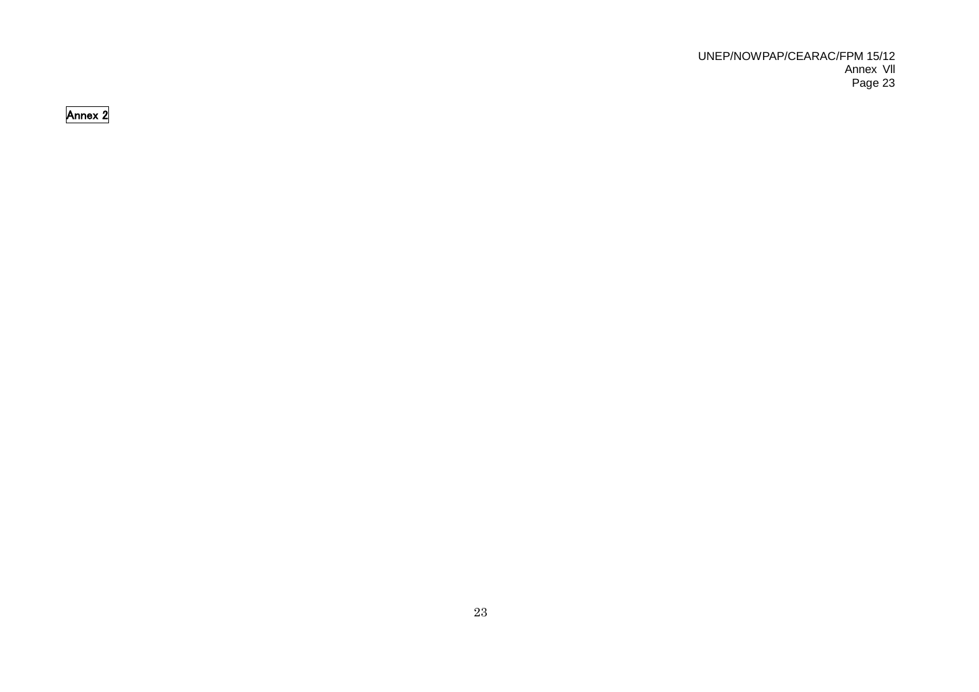Annex 2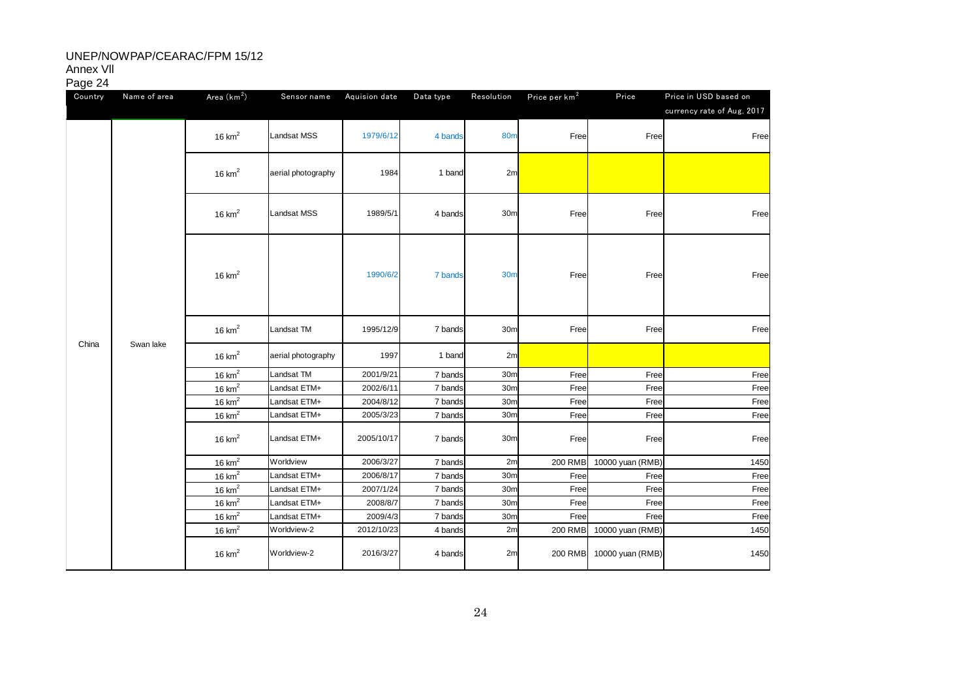## UNEP/NOWPAP/CEARAC/FPM 15/12

## Annex Vll

Page 24

| ರ್−<br>Country | Name of area | Area $(km2)$ | Sensor name        | Aquision date | Data type | Resolution      | Price per km <sup>2</sup> | Price            | Price in USD based on      |
|----------------|--------------|--------------|--------------------|---------------|-----------|-----------------|---------------------------|------------------|----------------------------|
|                |              |              |                    |               |           |                 |                           |                  | currency rate of Aug, 2017 |
|                |              | 16 $km2$     | Landsat MSS        | 1979/6/12     | 4 bands   | <b>80m</b>      | Free                      | Free             | Free                       |
|                |              | 16 $km2$     | aerial photography | 1984          | 1 band    | 2m              |                           |                  |                            |
|                |              | 16 $km2$     | Landsat MSS        | 1989/5/1      | 4 bands   | 30 <sub>m</sub> | Free                      | Free             | Free                       |
|                |              | 16 $km2$     |                    | 1990/6/2      | 7 bands   | <b>30m</b>      | Free                      | Free             | Free                       |
|                |              | 16 $km2$     | Landsat TM         | 1995/12/9     | 7 bands   | 30m             | Free                      | Free             | Free                       |
| China          | Swan lake    | 16 $km2$     | aerial photography | 1997          | 1 band    | 2m              |                           |                  |                            |
|                |              | 16 $km2$     | Landsat TM         | 2001/9/21     | 7 bands   | 30 <sub>m</sub> | Free                      | Free             | Free                       |
|                |              | 16 $km2$     | Landsat ETM+       | 2002/6/11     | 7 bands   | 30 <sub>m</sub> | Free                      | Free             | Free                       |
|                |              | 16 $km2$     | Landsat ETM+       | 2004/8/12     | 7 bands   | 30 <sub>m</sub> | Free                      | Free             | Free                       |
|                |              | 16 $km2$     | Landsat ETM+       | 2005/3/23     | 7 bands   | 30 <sub>m</sub> | Free                      | Free             | Free                       |
|                |              | 16 $km2$     | Landsat ETM+       | 2005/10/17    | 7 bands   | 30m             | Free                      | Free             | Free                       |
|                |              | 16 $km2$     | Worldview          | 2006/3/27     | 7 bands   | 2m              | 200 RMB                   | 10000 yuan (RMB) | 1450                       |
|                |              | 16 $km2$     | Landsat ETM+       | 2006/8/17     | 7 bands   | 30 <sub>m</sub> | Free                      | Free             | Free                       |
|                |              | 16 $km2$     | Landsat ETM+       | 2007/1/24     | 7 bands   | 30 <sub>m</sub> | Free                      | Free             | Free                       |
|                |              | 16 $km2$     | Landsat ETM+       | 2008/8/7      | 7 bands   | 30 <sub>m</sub> | Free                      | Free             | Free                       |
|                |              | 16 $km2$     | Landsat ETM+       | 2009/4/3      | 7 bands   | 30m             | Free                      | Free             | Free                       |
|                |              | 16 $km2$     | Worldview-2        | 2012/10/23    | 4 bands   | 2m              | <b>200 RMB</b>            | 10000 yuan (RMB) | 1450                       |
|                |              | 16 $km2$     | Worldview-2        | 2016/3/27     | 4 bands   | 2m              | 200 RMB                   | 10000 yuan (RMB) | 1450                       |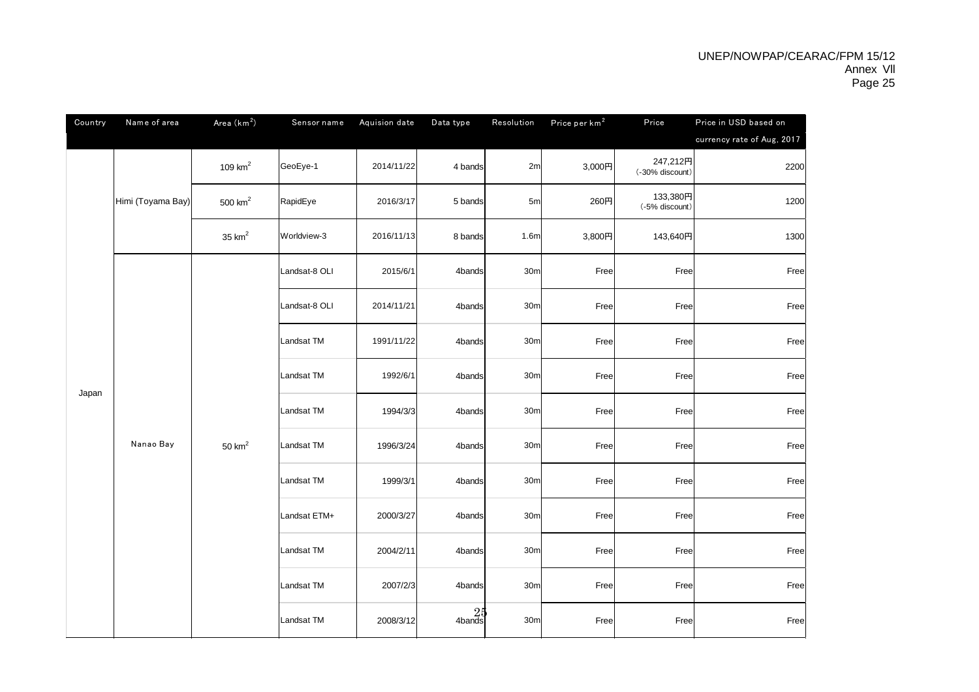| Country | Name of area      | Area $(km2)$       | Sensor name   | Aquision date | Data type           | Resolution       | Price per km <sup>2</sup> | Price                       | Price in USD based on      |
|---------|-------------------|--------------------|---------------|---------------|---------------------|------------------|---------------------------|-----------------------------|----------------------------|
|         |                   |                    |               |               |                     |                  |                           |                             | currency rate of Aug, 2017 |
|         |                   | 109 $km2$          | GeoEye-1      | 2014/11/22    | 4 bands             | 2m               | 3,000円                    | 247,212円<br>(-30% discount) | 2200                       |
|         | Himi (Toyama Bay) | $500 \text{ km}^2$ | RapidEye      | 2016/3/17     | 5 bands             | 5m               | 260円                      | 133,380円<br>(-5% discount)  | 1200                       |
|         |                   | 35 $km2$           | Worldview-3   | 2016/11/13    | 8 bands             | 1.6 <sub>m</sub> | 3,800円                    | 143,640円                    | 1300                       |
|         |                   |                    | Landsat-8 OLI | 2015/6/1      | 4bands              | 30 <sub>m</sub>  | Free                      | Free                        | Free                       |
|         |                   |                    | Landsat-8 OLI | 2014/11/21    | 4bands              | 30 <sub>m</sub>  | Free                      | Free                        | Free                       |
|         |                   |                    | Landsat TM    | 1991/11/22    | 4bands              | 30 <sub>m</sub>  | Free                      | Free                        | Free                       |
| Japan   |                   |                    | Landsat TM    | 1992/6/1      | 4bands              | 30 <sub>m</sub>  | Free                      | Free                        | Free                       |
|         |                   |                    | Landsat TM    | 1994/3/3      | 4bands              | 30 <sub>m</sub>  | Free                      | Free                        | Free                       |
|         | Nanao Bay         | $50 \text{ km}^2$  | Landsat TM    | 1996/3/24     | 4bands              | 30 <sub>m</sub>  | Free                      | Free                        | Free                       |
|         |                   |                    | Landsat TM    | 1999/3/1      | 4bands              | 30 <sub>m</sub>  | Free                      | Free                        | Free                       |
|         |                   |                    | Landsat ETM+  | 2000/3/27     | 4bands              | 30 <sub>m</sub>  | Free                      | Free                        | Free                       |
|         |                   |                    | Landsat TM    | 2004/2/11     | 4bands              | 30 <sub>m</sub>  | Free                      | Free                        | Free                       |
|         |                   |                    | Landsat TM    | 2007/2/3      | 4bands              | 30 <sub>m</sub>  | Free                      | Free                        | Free                       |
|         |                   |                    | Landsat TM    | 2008/3/12     | $\frac{25}{4$ bands | 30 <sub>m</sub>  | Free                      | Free                        | Free                       |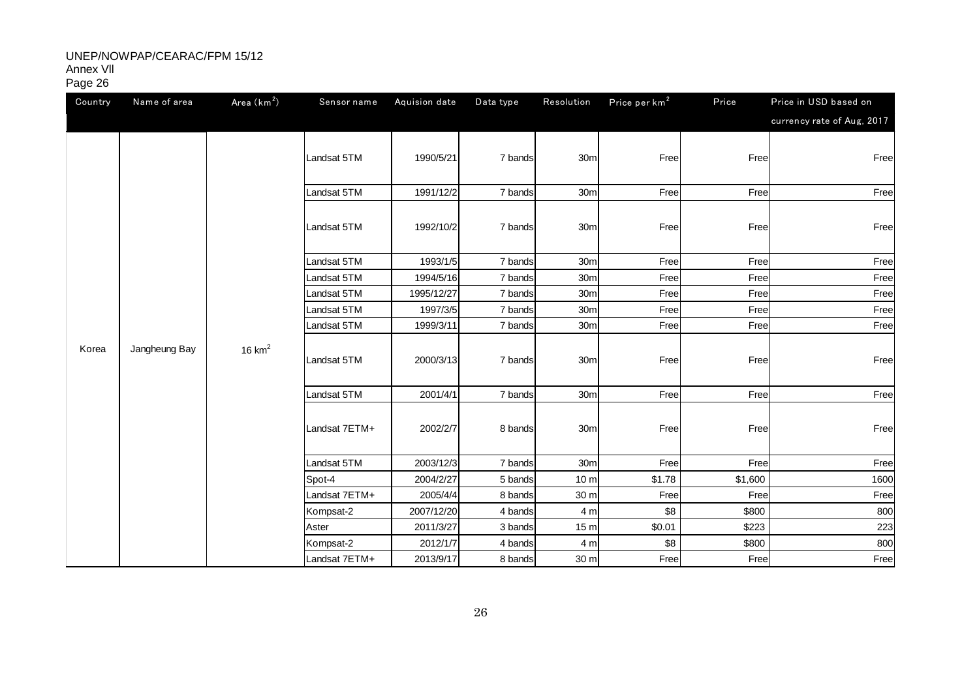## UNEP/NOWPAP/CEARAC/FPM 15/12

## Annex Vll Page 26

| Country | Name of area  | Area $(km2)$ | Sensor name   | Aquision date | Data type | Resolution      | Price per km <sup>2</sup> | Price   | Price in USD based on      |
|---------|---------------|--------------|---------------|---------------|-----------|-----------------|---------------------------|---------|----------------------------|
|         |               |              |               |               |           |                 |                           |         | currency rate of Aug, 2017 |
|         |               |              | Landsat 5TM   | 1990/5/21     | 7 bands   | 30m             | Free                      | Free    | Free                       |
|         |               |              | Landsat 5TM   | 1991/12/2     | 7 bands   | 30m             | Free                      | Free    | Free                       |
|         |               |              | Landsat 5TM   | 1992/10/2     | 7 bands   | 30 <sub>m</sub> | Free                      | Free    | Free                       |
|         |               |              | Landsat 5TM   | 1993/1/5      | 7 bands   | 30m             | Free                      | Free    | Free                       |
|         |               |              | Landsat 5TM   | 1994/5/16     | 7 bands   | 30m             | Free                      | Free    | Free                       |
|         |               |              | Landsat 5TM   | 1995/12/27    | 7 bands   | 30m             | Free                      | Free    | Free                       |
|         |               |              | Landsat 5TM   | 1997/3/5      | 7 bands   | 30m             | Free                      | Free    | Free                       |
|         |               |              | Landsat 5TM   | 1999/3/11     | 7 bands   | 30m             | Free                      | Free    | Free                       |
| Korea   | Jangheung Bay | 16 $km2$     | Landsat 5TM   | 2000/3/13     | 7 bands   | 30m             | Free                      | Free    | Free                       |
|         |               |              | Landsat 5TM   | 2001/4/1      | 7 bands   | 30m             | Free                      | Free    | Free                       |
|         |               |              | Landsat 7ETM+ | 2002/2/7      | 8 bands   | 30 <sub>m</sub> | Free                      | Free    | Free                       |
|         |               |              | Landsat 5TM   | 2003/12/3     | 7 bands   | 30 <sub>m</sub> | Free                      | Free    | Free                       |
|         |               |              | Spot-4        | 2004/2/27     | 5 bands   | 10 <sub>m</sub> | \$1.78                    | \$1,600 | 1600                       |
|         |               |              | Landsat 7ETM+ | 2005/4/4      | 8 bands   | 30 m            | Free                      | Free    | Free                       |
|         |               |              | Kompsat-2     | 2007/12/20    | 4 bands   | 4 <sub>m</sub>  | \$8                       | \$800   | 800                        |
|         |               |              | Aster         | 2011/3/27     | 3 bands   | 15 <sub>m</sub> | \$0.01                    | \$223   | 223                        |
|         |               |              | Kompsat-2     | 2012/1/7      | 4 bands   | 4 m             | \$8                       | \$800   | 800                        |
|         |               |              | Landsat 7ETM+ | 2013/9/17     | 8 bands   | 30 m            | Free                      | Free    | Free                       |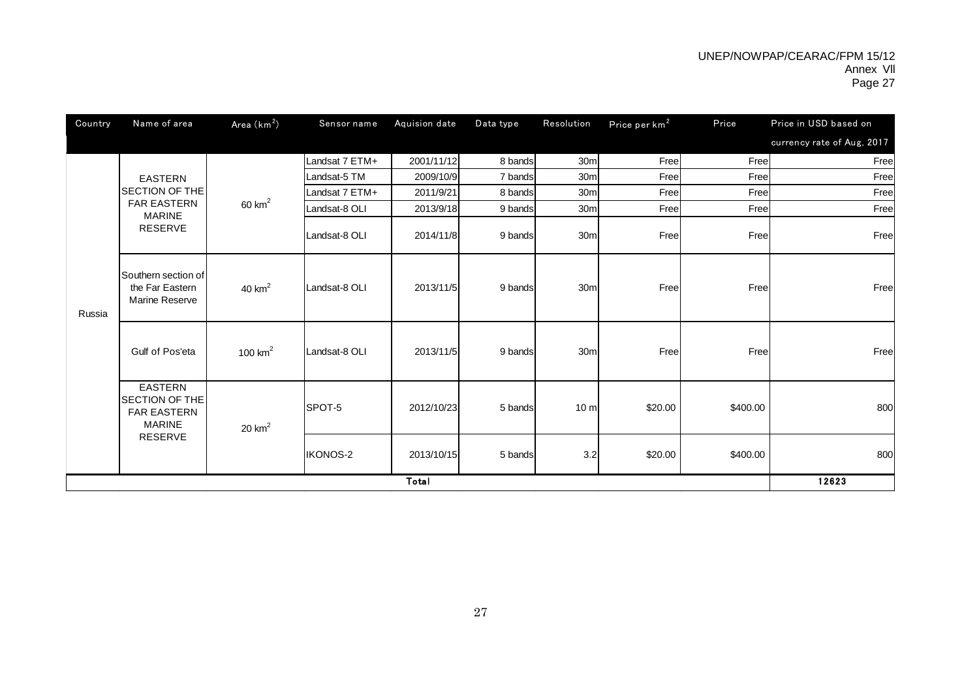| Country | Name of area                                                                   | Area $(km2)$      | Sensor name    | Aquision date | Data type | Resolution      | Price per km <sup>2</sup> | Price    | Price in USD based on      |
|---------|--------------------------------------------------------------------------------|-------------------|----------------|---------------|-----------|-----------------|---------------------------|----------|----------------------------|
|         |                                                                                |                   |                |               |           |                 |                           |          | currency rate of Aug, 2017 |
|         |                                                                                |                   | Landsat 7 ETM+ | 2001/11/12    | 8 bands   | 30 <sub>m</sub> | Free                      | Free     | Free                       |
|         | <b>EASTERN</b>                                                                 |                   | Landsat-5 TM   | 2009/10/9     | 7 bands   | 30 <sub>m</sub> | Free                      | Free     | Free                       |
|         | <b>SECTION OF THE</b>                                                          |                   | Landsat 7 ETM+ | 2011/9/21     | 8 bands   | 30m             | Free                      | Free     | Free                       |
|         | <b>FAR EASTERN</b><br><b>MARINE</b>                                            | $60 \text{ km}^2$ | Landsat-8 OLI  | 2013/9/18     | 9 bands   | 30m             | Free                      | Free     | Free                       |
|         | RESERVE                                                                        |                   | Landsat-8 OLI  | 2014/11/8     | 9 bands   | 30 <sub>m</sub> | Free                      | Free     | Freel                      |
| Russia  | Southern section of<br>the Far Eastern<br><b>Marine Reserve</b>                | 40 $km2$          | Landsat-8 OLI  | 2013/11/5     | 9 bands   | 30m             | Free                      | Free     | Free                       |
|         | Gulf of Pos'eta                                                                | 100 $km2$         | Landsat-8 OLI  | 2013/11/5     | 9 bands   | 30m             | Free                      | Free     | Free                       |
|         | <b>EASTERN</b><br><b>SECTION OF THE</b><br><b>FAR EASTERN</b><br><b>MARINE</b> | $20 \text{ km}^2$ | SPOT-5         | 2012/10/23    | 5 bands   | 10 <sub>m</sub> | \$20.00                   | \$400.00 | 800                        |
|         | RESERVE                                                                        |                   | IKONOS-2       | 2013/10/15    | 5 bands   | 3.2             | \$20.00                   | \$400.00 | 800                        |
|         |                                                                                |                   |                | Total         |           |                 |                           |          | 12623                      |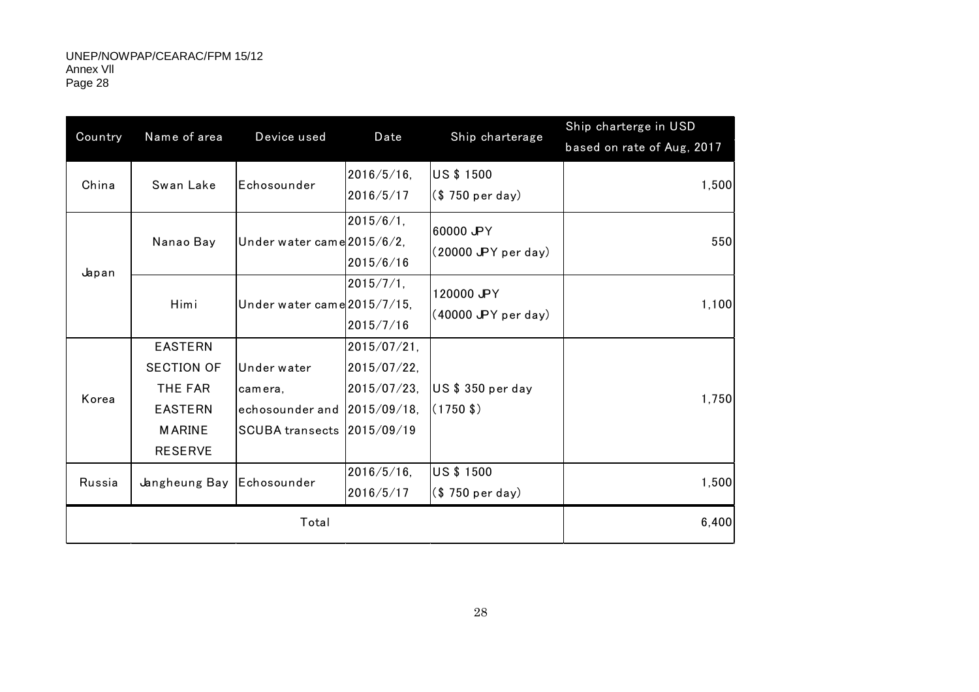| Country | Name of area      | Device used                 | Date                       | Ship charterage                      | Ship charterge in USD<br>based on rate of Aug, 2017 |
|---------|-------------------|-----------------------------|----------------------------|--------------------------------------|-----------------------------------------------------|
| China   | Swan Lake         | Echosounder                 | $2016/5/16$ ,<br>2016/5/17 | <b>US \$ 1500</b><br>(\$750 per day) | 1,500                                               |
| Japan   | Nanao Bay         | Under water came 2015/6/2,  | $2015/6/1$ ,<br>2015/6/16  | 60000 JPY<br>$(20000$ JPY per day)   | 550                                                 |
|         | Himi              | Under water came 2015/7/15, | $2015/7/1$ ,<br>2015/7/16  | 120000 JPY<br>(40000 JPY per day)    | 1,100                                               |
| Korea   | <b>EASTERN</b>    |                             | $2015/07/21$ ,             |                                      |                                                     |
|         | <b>SECTION OF</b> | Under water                 | 2015/07/22,                |                                      |                                                     |
|         | THE FAR           | camera,                     | $2015/07/23$ ,             | US\$350 per day                      | 1,750                                               |
|         | <b>EASTERN</b>    | echosounder and             | 2015/09/18,                | $(1750 \text{ }$ )                   |                                                     |
|         | <b>MARINE</b>     | SCUBA transects 2015/09/19  |                            |                                      |                                                     |
|         | <b>RESERVE</b>    |                             |                            |                                      |                                                     |
| Russia  | Jangheung Bay     | Echosounder                 | $2016/5/16$ ,              | <b>US \$ 1500</b>                    | 1,500                                               |
|         |                   |                             | 2016/5/17                  | (\$750 per day)                      |                                                     |
| Total   |                   |                             |                            |                                      | 6,400                                               |